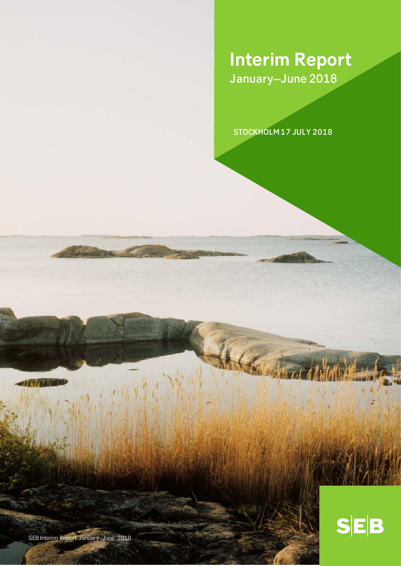# **Interim Report** January–June 2018

STOCKHOLM 17 JULY 2018



SEB Interim Report January–June 2018

一時前間作品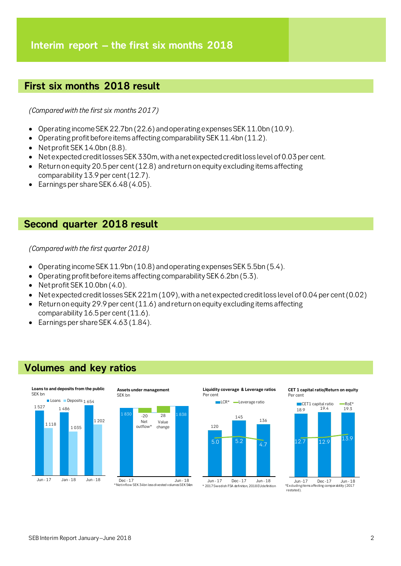# **First six months 2018 result**

*(Compared with the first six months 2017)*

- Operating income SEK22.7bn (22.6) andoperating expenses SEK11.0bn (10.9).
- Operating profit before items affecting comparability SEK 11.4bn (11.2).
- Net profit SEK 14.0bn (8.8).
- Net expected credit losses SEK 330m, with a net expected credit loss level of 0.03 per cent.
- Return on equity 20.5 per cent  $(12.8)$  and return on equity excluding items affecting comparability 13.9 per cent (12.7).
- Earnings per share SEK 6.48 (4.05).

# **Second quarter 2018 result**

*(Compared with the first quarter 2018)*

- Operating income SEK 11.9bn (10.8) and operating expenses SEK 5.5bn (5.4).
- Operating profit before items affecting comparability SEK 6.2bn (5.3).
- Net profit SEK 10.0bn (4.0).
- Net expected credit losses SEK 221m (109), with a net expected credit loss level of 0.04 per cent (0.02)
- Return on equity 29.9 per cent  $(11.6)$  and return on equity excluding items affecting comparability 16.5 per cent (11.6).
- Earnings per share SEK 4.63 (1.84).

# **Volumes and key ratios**





**Liquidity coverage & Leverage ratios** Per cent



**CET 1 capital ratio/Return on equity** Per cent





SEB Interim Report January–June 2018 2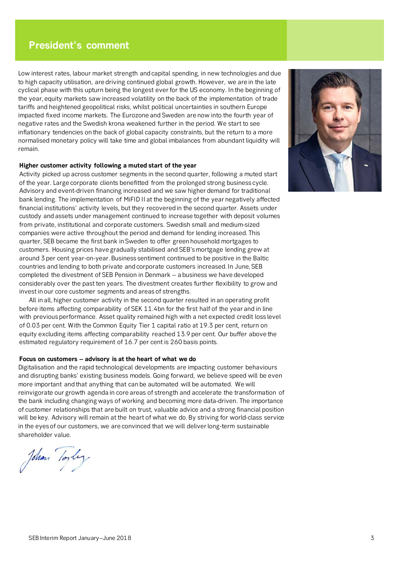# **President's comment**

Low interest rates, labour market strength and capital spending, in new technologies and due to high capacity utilisation, are driving continued global growth. However, we are in the late cyclical phase with this upturn being the longest ever for the US economy. In the beginning of the year, equity markets saw increased volatility on the back of the implementation of trade tariffs and heightened geopolitical risks, whilst political uncertainties in southern Europe impacted fixed income markets. The Eurozone and Sweden are now into the fourth year of negative rates and the Swedish krona weakened further in the period. We start to see inflationary tendencies on the back of global capacity constraints, but the return to a more normalised monetary policy will take time and global imbalances from abundant liquidity will remain.

## **Higher customer activity following a muted start of the year**

Activity picked up across customer segments in the second quarter, following a muted start of the year. Large corporate clients benefitted from the prolonged strong business cycle. Advisory and event-driven financing increased and we saw higher demand for traditional bank lending. The implementation of MiFID II at the beginning of the year negatively affected financial institutions' activity levels, but they recovered in the second quarter. Assets under custody and assets under management continued to increase together with deposit volumes from private, institutional and corporate customers. Swedish small and medium-sized companies were active throughout the period and demand for lending increased. This quarter, SEB became the first bank in Sweden to offer green household mortgages to customers. Housing prices have gradually stabilised and SEB's mortgage lending grew at around 3 per cent year-on-year. Business sentiment continued to be positive in the Baltic countries and lending to both private and corporate customers increased. In June, SEB completed the divestment of SEB Pension in Denmark – a business we have developed considerably over the past ten years. The divestment creates further flexibility to grow and invest in our core customer segments and areas of strengths.

All in all, higher customer activity in the second quarter resulted in an operating profit before items affecting comparability of SEK 11.4bn for the first half of the year and in line with previous performance. Asset quality remained high with a net expected credit loss level of 0.03 per cent. With the Common Equity Tier 1 capital ratio at 19.3 per cent, return on equity excluding items affecting comparability reached 13.9 per cent. Our buffer above the estimated regulatory requirement of 16.7 per cent is 260 basis points.

### **Focus on customers – advisory is at the heart of what we do**

Digitalisation and the rapid technological developments are impacting customer behaviours and disrupting banks' existing business models. Going forward, we believe speed will be even more important and that anything that can be automated will be automated. We will reinvigorate our growth agenda in core areas of strength and accelerate the transformation of the bank including changing ways of working and becoming more data-driven. The importance of customer relationships that are built on trust, valuable advice and a strong financial position will be key. Advisory will remain at the heart of what we do. By striving for world-class service in the eyes of our customers, we are convinced that we will deliver long-term sustainable shareholder value.

John Toyley

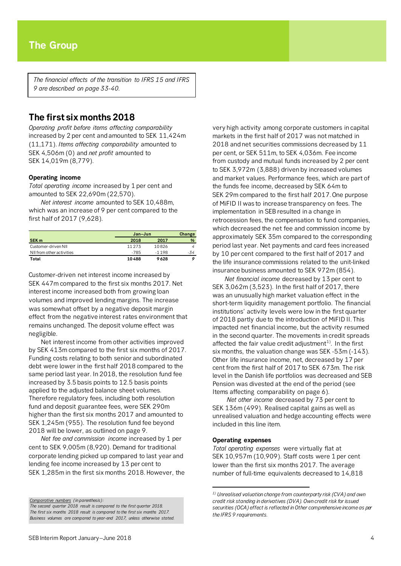*The financial effects of the transition to IFRS 15 and IFRS 9 are described on page 33-40.*

# **The first six months 2018**

*Operating profit before items affecting comparability* increased by 2 per cent and amounted to SEK 11,424m (11,171). *Items affecting comparability* amounted to SEK 4,506m (0) and *net profit* amounted to SEK 14,019m (8,779).

### **Operating income**

*Total operating income* increased by 1 per cent and amounted to SEK 22,690m (22,570).

*Net interest income* amounted to SEK 10,488m, which was an increase of 9 per cent compared to the first half of 2017 (9,628).

|                           | Jan-Jun  | Change  |               |
|---------------------------|----------|---------|---------------|
| SEK <sub>m</sub>          | 2018     | 2017    | $\frac{9}{6}$ |
| Customer-driven NII       | 11 2 7 3 | 10826   |               |
| NII from other activities | -785     | $-1198$ | -34           |
| Total                     | 10488    | 9628    |               |

Customer-driven net interest income increased by SEK 447m compared to the first six months 2017. Net interest income increased both from growing loan volumes and improved lending margins. The increase was somewhat offset by a negative deposit margin effect from the negative interest rates environment that remains unchanged. The deposit volume effect was negligible.

Net interest income from other activities improved by SEK 413m compared to the first six months of 2017. Funding costs relating to both senior and subordinated debt were lower in the first half 2018 compared to the same period last year. In 2018, the resolution fund fee increased by 3.5 basis points to 12.5 basis points applied to the adjusted balance sheet volumes. Therefore regulatory fees, including both resolution fund and deposit guarantee fees, were SEK 290m higher than the first six months 2017 and amounted to SEK 1,245m (955). The resolution fund fee beyond 2018 will be lower, as outlined on page 9.

*Net fee and commission income* increased by 1 per cent to SEK 9,005m (8,920). Demand for traditional corporate lending picked up compared to last year and lending fee income increased by 13 per cent to SEK 1,285m in the first six months 2018. However, the

<span id="page-3-0"></span>*Comparative numbers (in parenthesis): The second quarter 2018 result is compared to the first quarter 2018. The first six months 2018 result is compared to the first six months 2017. Business volumes are compared to year-end 2017, unless otherwise stated.* very high activity among corporate customers in capital markets in the first half of 2017 was not matched in 2018 and net securities commissions decreased by 11 per cent, or SEK 511m, to SEK 4,036m. Fee income from custody and mutual funds increased by 2 per cent to SEK 3,972m (3,888) driven by increased volumes and market values. Performance fees, which are part of the funds fee income, decreased by SEK 64m to SEK 29m compared to the first half 2017. One purpose of MiFID II was to increase transparency on fees. The implementation in SEB resulted in a change in retrocession fees, the compensation to fund companies, which decreased the net fee and commission income by approximately SEK 35m compared to the corresponding period last year. Net payments and card fees increased by 10 per cent compared to the first half of 2017 and the life insurance commissions related to the unit-linked insurance business amounted to SEK 972m (854).

*Net financial income* decreased by 13 per cent to SEK 3,062m (3,523). In the first half of 2017, there was an unusually high market valuation effect in the short-term liquidity management portfolio. The financial institutions' activity levels were low in the first quarter of 2018 partly due to the introduction of MiFID II. This impacted net financial income, but the activity resumed in the second quarter. The movements in credit spreads affected the fair value credit adjustment<sup>[1](#page-3-0))</sup>. In the first six months, the valuation change was SEK -53m (-143). Other life insurance income, net, decreased by 17 per cent from the first half of 2017 to SEK 673m. The risk level in the Danish life portfolios was decreased and SEB Pension was divested at the end of the period (see Items affecting comparability on page 6).

*Net other income* decreased by 73 per cent to SEK 136m (499). Realised capital gains as well as unrealised valuation and hedge accounting effects were included in this line item.

### **Operating expenses**

 $\overline{\phantom{a}}$ 

*Total operating expenses* were virtually flat at SEK 10,957m (10,909). Staff costs were 1 per cent lower than the first six months 2017. The average number of full-time equivalents decreased to 14,818

*<sup>1)</sup> Unrealised valuation change from counterparty risk (CVA) and own credit risk standing in derivatives (DVA). Own credit risk for issued securities (OCA) effect is reflected in Other comprehensive income as per the IFRS 9 requirements.*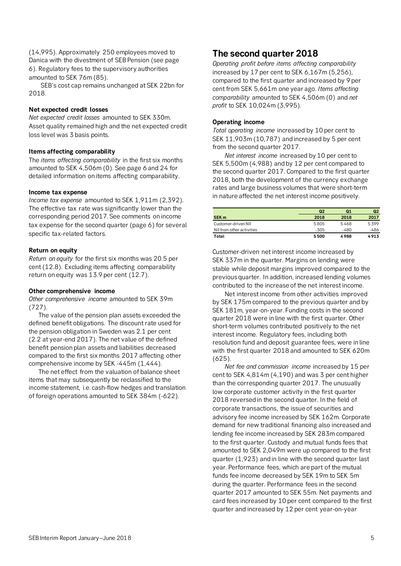(14,995). Approximately 250 employees moved to Danica with the divestment of SEB Pension (see page 6). Regulatory fees to the supervisory authorities amounted to SEK 76m (85).

SEB's cost cap remains unchanged at SEK 22bn for 2018.

## **Net expected credit losses**

*Net expected credit losses* amounted to SEK 330m. Asset quality remained high and the net expected credit loss level was 3 basis points.

# **Items affecting comparability**

The *items affecting comparability* in the first six months amounted to SEK 4,506m (0). See page 6 and 24 for detailed information on items affecting comparability.

## **Income tax expense**

*Income tax expense* amounted to SEK 1,911m (2,392). The effective tax rate was significantly lower than the corresponding period 2017. See comments on income tax expense for the second quarter (page 6) for several specific tax-related factors.

## **Return on equity**

*Return on equity* for the first six months was 20.5 per cent (12.8). Excluding items affecting comparability return on equity was 13.9 per cent (12.7).

### **Other comprehensive income**

*Other comprehensive income* amounted to SEK 39m (727).

The value of the pension plan assets exceeded the defined benefit obligations. The discount rate used for the pension obligation in Sweden was 2.1 per cent (2.2 at year-end 2017). The net value of the defined benefit pension plan assets and liabilities decreased compared to the first six months 2017 affecting other comprehensive income by SEK -445m (1,444).

The net effect from the valuation of balance sheet items that may subsequently be reclassified to the income statement, i.e. cash-flow hedges and translation of foreign operations amounted to SEK 384m (-622).

# **The second quarter 2018**

*Operating profit before items affecting comparability* increased by 17 per cent to SEK 6,167m (5,256), compared to the first quarter and increased by 9 per cent from SEK 5,661m one year ago. *Items affecting comparability* amounted to SEK 4,506m (0) and *net profit* to SEK 10,024m (3,995).

# **Operating income**

*Total operating income* increased by 10 per cent to SEK 11,903m (10,787) and increased by 5 per cent from the second quarter 2017.

*Net interest income* increased by 10 per cent to SEK 5,500m (4,988) and by 12 per cent compared to the second quarter 2017. Compared to the first quarter 2018, both the development of the currency exchange rates and large business volumes that were short-term in nature affected the net interest income positively.

|                           | Q <sub>2</sub> | Q <sub>1</sub> | Q <sub>2</sub> |
|---------------------------|----------------|----------------|----------------|
| SEK <sub>m</sub>          | 2018           | 2018           | 2017           |
| Customer-driven NII       | 5805           | 5468           | 5399           |
| NII from other activities | -305           | $-480$         | -486           |
| Total                     | 5500           | 4988           | 4913           |

Customer-driven net interest income increased by SEK 337m in the quarter. Margins on lending were stable while deposit margins improved compared to the previous quarter. In addition, increased lending volumes contributed to the increase of the net interest income.

Net interest income from other activities improved by SEK 175m compared to the previous quarter and by SEK 181m, year-on-year. Funding costs in the second quarter 2018 were in line with the first quarter. Other short-term volumes contributed positively to the net interest income. Regulatory fees, including both resolution fund and deposit guarantee fees, were in line with the first quarter 2018 and amounted to SEK 620m (625).

*Net fee and commission income* increased by 15 per cent to SEK 4,814m (4,190) and was 3 per cent higher than the corresponding quarter 2017. The unusually low corporate customer activity in the first quarter 2018 reversed in the second quarter. In the field of corporate transactions, the issue of securities and advisory fee income increased by SEK 162m. Corporate demand for new traditional financing also increased and lending fee income increased by SEK 283m compared to the first quarter. Custody and mutual funds fees that amounted to SEK 2,049m were up compared to the first quarter (1,923) and in line with the second quarter last year. Performance fees, which are part of the mutual funds fee income decreased by SEK 19m to SEK 5m during the quarter. Performance fees in the second quarter 2017 amounted to SEK 55m. Net payments and card fees increased by 10 per cent compared to the first quarter and increased by 12 per cent year-on-year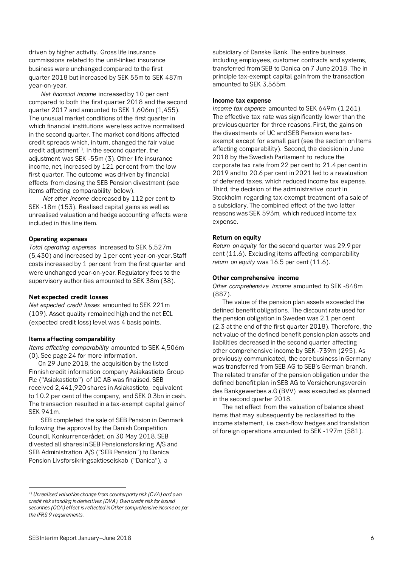driven by higher activity. Gross life insurance commissions related to the unit-linked insurance business were unchanged compared to the first quarter 2018 but increased by SEK 55m to SEK 487m year-on-year.

*Net financial income* increased by 10 per cent compared to both the first quarter 2018 and the second quarter 2017 and amounted to SEK 1,606m (1,455). The unusual market conditions of the first quarter in which financial institutions were less active normalised in the second quarter. The market conditions affected credit spreads which, in turn, changed the fair value credit adjustment $^{\rm 1)}$  $^{\rm 1)}$  $^{\rm 1)}$ . In the second quarter, the adjustment was SEK -55m (3). Other life insurance income, net, increased by 121 per cent from the low first quarter. The outcome was driven by financial effects from closing the SEB Pension divestment (see items affecting comparability below).

*Net other income* decreased by 112 per cent to SEK -18m (153). Realised capital gains as well as unrealised valuation and hedge accounting effects were included in this line item.

# **Operating expenses**

*Total operating expenses* increased to SEK 5,527m (5,430) and increased by 1 per cent year-on-year. Staff costs increased by 1 per cent from the first quarter and were unchanged year-on-year. Regulatory fees to the supervisory authorities amounted to SEK 38m (38).

# **Net expected credit losses**

*Net expected credit losses* amounted to SEK 221m (109). Asset quality remained high and the net ECL (expected credit loss) level was 4 basis points.

# **Items affecting comparability**

*Items affecting comparability* amounted to SEK 4,506m (0). See page 24 for more information.

On 29 June 2018, the acquisition by the listed Finnish credit information company Asiakastieto Group Plc ("Asiakastieto") of UC AB was finalised. SEB received 2,441,920 shares in Asiakastieto, equivalent to 10.2 per cent of the company, and SEK 0.3bn in cash. The transaction resulted in a tax-exempt capital gain of SEK 941m.

SEB completed the sale of SEB Pension in Denmark following the approval by the Danish Competition Council, Konkurrencerådet, on 30 May 2018. SEB divested all shares in SEB Pensionsforsikring A/S and SEB Administration A/S ("SEB Pension") to Danica Pension Livsforsikringsaktieselskab ("Danica"), a

subsidiary of Danske Bank. The entire business, including employees, customer contracts and systems, transferred from SEB to Danica on 7 June 2018. The in principle tax-exempt capital gain from the transaction amounted to SEK 3,565m.

### **Income tax expense**

*Income tax expense* amounted to SEK 649m (1,261). The effective tax rate was significantly lower than the previous quarter for three reasons. First, the gains on the divestments of UC and SEB Pension were taxexempt except for a small part (see the section on Items affecting comparability). Second, the decision in June 2018 by the Swedish Parliament to reduce the corporate tax rate from 22 per cent to 21.4 per cent in 2019 and to 20.6 per cent in 2021 led to a revaluation of deferred taxes, which reduced income tax expense. Third, the decision of the administrative court in Stockholm regarding tax-exempt treatment of a sale of a subsidiary. The combined effect of the two latter reasons was SEK 593m, which reduced income tax expense.

# **Return on equity**

*Return on equity* for the second quarter was 29.9 per cent (11.6). Excluding items affecting comparability *return on equity* was 16.5 per cent (11.6).

## **Other comprehensive income**

*Other comprehensive income* amounted to SEK -848m (887).

The value of the pension plan assets exceeded the defined benefit obligations. The discount rate used for the pension obligation in Sweden was 2.1 per cent (2.3 at the end of the first quarter 2018). Therefore, the net value of the defined benefit pension plan assets and liabilities decreased in the second quarter affecting other comprehensive income by SEK -739m (295). As previously communicated, the core business in Germany was transferred from SEB AG to SEB's German branch. The related transfer of the pension obligation under the defined benefit plan in SEB AG to Versicherungsverein des Bankgewerbes a.G (BVV) was executed as planned in the second quarter 2018.

The net effect from the valuation of balance sheet items that may subsequently be reclassified to the income statement, i.e. cash-flow hedges and translation of foreign operations amounted to SEK -197m (581).

 $\overline{\phantom{a}}$ 

<span id="page-5-0"></span>*<sup>1)</sup> Unrealised valuation change from counterparty risk (CVA) and own credit risk standing in derivatives (DVA). Own credit risk for issued securities (OCA) effect is reflected in Other comprehensive income as per the IFRS 9 requirements.*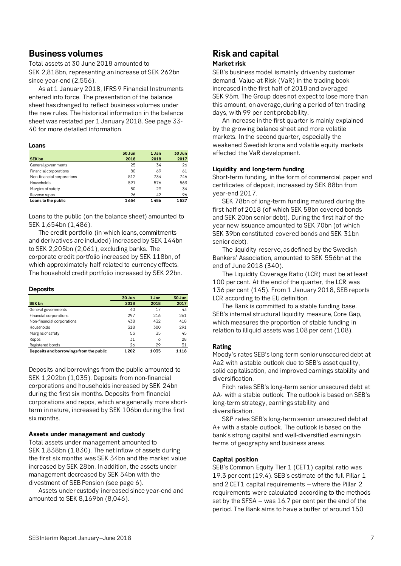# **Business volumes**

Total assets at 30 June 2018 amounted to SEK 2,818bn, representing an increase of SEK 262bn since year-end (2,556).

As at 1 January 2018, IFRS 9 Financial Instruments entered into force. The presentation of the balance sheet has changed to reflect business volumes under the new rules. The historical information in the balance sheet was restated per 1 January 2018. See page 33- 40 for more detailed information.

### **Loans**

|                            | 30 Jun | 1 Jan | 30 Jun |
|----------------------------|--------|-------|--------|
| <b>SEK bn</b>              | 2018   | 2018  | 2017   |
| General governments        | 25     | 34    | 26     |
| Financial corporations     | 80     | 69    | 61     |
| Non-financial corporations | 812    | 734   | 746    |
| <b>Households</b>          | 591    | 576   | 563    |
| Margins of safety          | 50     | 29    | 34     |
| Reverse repos              | 96     | 42    | 96     |
| Loans to the public        | 1654   | 1486  | 1527   |

Loans to the public (on the balance sheet) amounted to SEK 1,654bn (1,486).

The credit portfolio (in which loans, commitments and derivatives are included) increased by SEK 144bn to SEK 2,205bn (2,061), excluding banks. The corporate credit portfolio increased by SEK 118bn, of which approximately half related to currency effects. The household credit portfolio increased by SEK 22bn.

### **Deposits**

|                                         | 30 Jun | 1 Jan | 30 Jun  |
|-----------------------------------------|--------|-------|---------|
| <b>SEK bn</b>                           | 2018   | 2018  | 2017    |
| General governments                     | 40     | 17    | 43      |
| Financial corporations                  | 297    | 216   | 261     |
| Non-financial corporations              | 438    | 432   | 418     |
| <b>Households</b>                       | 318    | 300   | 291     |
| Margins of safety                       | 53     | 35    | 45      |
| Repos                                   | 31     | 6     | 28      |
| Registered bonds                        | 26     | 29    | 31      |
| Deposits and borrowings from the public | 1 202  | 1035  | 1 1 1 8 |

Deposits and borrowings from the public amounted to SEK 1,202bn (1,035). Deposits from non-financial corporations and households increased by SEK 24bn during the first six months. Deposits from financial corporations and repos, which are generally more shortterm in nature, increased by SEK 106bn during the first six months.

# **Assets under management and custody**

Total assets under management amounted to SEK 1,838bn (1,830). The net inflow of assets during the first six months was SEK 34bn and the market value increased by SEK 28bn. In addition, the assets under management decreased by SEK 54bn with the divestment of SEB Pension (see page 6).

Assets under custody increased since year-end and amounted to SEK 8,169bn (8,046).

# **Risk and capital**

# **Market risk**

SEB's business model is mainly driven by customer demand. Value-at-Risk (VaR) in the trading book increased in the first half of 2018 and averaged SEK 95m*.* The Group does not expect to lose more than this amount, on average, during a period of ten trading days, with 99 per cent probability.

An increase in the first quarter is mainly explained by the growing balance sheet and more volatile markets. In the second quarter, especially the weakened Swedish krona and volatile equity markets affected the VaR development.

# **Liquidity and long-term funding**

Short-term funding, in the form of commercial paper and certificates of deposit, increased by SEK 88bn from year-end 2017.

SEK 78bn of long-term funding matured during the first half of 2018 (of which SEK 58bn covered bonds and SEK 20bn senior debt). During the first half of the year new issuance amounted to SEK 70bn (of which SEK 39bn constituted covered bonds and SEK 31bn senior debt).

The liquidity reserve, as defined by the Swedish Bankers' Association, amounted to SEK 556bn at the end of June 2018 (340).

The Liquidity Coverage Ratio (LCR) must be at least 100 per cent. At the end of the quarter, the LCR was 136 per cent (145). From 1 January 2018, SEB reports LCR according to the EU definition.

The Bank is committed to a stable funding base. SEB's internal structural liquidity measure, Core Gap, which measures the proportion of stable funding in relation to illiquid assets was 108 per cent (108).

# **Rating**

Moody's rates SEB's long-term senior unsecured debt at Aa2 with a stable outlook due to SEB's asset quality, solid capitalisation, and improved earnings stability and diversification.

Fitch rates SEB's long-term senior unsecured debt at AA- with a stable outlook. The outlook is based on SEB's long-term strategy, earnings stability and diversification.

S&P rates SEB's long-term senior unsecured debt at A+ with a stable outlook. The outlook is based on the bank's strong capital and well-diversified earnings in terms of geography and business areas.

# **Capital position**

SEB's Common Equity Tier 1 (CET1) capital ratio was 19.3 per cent (19.4). SEB's estimate of the full Pillar 1 and 2 CET1 capital requirements – where the Pillar 2 requirements were calculated according to the methods set by the SFSA – was 16.7 per cent per the end of the period. The Bank aims to have a buffer of around 150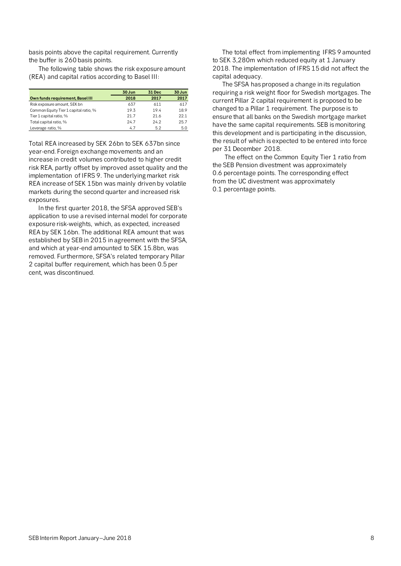basis points above the capital requirement. Currently the buffer is 260 basis points.

The following table shows the risk exposure amount (REA) and capital ratios according to Basel III:

|                                       | 30 Jun | 31 Dec | 30 Jun |
|---------------------------------------|--------|--------|--------|
| Own funds requirement, Basel III      | 2018   | 2017   | 2017   |
| Risk exposure amount, SEK bn          | 637    | 611    | 617    |
| Common Equity Tier 1 capital ratio, % | 19.3   | 194    | 18.9   |
| Tier 1 capital ratio, %               | 217    | 216    | 221    |
| Total capital ratio, %                | 247    | 242    | 25.7   |
| Leverage ratio, %                     | 4.7    | 52     | 5.0    |

Total REA increased by SEK 26bn to SEK 637bn since year-end. Foreign exchange movements and an increase in credit volumes contributed to higher credit risk REA, partly offset by improved asset quality and the implementation of IFRS 9. The underlying market risk REA increase of SEK 15bn was mainly driven by volatile markets during the second quarter and increased risk exposures.

In the first quarter 2018, the SFSA approved SEB's application to use a revised internal model for corporate exposure risk-weights, which, as expected, increased REA by SEK 16bn. The additional REA amount that was established by SEB in 2015 in agreement with the SFSA, and which at year-end amounted to SEK 15.8bn, was removed. Furthermore, SFSA's related temporary Pillar 2 capital buffer requirement, which has been 0.5 per cent, was discontinued.

The total effect from implementing IFRS 9 amounted to SEK 3,280m which reduced equity at 1 January 2018. The implementation of IFRS 15 did not affect the capital adequacy.

The SFSA has proposed a change in its regulation requiring a risk weight floor for Swedish mortgages. The current Pillar 2 capital requirement is proposed to be changed to a Pillar 1 requirement. The purpose is to ensure that all banks on the Swedish mortgage market have the same capital requirements. SEB is monitoring this development and is participating in the discussion, the result of which is expected to be entered into force per 31 December 2018.

The effect on the Common Equity Tier 1 ratio from the SEB Pension divestment was approximately 0.6 percentage points. The corresponding effect from the UC divestment was approximately 0.1 percentage points.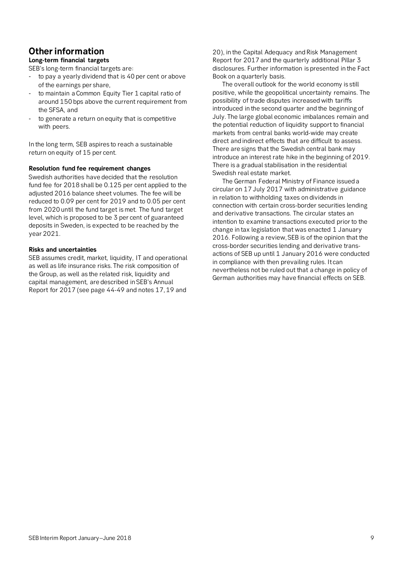# **Other information**

# **Long-term financial targets**

SEB's long-term financial targets are:

- to pay a yearly dividend that is 40 per cent or above of the earnings per share,
- to maintain a Common Equity Tier 1 capital ratio of around 150 bps above the current requirement from the SFSA, and
- to generate a return on equity that is competitive with peers.

In the long term, SEB aspires to reach a sustainable return on equity of 15 per cent.

# **Resolution fund fee requirement changes**

Swedish authorities have decided that the resolution fund fee for 2018 shall be 0.125 per cent applied to the adjusted 2016 balance sheet volumes. The fee will be reduced to 0.09 per cent for 2019 and to 0.05 per cent from 2020 until the fund target is met. The fund target level, which is proposed to be 3 per cent of guaranteed deposits in Sweden, is expected to be reached by the year 2021.

# **Risks and uncertainties**

SEB assumes credit, market, liquidity, IT and operational as well as life insurance risks. The risk composition of the Group, as well as the related risk, liquidity and capital management, are described in SEB's Annual Report for 2017 (see page 44-49 and notes 17, 19 and

20), in the Capital Adequacy and Risk Management Report for 2017 and the quarterly additional Pillar 3 disclosures. Further information is presented in the Fact Book on a quarterly basis.

The overall outlook for the world economy is still positive, while the geopolitical uncertainty remains. The possibility of trade disputes increased with tariffs introduced in the second quarter and the beginning of July. The large global economic imbalances remain and the potential reduction of liquidity support to financial markets from central banks world-wide may create direct and indirect effects that are difficult to assess. There are signs that the Swedish central bank may introduce an interest rate hike in the beginning of 2019. There is a gradual stabilisation in the residential Swedish real estate market.

The German Federal Ministry of Finance issued a circular on 17 July 2017 with administrative guidance in relation to withholding taxes on dividends in connection with certain cross-border securities lending and derivative transactions. The circular states an intention to examine transactions executed prior to the change in tax legislation that was enacted 1 January 2016. Following a review, SEB is of the opinion that the cross-border securities lending and derivative transactions of SEB up until 1 January 2016 were conducted in compliance with then prevailing rules. It can nevertheless not be ruled out that a change in policy of German authorities may have financial effects on SEB.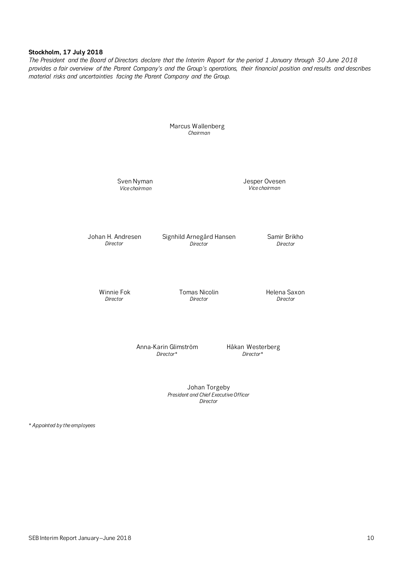## **Stockholm, 17 July 2018**

*The President and the Board of Directors declare that the Interim Report for the period 1 January through 30 June 2018 provides a fair overview of the Parent Company's and the Group's operations, their financial position and results and describes material risks and uncertainties facing the Parent Company and the Group.*

> Marcus Wallenberg *Chairman*

Sven Nyman *Vice chairman*

Jesper Ovesen *Vice chairman*

Johan H. Andresen *Director*

Signhild Arnegård Hansen *Director*

Samir Brikho *Director*

Winnie Fok *Director*

Tomas Nicolin *Director*

Helena Saxon *Director*

Anna-Karin Glimström *Director\**

Håkan Westerberg *Director\**

Johan Torgeby *President and Chief Executive Officer Director*

\* *Appointed by the employees*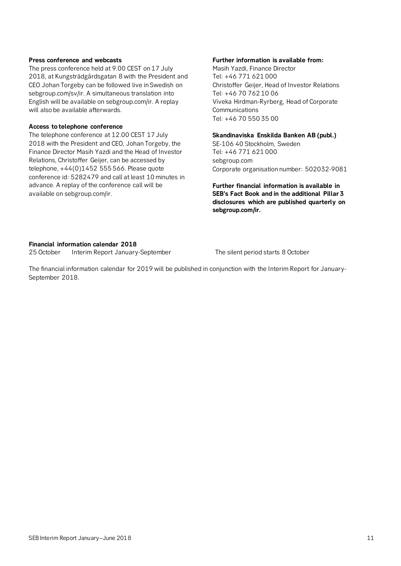# **Press conference and webcasts**

The press conference held at 9.00 CEST on 17 July 2018, at Kungsträdgårdsgatan 8 with the President and CEO Johan Torgeby can be followed live in Swedish on sebgroup.com/sv/ir. A simultaneous translation into English will be available on sebgroup.com/ir. A replay will also be available afterwards.

# **Access to telephone conference**

The telephone conference at 12.00 CEST 17 July 2018 with the President and CEO, Johan Torgeby, the Finance Director Masih Yazdi and the Head of Investor Relations, Christoffer Geijer, can be accessed by telephone, +44(0)1452 555 566. Please quote conference id: 5282479 and call at least 10 minutes in advance. A replay of the conference call will be available on sebgroup.com/ir.

# **Further information is available from:**

Masih Yazdi, Finance Director Tel: +46 771 621 000 Christoffer Geijer, Head of Investor Relations Tel: +46 70 762 10 06 Viveka Hirdman-Ryrberg, Head of Corporate **Communications** Tel: +46 70 550 35 00

## **Skandinaviska Enskilda Banken AB (publ.)**

SE-106 40 Stockholm, Sweden Tel: +46 771 621 000 sebgroup.com Corporate organisation number: 502032-9081

**Further financial information is available in SEB's Fact Book and in the additional Pillar 3 disclosures which are published quarterly on sebgroup.com/ir.**

# **Financial information calendar 2018**

25 October Interim Report January-September The silent period starts 8 October

The financial information calendar for 2019 will be published in conjunction with the Interim Report for January-September 2018.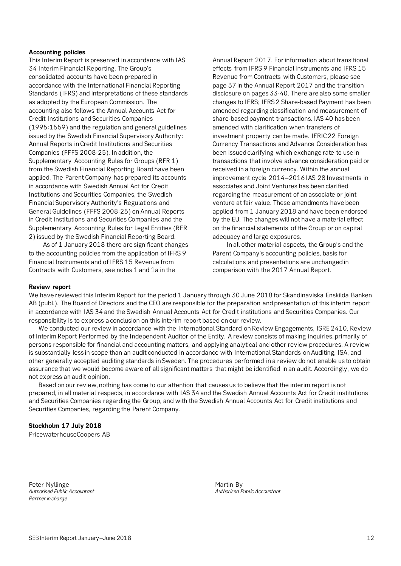# **Accounting policies**

This Interim Report is presented in accordance with IAS 34 Interim Financial Reporting. The Group's consolidated accounts have been prepared in accordance with the International Financial Reporting Standards (IFRS) and interpretations of these standards as adopted by the European Commission. The accounting also follows the Annual Accounts Act for Credit Institutions and Securities Companies (1995:1559) and the regulation and general guidelines issued by the Swedish Financial Supervisory Authority: Annual Reports in Credit Institutions and Securities Companies (FFFS 2008:25). In addition, the Supplementary Accounting Rules for Groups (RFR 1) from the Swedish Financial Reporting Board have been applied. The Parent Company has prepared its accounts in accordance with Swedish Annual Act for Credit Institutions and Securities Companies, the Swedish Financial Supervisory Authority's Regulations and General Guidelines (FFFS 2008:25) on Annual Reports in Credit Institutions and Securities Companies and the Supplementary Accounting Rules for Legal Entities (RFR 2) issued by the Swedish Financial Reporting Board.

As of 1 January 2018 there are significant changes to the accounting policies from the application of IFRS 9 Financial Instruments and of IFRS 15 Revenue from Contracts with Customers, see notes 1 and 1a in the

Annual Report 2017. For information about transitional effects from IFRS 9 Financial Instruments and IFRS 15 Revenue from Contracts with Customers, please see page 37 in the Annual Report 2017 and the transition disclosure on pages 33-40. There are also some smaller changes to IFRS; IFRS 2 Share-based Payment has been amended regarding classification and measurement of share-based payment transactions. IAS 40 has been amended with clarification when transfers of investment property can be made. IFRIC 22 Foreign Currency Transactions and Advance Consideration has been issued clarifying which exchange rate to use in transactions that involve advance consideration paid or received in a foreign currency. Within the annual improvement cycle 2014–2016 IAS 28 Investments in associates and Joint Ventures has been clarified regarding the measurement of an associate or joint venture at fair value. These amendments have been applied from 1 January 2018 and have been endorsed by the EU. The changes will not have a material effect on the financial statements of the Group or on capital adequacy and large exposures.

In all other material aspects, the Group's and the Parent Company's accounting policies, basis for calculations and presentations are unchanged in comparison with the 2017 Annual Report.

### **Review report**

We have reviewed this Interim Report for the period 1 January through 30 June 2018 for Skandinaviska Enskilda Banken AB (publ.). The Board of Directors and the CEO are responsible for the preparation and presentation of this interim report in accordance with IAS 34 and the Swedish Annual Accounts Act for Credit institutions and Securities Companies. Our responsibility is to express a conclusion on this interim report based on our review.

We conducted our review in accordance with the International Standard on Review Engagements, ISRE 2410, Review of Interim Report Performed by the Independent Auditor of the Entity. A review consists of making inquiries, primarily of persons responsible for financial and accounting matters, and applying analytical and other review procedures. A review is substantially less in scope than an audit conducted in accordance with International Standards on Auditing, ISA, and other generally accepted auditing standards in Sweden. The procedures performed in a review do not enable us to obtain assurance that we would become aware of all significant matters that might be identified in an audit. Accordingly, we do not express an audit opinion.

Based on our review, nothing has come to our attention that causes us to believe that the interim report is not prepared, in all material respects, in accordance with IAS 34 and the Swedish Annual Accounts Act for Credit institutions and Securities Companies regarding the Group, and with the Swedish Annual Accounts Act for Credit institutions and Securities Companies, regarding the Parent Company.

# **Stockholm 17 July 2018**

PricewaterhouseCoopers AB

Peter Nyllinge<br>
Authorised Public Accountant<br>
Authorised Public Accountant *Authorised Public Accountant Authorised Public Accountant Partner in charge*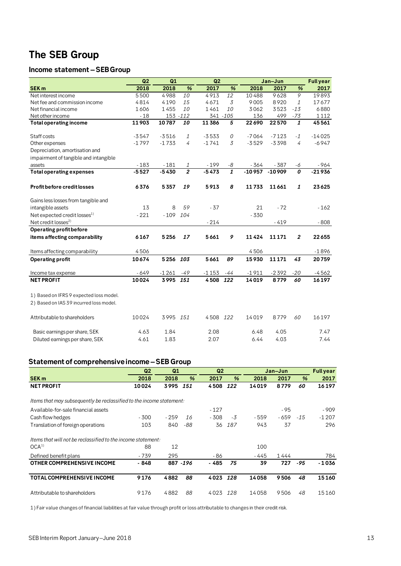# **The SEB Group**

# **Income statement –SEB Group**

|                                          | Q2      | Q1       |                | Q2       |                  |          | Jan-Jun  |                | <b>Full year</b> |
|------------------------------------------|---------|----------|----------------|----------|------------------|----------|----------|----------------|------------------|
| <b>SEK m</b>                             | 2018    | 2018     | $\%$           | 2017     | %                | 2018     | 2017     | %              | 2017             |
| Net interest income                      | 5500    | 4988     | 10             | 4913     | 12               | 10488    | 9628     | $\overline{9}$ | 19893            |
| Net fee and commission income            | 4814    | 4190     | 15             | 4671     | $\overline{3}$   | 9005     | 8920     | 1              | 17677            |
| Net financial income                     | 1606    | 1455     | 10             | 1461     | 10               | 3062     | 3523     | $-13$          | 6880             |
| Net other income                         | $-18$   |          | 153 - 112      |          | 341 - 105        | 136      | 499      | $-73$          | 1112             |
| <b>Total operating income</b>            | 11903   | 10787    | 10             | 11386    | 5                | 22690    | 22570    | 1              | 45561            |
| Staff costs                              | $-3547$ | $-3516$  | 1              | $-3533$  | 0                | $-7064$  | $-7123$  | $-1$           | $-14025$         |
| Other expenses                           | $-1797$ | $-1733$  | 4              | $-1741$  | 3                | $-3529$  | $-3398$  | $\overline{4}$ | $-6947$          |
| Depreciation, amortisation and           |         |          |                |          |                  |          |          |                |                  |
| impairment of tangible and intangible    |         |          |                |          |                  |          |          |                |                  |
| assets                                   | $-183$  | $-181$   | 1              | $-199$   | -8               | - 364    | $-387$   | -6             | $-964$           |
| <b>Total operating expenses</b>          | $-5527$ | $-5430$  | $\overline{2}$ | $-5473$  | $\boldsymbol{1}$ | $-10957$ | $-10909$ | 0              | $-21936$         |
| <b>Profit before credit losses</b>       | 6376    | 5357     | 19             | 5913     | 8                | 11733    | 11661    | 1              | 23625            |
| Gains less losses from tangible and      |         |          |                |          |                  |          |          |                |                  |
| intangible assets                        | 13      | 8        | 59             | $-37$    |                  | 21       | $-72$    |                | $-162$           |
| Net expected credit losses <sup>1)</sup> | $-221$  | $-109$   | 104            |          |                  | $-330$   |          |                |                  |
| Net credit losses <sup>2)</sup>          |         |          |                | $-214$   |                  |          | $-419$   |                | $-808$           |
| Operating profit before                  |         |          |                |          |                  |          |          |                |                  |
| items affecting comparability            | 6167    | 5256     | 17             | 5661     | 9                | 11424    | 11171    | $\overline{2}$ | 22655            |
| Items affecting comparability            | 4506    |          |                |          |                  | 4506     |          |                | $-1896$          |
| <b>Operating profit</b>                  | 10674   | 5256 103 |                | 5661     | 89               | 15930    | 11171    | 43             | 20759            |
| Income tax expense                       | $-649$  | $-1261$  | -49            | $-1153$  | -44              | $-1911$  | $-2392$  | $-20$          | $-4562$          |
| <b>NET PROFIT</b>                        | 10024   | 3995     | 151            | 4508     | 122              | 14019    | 8779     | 60             | 16197            |
| 1) Based on IFRS 9 expected loss model.  |         |          |                |          |                  |          |          |                |                  |
| 2) Based on IAS 39 incurred loss model.  |         |          |                |          |                  |          |          |                |                  |
| Attributable to shareholders             | 10024   | 3995 151 |                | 4508 122 |                  | 14019    | 8779     | 60             | 16197            |
| Basic earnings per share, SEK            | 4.63    | 1.84     |                | 2.08     |                  | 6.48     | 4.05     |                | 7.47             |
| Diluted earnings per share, SEK          | 4.61    | 1.83     |                | 2.07     |                  | 6.44     | 4.03     |                | 7.44             |

# **Statement of comprehensive income–SEB Group**

|                                                                      | Q <sub>2</sub> | Q <sub>1</sub> |           | Q <sub>2</sub> |               |       | Jan-Jun |       | <b>Full year</b> |
|----------------------------------------------------------------------|----------------|----------------|-----------|----------------|---------------|-------|---------|-------|------------------|
| <b>SEK m</b>                                                         | 2018           | 2018           | %         | 2017           | $\frac{9}{6}$ | 2018  | 2017    | %     | 2017             |
| <b>NET PROFIT</b>                                                    | 10024          | 3995           | 151       | 4508           | 122           | 14019 | 8779    | 60    | 16197            |
| Items that may subsequently be reclassified to the income statement: |                |                |           |                |               |       |         |       |                  |
| Available-for-sale financial assets                                  |                |                |           | $-127$         |               |       | $-95$   |       | - 909            |
| Cash flow hedges                                                     | $-300$         | - 259          | 16        | - 308          | $-3$          | - 559 | - 659   | $-15$ | $-1207$          |
| Translation of foreign operations                                    | 103            | 840            | -88       | 36             | 187           | 943   | 37      |       | 296              |
| Items that will not be reclassified to the income statement:         |                |                |           |                |               |       |         |       |                  |
| OCA <sup>1</sup>                                                     | 88             | 12             |           |                |               | 100   |         |       |                  |
| Defined benefit plans                                                | $-739$         | 295            |           | - 86           |               | - 445 | 1444    |       | 784              |
| OTHER COMPREHENSIVE INCOME                                           | $-848$         |                | 887 - 196 | - 485          | 75            | 39    | 727     | -95   | $-1036$          |
| <b>TOTAL COMPREHENSIVE INCOME</b>                                    | 9176           | 4882           | 88        | 4023           | 128           | 14058 | 9506    | 48    | 15160            |
| Attributable to shareholders                                         | 9176           | 4882           | 88        | 4023           | 128           | 14058 | 9506    | 48    | 15160            |

1) Fair value changes of financial liabilities at fair value through profit or loss attributable to changes in their credit risk.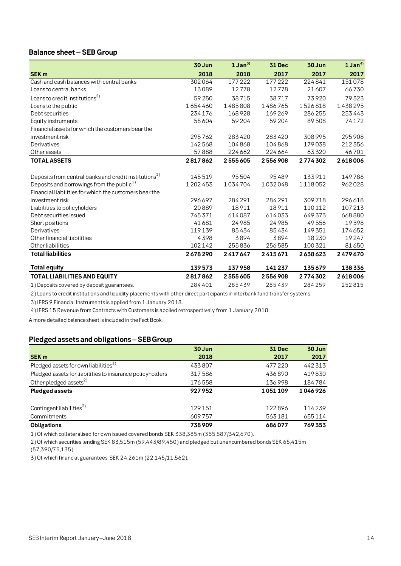# **Balance sheet – SEB Group**

|                                                                                                                             | 30 Jun    | $1$ Jan <sup>3)</sup> | <b>31 Dec</b> | 30 Jun  | 1 Jan <sup>4</sup> |
|-----------------------------------------------------------------------------------------------------------------------------|-----------|-----------------------|---------------|---------|--------------------|
| <b>SEK m</b>                                                                                                                | 2018      | 2018                  | 2017          | 2017    | 2017               |
| Cash and cash balances with central banks                                                                                   | 302064    | $\overline{177}$ 222  | 177222        | 224841  | 151078             |
| Loans to central banks                                                                                                      | 13089     | 12778                 | 12778         | 21607   | 66730              |
| Loans to credit institutions <sup>2)</sup>                                                                                  | 59 250    | 38715                 | 38717         | 73920   | 79323              |
| Loans to the public                                                                                                         | 1654460   | 1485808               | 1486765       | 1526818 | 1438295            |
| Debt securities                                                                                                             | 234176    | 168928                | 169269        | 286255  | 253443             |
| Equity instruments                                                                                                          | 58 604    | 59204                 | 59204         | 89508   | 74172              |
| Financial assets for which the customers bear the                                                                           |           |                       |               |         |                    |
| investment risk                                                                                                             | 295762    | 283420                | 283420        | 308 995 | 295 908            |
| Derivatives                                                                                                                 | 142568    | 104868                | 104868        | 179038  | 212356             |
| Other assets                                                                                                                | 57888     | 224 662               | 224 664       | 63320   | 46701              |
| <b>TOTAL ASSETS</b>                                                                                                         | 2817862   | 2555605               | 2556908       | 2774302 | 2618006            |
|                                                                                                                             |           | 95504                 | 95489         | 133911  |                    |
| Deposits from central banks and credit institutions <sup>1)</sup>                                                           | 145519    |                       |               |         | 149786             |
| Deposits and borrowings from the public <sup>1)</sup>                                                                       | 1 202 453 | 1034704               | 1032048       | 1118052 | 962028             |
| Financial liabilities for which the customers bear the                                                                      |           |                       |               |         |                    |
| investment risk                                                                                                             | 296697    | 284291                | 284291        | 309718  | 296618             |
| Liabilities to policyholders                                                                                                | 20889     | 18911                 | 18911         | 110112  | 107213             |
| Debt securities issued                                                                                                      | 745371    | 614087                | 614033        | 649373  | 668880             |
| Short positions                                                                                                             | 41681     | 24985                 | 24985         | 49556   | 19598              |
| Derivatives                                                                                                                 | 119139    | 85434                 | 85434         | 149 351 | 174652             |
| Other financial liabilities                                                                                                 | 4398      | 3894                  | 3894          | 18230   | 19247              |
| Other liabilities                                                                                                           | 102142    | 255836                | 256585        | 100 321 | 81650              |
| <b>Total liabilities</b>                                                                                                    | 2678290   | 2417647               | 2415671       | 2638623 | 2479670            |
| <b>Total equity</b>                                                                                                         | 139573    | 137958                | 141237        | 135679  | 138336             |
| <b>TOTAL LIABILITIES AND EQUITY</b>                                                                                         | 2817862   | 2555605               | 2556908       | 2774302 | 2618006            |
| 1) Deposits covered by deposit guarantees.                                                                                  | 284401    | 285439                | 285439        | 284259  | 252815             |
| 0) Loope to availt institutions and limuidity aloneoments with other divest portisionate in interleads fund typeday outcome |           |                       |               |         |                    |

2) Loans to credit institutions and liquidity placements with other direct participants in interbank fund transfer systems.

3) IFRS 9 Financial Instruments is applied from 1 January 2018.

4) IFRS 15 Revenue from Contracts with Customers is applied retrospectively from 1 January 2018.

A more detailed balance sheet is included in the Fact Book.

# **Pledged assetsand obligations–SEB Group**

|                                                           | 30 Jun | <b>31 Dec</b> | 30 Jun  |
|-----------------------------------------------------------|--------|---------------|---------|
| <b>SEK m</b>                                              | 2018   | 2017          | 2017    |
| Pledged assets for own liabilities <sup>1)</sup>          | 433807 | 477220        | 442313  |
| Pledged assets for liabilities to insurance policyholders | 317586 | 436890        | 419830  |
| Other pledged assets <sup>2)</sup>                        | 176558 | 136998        | 184784  |
| <b>Pledged assets</b>                                     | 927952 | 1051109       | 1046926 |
|                                                           |        |               |         |
| Contingent liabilities <sup>3)</sup>                      | 129151 | 122896        | 114239  |
| Commitments                                               | 609757 | 563181        | 655114  |
| <b>Obligations</b>                                        | 738909 | 686077        | 769353  |

1) Of which collateralised for own issued covered bonds SEK 338,385m (355,587/342,670).

2) Of which securities lending SEK 83,515m (59,443/89,450) and pledged but unencumbered bonds SEK 65,415m

(57,390/75,135).

3) Of which financial guarantees SEK 24,261m (22,145/11,562).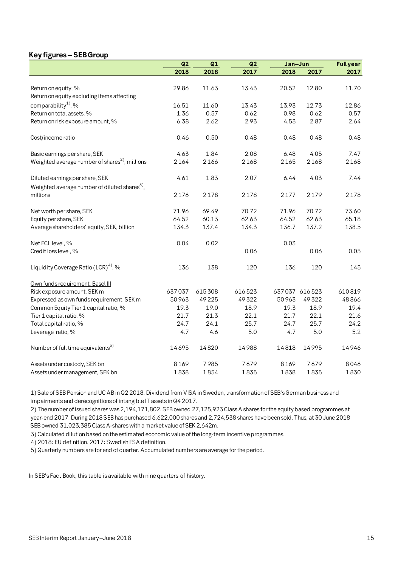# **Key figures – SEB Group**

|                                                                                             | Q2     | Q1     | Q2     |       | Jan-Jun       |        |
|---------------------------------------------------------------------------------------------|--------|--------|--------|-------|---------------|--------|
|                                                                                             | 2018   | 2018   | 2017   | 2018  | 2017          | 2017   |
|                                                                                             |        |        |        |       |               |        |
| Return on equity, %                                                                         | 29.86  | 11.63  | 13.43  | 20.52 | 12.80         | 11.70  |
| Return on equity excluding items affecting                                                  |        |        |        |       |               |        |
| comparability <sup>1</sup> , %                                                              | 16.51  | 11.60  | 13.43  | 13.93 | 12.73         | 12.86  |
| Return on total assets, %                                                                   | 1.36   | 0.57   | 0.62   | 0.98  | 0.62          | 0.57   |
| Return on risk exposure amount, %                                                           | 6.38   | 2.62   | 2.93   | 4.53  | 2.87          | 2.64   |
| Cost/income ratio                                                                           | 0.46   | 0.50   | 0.48   | 0.48  | 0.48          | 0.48   |
| Basic earnings per share, SEK                                                               | 4.63   | 1.84   | 2.08   | 6.48  | 4.05          | 7.47   |
| Weighted average number of shares <sup>2</sup> , millions                                   | 2164   | 2166   | 2168   | 2165  | 2168          | 2168   |
| Diluted earnings per share, SEK<br>Weighted average number of diluted shares <sup>3</sup> , | 4.61   | 1.83   | 2.07   | 6.44  | 4.03          | 7.44   |
| millions                                                                                    | 2176   | 2178   | 2178   | 2177  | 2179          | 2178   |
| Net worth per share, SEK                                                                    | 71.96  | 69.49  | 70.72  | 71.96 | 70.72         | 73.60  |
| Equity per share, SEK                                                                       | 64.52  | 60.13  | 62.63  | 64.52 | 62.63         | 65.18  |
| Average shareholders' equity, SEK, billion                                                  | 134.3  | 137.4  | 134.3  | 136.7 | 137.2         | 138.5  |
| Net ECL level, %                                                                            | 0.04   | 0.02   |        | 0.03  |               |        |
| Credit loss level, %                                                                        |        |        | 0.06   |       | 0.06          | 0.05   |
| Liquidity Coverage Ratio (LCR) <sup>4</sup> , %                                             | 136    | 138    | 120    | 136   | 120           | 145    |
| Own funds requirement, Basel III                                                            |        |        |        |       |               |        |
| Risk exposure amount, SEK m                                                                 | 637037 | 615308 | 616523 |       | 637037 616523 | 610819 |
| Expressed as own funds requirement, SEK m                                                   | 50963  | 49225  | 49322  | 50963 | 49322         | 48866  |
| Common Equity Tier 1 capital ratio, %                                                       | 19.3   | 19.0   | 18.9   | 19.3  | 18.9          | 19.4   |
| Tier 1 capital ratio, %                                                                     | 21.7   | 21.3   | 22.1   | 21.7  | 22.1          | 21.6   |
| Total capital ratio, %                                                                      | 24.7   | 24.1   | 25.7   | 24.7  | 25.7          | 24.2   |
| Leverage ratio, %                                                                           | 4.7    | 4.6    | 5.0    | 4.7   | 5.0           | 5.2    |
| Number of full time equivalents <sup>5)</sup>                                               | 14695  | 14820  | 14988  | 14818 | 14995         | 14946  |
| Assets under custody, SEK bn                                                                | 8169   | 7985   | 7679   | 8169  | 7679          | 8046   |
| Assets under management, SEK bn                                                             | 1838   | 1854   | 1835   | 1838  | 1835          | 1830   |

1) Sale of SEB Pension and UC AB in Q2 2018. Dividend from VISA in Sweden, transformation of SEB's German business and impairments and derecognitions of intangible IT assets in Q4 2017.

2) The number of issued shares was 2,194,171,802. SEB owned 27,125,923 Class A shares for the equity based programmes at year-end 2017. During 2018 SEB has purchased 6,622,000 shares and 2,724,538 shares have been sold. Thus, at 30 June 2018 SEB owned 31,023,385 Class A-shares with a market value of SEK 2,642m.

3) Calculated dilution based on the estimated economic value of the long-term incentive programmes.

4) 2018: EU definition. 2017: Swedish FSA definition.

5) Quarterly numbers are for end of quarter. Accumulated numbers are average for the period.

In SEB's Fact Book, this table is available with nine quarters of history.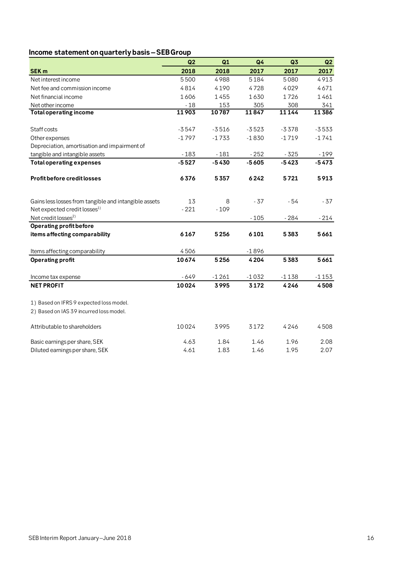# **Income statement on quarterly basis –SEB Group**

|                                                       | Q2      | Q1      | Q4      | Q3      | Q2      |
|-------------------------------------------------------|---------|---------|---------|---------|---------|
| <b>SEK m</b>                                          | 2018    | 2018    | 2017    | 2017    | 2017    |
| Net interest income                                   | 5500    | 4988    | 5184    | 5080    | 4913    |
| Net fee and commission income                         | 4814    | 4190    | 4728    | 4029    | 4671    |
| Net financial income                                  | 1606    | 1455    | 1630    | 1726    | 1461    |
| Net other income                                      | $-18$   | 153     | 305     | 308     | 341     |
| <b>Total operating income</b>                         | 11903   | 10787   | 11847   | 11144   | 11386   |
|                                                       |         |         |         |         |         |
| Staff costs                                           | $-3547$ | $-3516$ | $-3523$ | $-3378$ | $-3533$ |
| Other expenses                                        | $-1797$ | $-1733$ | $-1830$ | $-1719$ | $-1741$ |
| Depreciation, amortisation and impairment of          |         |         |         |         |         |
| tangible and intangible assets                        | $-183$  | $-181$  | $-252$  | $-325$  | $-199$  |
| <b>Total operating expenses</b>                       | $-5527$ | $-5430$ | $-5605$ | $-5423$ | $-5473$ |
| Profit before credit losses                           | 6376    | 5357    | 6242    | 5721    | 5913    |
| Gains less losses from tangible and intangible assets | 13      | 8       | $-37$   | $-54$   | $-37$   |
| Net expected credit losses <sup>1)</sup>              | $-221$  | $-109$  |         |         |         |
| Net credit losses <sup>2)</sup>                       |         |         | $-105$  | $-284$  | $-214$  |
| Operating profit before                               |         |         |         |         |         |
| items affecting comparability                         | 6167    | 5256    | 6101    | 5383    | 5661    |
| Items affecting comparability                         | 4506    |         | $-1896$ |         |         |
| <b>Operating profit</b>                               | 10674   | 5256    | 4204    | 5383    | 5661    |
| Income tax expense                                    | $-649$  | $-1261$ | $-1032$ | $-1138$ | $-1153$ |
| <b>NET PROFIT</b>                                     | 10024   | 3995    | 3172    | 4246    | 4508    |
| 1) Based on IFRS 9 expected loss model.               |         |         |         |         |         |
| 2) Based on IAS 39 incurred loss model.               |         |         |         |         |         |
|                                                       |         |         |         |         |         |
| Attributable to shareholders                          | 10024   | 3995    | 3172    | 4246    | 4508    |
| Basic earnings per share, SEK                         | 4.63    | 1.84    | 1.46    | 1.96    | 2.08    |
| Diluted earnings per share, SEK                       | 4.61    | 1.83    | 1.46    | 1.95    | 2.07    |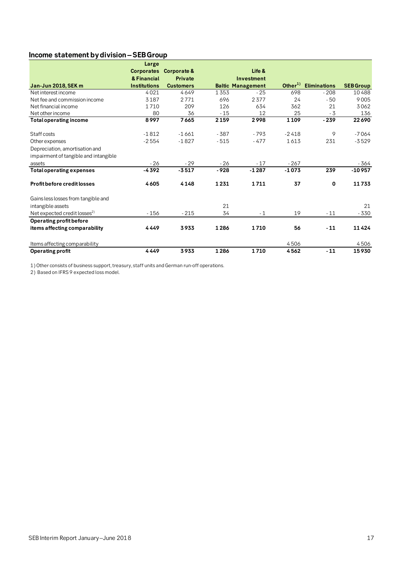# **Income statement by division –SEB Group**

|                                          | Large               |                  |        |                          |           |                     |                  |
|------------------------------------------|---------------------|------------------|--------|--------------------------|-----------|---------------------|------------------|
|                                          | <b>Corporates</b>   | Corporate &      |        | Life &                   |           |                     |                  |
|                                          | & Financial         | <b>Private</b>   |        | Investment               |           |                     |                  |
| <b>Jan-Jun 2018, SEK m</b>               | <b>Institutions</b> | <b>Customers</b> |        | <b>Baltic Management</b> | Other $1$ | <b>Eliminations</b> | <b>SEB Group</b> |
| Net interest income                      | 4021                | 4649             | 1353   | $-25$                    | 698       | $-208$              | 10488            |
| Net fee and commission income            | 3187                | 2771             | 696    | 2377                     | 24        | $-50$               | 9005             |
| Net financial income                     | 1710                | 209              | 126    | 634                      | 362       | 21                  | 3062             |
| Net other income                         | 80                  | 36               | $-15$  | 12                       | 25        | $-3$                | 136              |
| <b>Total operating income</b>            | 8997                | 7665             | 2159   | 2998                     | 1109      | $-239$              | 22690            |
| Staff costs                              | $-1812$             | $-1661$          | $-387$ | $-793$                   | $-2418$   | 9                   | $-7064$          |
| Other expenses                           | $-2554$             | $-1827$          | $-515$ | $-477$                   | 1613      | 231                 | $-3529$          |
| Depreciation, amortisation and           |                     |                  |        |                          |           |                     |                  |
| impairment of tangible and intangible    |                     |                  |        |                          |           |                     |                  |
| assets                                   | $-26$               | $-29$            | - 26   | $-17$                    | $-267$    |                     | - 364            |
| <b>Total operating expenses</b>          | $-4392$             | $-3517$          | $-928$ | $-1287$                  | $-1073$   | 239                 | $-10957$         |
| Profit before credit losses              | 4605                | 4148             | 1231   | 1711                     | 37        | $\mathbf 0$         | 11733            |
| Gains less losses from tangible and      |                     |                  |        |                          |           |                     |                  |
| intangible assets                        |                     |                  | 21     |                          |           |                     | 21               |
| Net expected credit losses <sup>2)</sup> | $-156$              | $-215$           | 34     | $-1$                     | 19        | $-11$               | $-330$           |
| Operating profit before                  |                     |                  |        |                          |           |                     |                  |
| items affecting comparability            | 4449                | 3933             | 1286   | 1710                     | 56        | $-11$               | 11424            |
| Items affecting comparability            |                     |                  |        |                          | 4506      |                     | 4506             |
| <b>Operating profit</b>                  | 4449                | 3933             | 1286   | 1710                     | 4562      | $-11$               | 15930            |

1) Other consists of business support, treasury, staff units and German run-off operations.

2) Based on IFRS 9 expected loss model.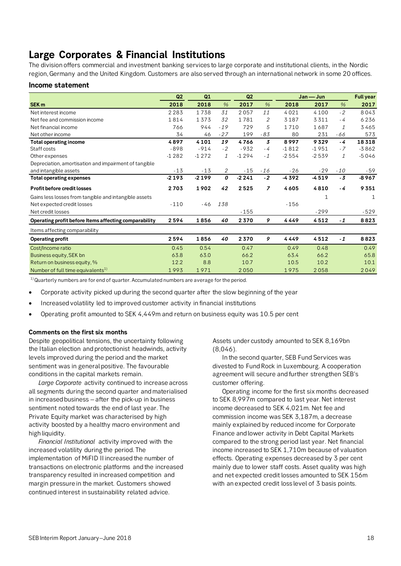# **Large Corporates & Financial Institutions**

The division offers commercial and investment banking services to large corporate and institutional clients, in the Nordic region, Germany and the United Kingdom. Customers are also served through an international network in some 20 offices.

# **Income statement**

|                                                       | Q2      | Q1      |       | Q2<br>$Jan - Jun$ |                |         | <b>Full year</b> |               |         |
|-------------------------------------------------------|---------|---------|-------|-------------------|----------------|---------|------------------|---------------|---------|
| SEK <sub>m</sub>                                      | 2018    | 2018    | %     | 2017              | %              | 2018    | 2017             | $\frac{9}{6}$ | 2017    |
| Net interest income                                   | 2283    | 1738    | 31    | 2057              | 11             | 4021    | 4100             | $-2$          | 8043    |
| Net fee and commission income                         | 1814    | 1373    | 32    | 1781              | 2              | 3187    | 3311             | $-4$          | 6236    |
| Net financial income                                  | 766     | 944     | $-19$ | 729               | 5              | 1710    | 1687             | 1             | 3465    |
| Net other income                                      | 34      | 46      | $-27$ | 199               | $-83$          | 80      | 231              | -66           | 573     |
| Total operating income                                | 4897    | 4101    | 19    | 4766              | 3              | 8997    | 9329             | - 4           | 18318   |
| Staff costs                                           | $-898$  | $-914$  | $-2$  | $-932$            | $-4$           | $-1812$ | $-1951$          | $-7$          | $-3862$ |
| Other expenses                                        | $-1282$ | $-1272$ | 1     | $-1294$           | $-1$           | $-2554$ | $-2539$          | 1             | $-5046$ |
| Depreciation, amortisation and impairment of tangible |         |         |       |                   |                |         |                  |               |         |
| and intangible assets                                 | $-13$   | $-13$   | 2     | $-15$             | $-16$          | $-26$   | $-29$            | $-10$         | $-59$   |
| <b>Total operating expenses</b>                       | $-2193$ | $-2199$ | 0     | $-2241$           | $-2$           | -4392   | $-4519$          | $-3$          | $-8967$ |
| <b>Profit before credit losses</b>                    | 2703    | 1902    | 42    | 2525              | $\overline{z}$ | 4605    | 4810             | - 4           | 9351    |
| Gains less losses from tangible and intangible assets |         |         |       |                   |                |         | 1                |               | 1       |
| Net expected credit losses                            | $-110$  | -46     | 138   |                   |                | $-156$  |                  |               |         |
| Net credit losses                                     |         |         |       | $-155$            |                |         | $-299$           |               | -529    |
| Operating profit before Items affecting comparability | 2594    | 1856    | 40    | 2370              | 9              | 4449    | 4512             | $-1$          | 8823    |
| Items affecting comparability                         |         |         |       |                   |                |         |                  |               |         |
| <b>Operating profit</b>                               | 2594    | 1856    | 40    | 2370              | 9              | 4449    | 4512             | $-1$          | 8823    |
| Cost/Income ratio                                     | 0.45    | 0.54    |       | 0.47              |                | 0.49    | 0.48             |               | 0.49    |
| Business equity, SEK bn                               | 63.8    | 63.0    |       | 66.2              |                | 63.4    | 66.2             |               | 65.8    |
| Return on business equity, %                          | 12.2    | 8.8     |       | 10.7              |                | 10.5    | 10.2             |               | 10.1    |
| Number of full time equivalents <sup>1)</sup>         | 1993    | 1971    |       | 2050              |                | 1975    | 2058             |               | 2049    |

 $^{1)}$ Quarterly numbers are for end of quarter. Accumulated numbers are average for the period.

- Corporate activity picked up during the second quarter after the slow beginning of the year
- Increased volatility led to improved customer activity in financial institutions
- Operating profit amounted to SEK 4,449m and return on business equity was 10.5 per cent

# **Comments on the first six months**

Despite geopolitical tensions, the uncertainty following the Italian election and protectionist headwinds, activity levels improved during the period and the market sentiment was in general positive. The favourable conditions in the capital markets remain.

*Large Corporate* activity continued to increase across all segments during the second quarter and materialised in increased business – after the pick-up in business sentiment noted towards the end of last year. The Private Equity market was characterised by high activity boosted by a healthy macro environment and high liquidity.

*Financial Institutional* activity improved with the increased volatility during the period. The implementation of MiFID II increased the number of transactions on electronic platforms and the increased transparency resulted in increased competition and margin pressure in the market. Customers showed continued interest in sustainability related advice.

Assets under custody amounted to SEK 8,169bn (8,046).

In the second quarter, SEB Fund Services was divested to Fund Rock in Luxembourg. A cooperation agreement will secure and further strengthen SEB's customer offering.

Operating income for the first six months decreased to SEK 8,997m compared to last year. Net interest income decreased to SEK 4,021m. Net fee and commission income was SEK 3,187m, a decrease mainly explained by reduced income for Corporate Finance and lower activity in Debt Capital Markets compared to the strong period last year. Net financial income increased to SEK 1,710m because of valuation effects. Operating expenses decreased by 3 per cent mainly due to lower staff costs. Asset quality was high and net expected credit losses amounted to SEK 156m with an expected credit loss level of 3 basis points.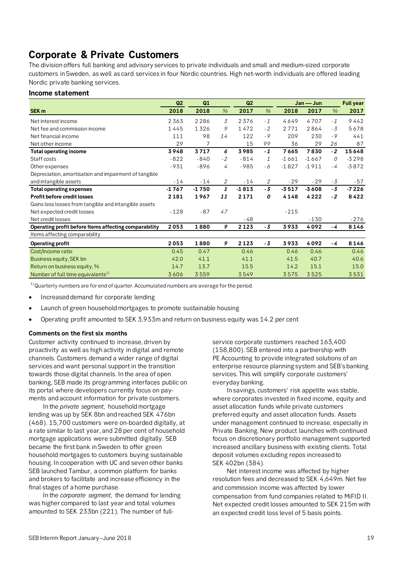# **Corporate & Private Customers**

The division offers full banking and advisory services to private individuals and small and medium-sized corporate customers in Sweden, as well as card services in four Nordic countries. High net-worth individuals are offered leading Nordic private banking services.

# **Income statement**

|                                                       | Q2      | Q1             |               | Q2      |               |         | Jan — Jun |      | <b>Full year</b> |
|-------------------------------------------------------|---------|----------------|---------------|---------|---------------|---------|-----------|------|------------------|
| SEK <sub>m</sub>                                      | 2018    | 2018           | $\frac{0}{6}$ | 2017    | $\%$          | 2018    | 2017      | $\%$ | 2017             |
| Net interest income                                   | 2363    | 2286           | 3             | 2376    | $-1$          | 4649    | 4707      | $-1$ | 9442             |
| Net fee and commission income                         | 1445    | 1326           | 9             | 1472    | $-2$          | 2771    | 2864      | $-3$ | 5678             |
| Net financial income                                  | 111     | 98             | 14            | 122     | $-9$          | 209     | 230       | $-9$ | 441              |
| Net other income                                      | 29      | $\overline{7}$ |               | 15      | 99            | 36      | 29        | 26   | 87               |
| <b>Total operating income</b>                         | 3948    | 3717           | 6             | 3985    | $-1$          | 7665    | 7830      | $-2$ | 15648            |
| Staff costs                                           | $-822$  | $-840$         | $-2$          | $-814$  | $\mathcal{I}$ | $-1661$ | $-1667$   | 0    | $-3298$          |
| Other expenses                                        | $-931$  | $-896$         | 4             | $-985$  | - 6           | $-1827$ | $-1911$   | $-4$ | $-3872$          |
| Depreciation, amortisation and impairment of tangible |         |                |               |         |               |         |           |      |                  |
| and intangible assets                                 | $-14$   | $-14$          | 2             | $-14$   | 2             | $-29$   | $-29$     | $-3$ | -57              |
| <b>Total operating expenses</b>                       | $-1767$ | $-1750$        | 1             | $-1813$ | $-3$          | $-3517$ | $-3608$   | $-3$ | $-7226$          |
| <b>Profit before credit losses</b>                    | 2181    | 1967           | 11            | 2171    | 0             | 4148    | 4222      | $-2$ | 8422             |
| Gains less losses from tangible and intangible assets |         |                |               |         |               |         |           |      |                  |
| Net expected credit losses                            | $-128$  | $-87$          | 47            |         |               | $-215$  |           |      |                  |
| Net credit losses                                     |         |                |               | $-48$   |               |         | $-130$    |      | $-276$           |
| Operating profit before Items affecting comparability | 2053    | 1880           | 9             | 2123    | $-3$          | 3933    | 4092      | - 4  | 8146             |
| Items affecting comparability                         |         |                |               |         |               |         |           |      |                  |
| Operating profit                                      | 2053    | 1880           | 9             | 2123    | $-3$          | 3933    | 4092      | - 4  | 8146             |
| Cost/Income ratio                                     | 0.45    | 0.47           |               | 0.46    |               | 0.46    | 0.46      |      | 0.46             |
| Business equity, SEK bn                               | 42.0    | 41.1           |               | 41.1    |               | 41.5    | 40.7      |      | 40.6             |
| Return on business equity, %                          | 14.7    | 13.7           |               | 15.5    |               | 14.2    | 15.1      |      | 15.0             |
| Number of full time equivalents <sup>1)</sup>         | 3606    | 3559           |               | 3549    |               | 3575    | 3525      |      | 3531             |

 $^{1)}$ Quarterly numbers are for end of quarter. Accumulated numbers are average for the period.

- Increased demand for corporate lending
- Launch of green household mortgages to promote sustainable housing
- Operating profit amounted to SEK 3,933m and return on business equity was 14.2 per cent

# **Comments on the first six months**

Customer activity continued to increase, driven by proactivity as well as high activity in digital and remote channels. Customers demand a wider range of digital services and want personal support in the transition towards those digital channels. In the area of open banking, SEB made its programming interfaces public on its portal where developers currently focus on payments and account information for private customers.

In the *private segment*, household mortgage lending was up by SEK 8bn and reached SEK 476bn (468). 15,700 customers were on-boarded digitally, at a rate similar to last year, and 28 per cent of household mortgage applications were submitted digitally. SEB became the first bank in Sweden to offer green household mortgages to customers buying sustainable housing. In cooperation with UC and seven other banks SEB launched Tambur, a common platform for banks and brokers to facilitate and increase efficiency in the final stages of a home purchase.

In the *corporate segment*, the demand for lending was higher compared to last year and total volumes amounted to SEK 233bn (221). The number of fullservice corporate customers reached 163,400 (158,800). SEB entered into a partnership with PE Accounting to provide integrated solutions of an enterprise resource planning system and SEB's banking services. This will simplify corporate customers' everyday banking.

In savings, customers' risk appetite was stable, where corporates invested in fixed income, equity and asset allocation funds while private customers preferred equity and asset allocation funds. Assets under management continued to increase, especially in Private Banking. New product launches with continued focus on discretionary portfolio management supported increased ancillary business with existing clients. Total deposit volumes excluding repos increased to SEK 402bn (384).

Net interest income was affected by higher resolution fees and decreased to SEK 4,649m. Net fee and commission income was affected by lower compensation from fund companies related to MiFID II. Net expected credit losses amounted to SEK 215m with an expected credit loss level of 5 basis points.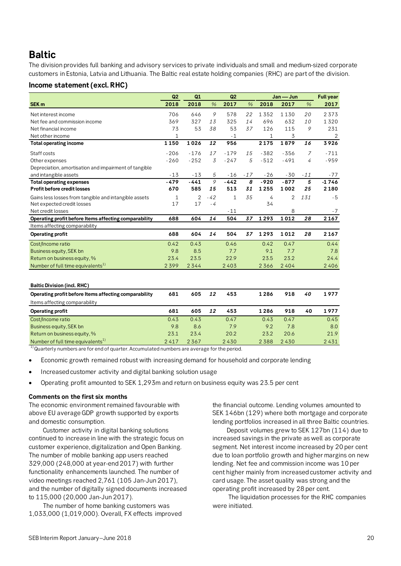# **Baltic**

The division provides full banking and advisory services to private individuals and small and medium-sized corporate customers in Estonia, Latvia and Lithuania. The Baltic real estate holding companies (RHC) are part of the division.

# **Income statement (excl. RHC)**

|                                                       | Q2     | Q1     |       | Q2           |       |        | Jan — Jun      |       | <b>Full year</b> |
|-------------------------------------------------------|--------|--------|-------|--------------|-------|--------|----------------|-------|------------------|
| SEK <sub>m</sub>                                      | 2018   | 2018   | %     | 2017         | %     | 2018   | 2017           | $\%$  | 2017             |
| Net interest income                                   | 706    | 646    | 9     | 578          | 22    | 1352   | 1130           | 20    | 2373             |
| Net fee and commission income                         | 369    | 327    | 13    | 325          | 14    | 696    | 632            | 10    | 1320             |
| Net financial income                                  | 73     | 53     | 38    | 53           | 37    | 126    | 115            | 9     | 231              |
| Net other income                                      | 1      |        |       | $-1$         |       | 1      | 3              |       | 2                |
| <b>Total operating income</b>                         | 1150   | 1026   | 12    | 956          |       | 2175   | 1879           | 16    | 3926             |
| Staff costs                                           | $-206$ | $-176$ | 17    | $-179$       | 15    | $-382$ | $-356$         | 7     | $-711$           |
| Other expenses                                        | $-260$ | $-252$ | 3     | $-247$       | 5     | $-512$ | $-491$         | 4     | $-959$           |
| Depreciation, amortisation and impairment of tangible |        |        |       |              |       |        |                |       |                  |
| and intangible assets                                 | $-13$  | $-13$  | 5     | $-16$        | $-17$ | $-26$  | $-30$          | $-11$ | - 77             |
| <b>Total operating expenses</b>                       | $-479$ | $-441$ | 9     | $-442$       | 8     | $-920$ | $-877$         | 5     | $-1746$          |
| <b>Profit before credit losses</b>                    | 670    | 585    | 15    | 513          | 31    | 1255   | 1002           | 25    | 2180             |
| Gains less losses from tangible and intangible assets | 1      | 2      | $-42$ | $\mathbf{1}$ | 35    | 4      | $\overline{2}$ | 131   | $-5$             |
| Net expected credit losses                            | 17     | 17     | $-4$  |              |       | 34     |                |       |                  |
| Net credit losses                                     |        |        |       | $-11$        |       |        | 8              |       | $-7$             |
| Operating profit before Items affecting comparability | 688    | 604    | 14    | 504          | 37    | 1293   | 1012           | 28    | 2167             |
| Items affecting comparability                         |        |        |       |              |       |        |                |       |                  |
| Operating profit                                      | 688    | 604    | 14    | 504          | 37    | 1293   | 1012           | 28    | 2167             |
| Cost/Income ratio                                     | 0.42   | 0.43   |       | 0.46         |       | 0.42   | 0.47           |       | 0.44             |
| Business equity, SEK bn                               | 9.8    | 8.5    |       | 7.7          |       | 9.1    | 7.7            |       | 7.8              |
| Return on business equity, %                          | 23.4   | 23.5   |       | 22.9         |       | 23.5   | 23.2           |       | 24.4             |
| Number of full time equivalents <sup>1)</sup>         | 2399   | 2344   |       | 2403         |       | 2366   | 2404           |       | 2406             |

| <b>Baltic Division (incl. RHC)</b>                    |      |      |    |      |      |      |    |      |
|-------------------------------------------------------|------|------|----|------|------|------|----|------|
| Operating profit before Items affecting comparability | 681  | 605  | 12 | 453  | 1286 | 918  | 40 | 1977 |
| Items affecting comparability                         |      |      |    |      |      |      |    |      |
| Operating profit                                      | 681  | 605  | 12 | 453  | 1286 | 918  | 40 | 1977 |
| Cost/Income ratio                                     | 0.43 | 0.43 |    | 0.47 | 0.43 | 0.47 |    | 0.45 |
| Business equity, SEK bn                               | 9.8  | 8.6  |    | 7.9  | 9.2  | 7.8  |    | 8.0  |
| Return on business equity, %                          | 23.1 | 23.4 |    | 20.2 | 23.2 | 20.6 |    | 21.9 |
| Number of full time equivalents <sup>1)</sup>         | 2417 | 2367 |    | 2430 | 2388 | 2430 |    | 2431 |

 $1)$ Quarterly numbers are for end of quarter. Accumulated numbers are average for the period.

- Economic growth remained robust with increasing demand for household and corporate lending
- Increased customer activity and digital banking solution usage
- Operating profit amounted to SEK 1,293m and return on business equity was 23.5 per cent

# **Comments on the first six months**

The economic environment remained favourable with above EU average GDP growth supported by exports and domestic consumption.

Customer activity in digital banking solutions continued to increase in line with the strategic focus on customer experience, digitalization and Open Banking. The number of mobile banking app users reached 329,000 (248,000 at year-end 2017) with further functionality enhancements launched. The number of video meetings reached 2,761 (105 Jan-Jun 2017), and the number of digitally signed documents increased to 115,000 (20,000 Jan-Jun 2017).

The number of home banking customers was 1,033,000 (1,019,000). Overall, FX effects improved the financial outcome. Lending volumes amounted to SEK 146bn (129) where both mortgage and corporate lending portfolios increased in all three Baltic countries.

Deposit volumes grew to SEK 127bn (114) due to increased savings in the private as well as corporate segment. Net interest income increased by 20 per cent due to loan portfolio growth and higher margins on new lending. Net fee and commission income was 10 per cent higher mainly from increased customer activity and card usage. The asset quality was strong and the operating profit increased by 28 per cent.

The liquidation processes for the RHC companies were initiated.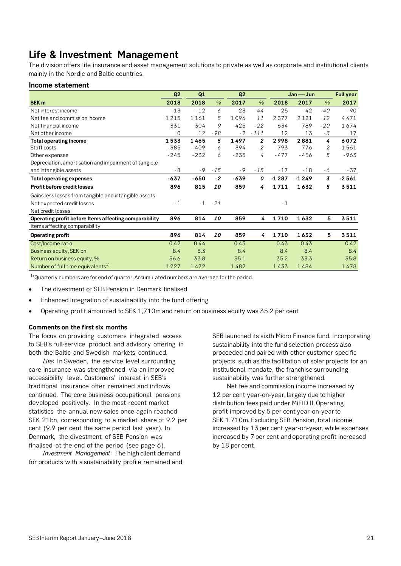# **Life & Investment Management**

The division offers life insurance and asset management solutions to private as well as corporate and institutional clients mainly in the Nordic and Baltic countries.

# **Income statement**

|                                                       | Q2       | Q1     |       | Q <sub>2</sub> |                | Jan — Jun |         |                | <b>Full year</b> |
|-------------------------------------------------------|----------|--------|-------|----------------|----------------|-----------|---------|----------------|------------------|
| SEK <sub>m</sub>                                      | 2018     | 2018   | $\%$  | 2017           | $\%$           | 2018      | 2017    | $\frac{9}{6}$  | 2017             |
| Net interest income                                   | $-13$    | $-12$  | 6     | $-23$          | $-44$          | $-25$     | $-42$   | $-40$          | $-90$            |
| Net fee and commission income                         | 1215     | 1161   | 5     | 1096           | 11             | 2377      | 2121    | 12             | 4471             |
| Net financial income                                  | 331      | 304    | 9     | 425            | $-22$          | 634       | 789     | $-20$          | 1674             |
| Net other income                                      | $\Omega$ | 12     | - 98  | $-2$           | $-111$         | 12        | 13      | $-3$           | 17               |
| <b>Total operating income</b>                         | 1533     | 1465   | 5     | 1497           | $\overline{2}$ | 2998      | 2881    | 4              | 6072             |
| Staff costs                                           | $-385$   | $-409$ | - 6   | $-394$         | $-2$           | $-793$    | $-776$  | 2              | $-1561$          |
| Other expenses                                        | $-245$   | $-232$ | 6     | $-235$         | 4              | $-477$    | $-456$  | 5              | $-963$           |
| Depreciation, amortisation and impairment of tangible |          |        |       |                |                |           |         |                |                  |
| and intangible assets                                 | $-8$     | $-9$   | $-15$ | $-9$           | $-15$          | $-17$     | $-18$   | - 6            | -37              |
| <b>Total operating expenses</b>                       | $-637$   | $-650$ | $-2$  | $-639$         | 0              | $-1287$   | $-1249$ | $\overline{3}$ | $-2561$          |
| Profit before credit losses                           | 896      | 815    | 10    | 859            | 4              | 1711      | 1632    | 5              | 3511             |
| Gains less losses from tangible and intangible assets |          |        |       |                |                |           |         |                |                  |
| Net expected credit losses                            | $-1$     | $-1$   | $-21$ |                |                | $-1$      |         |                |                  |
| Net credit losses                                     |          |        |       |                |                |           |         |                |                  |
| Operating profit before Items affecting comparability | 896      | 814    | 10    | 859            | 4              | 1710      | 1632    | 5              | 3511             |
| Items affecting comparability                         |          |        |       |                |                |           |         |                |                  |
| <b>Operating profit</b>                               | 896      | 814    | 10    | 859            | 4              | 1710      | 1632    | 5              | 3511             |
| Cost/Income ratio                                     | 0.42     | 0.44   |       | 0.43           |                | 0.43      | 0.43    |                | 0.42             |
| Business equity, SEK bn                               | 8.4      | 8.3    |       | 8.4            |                | 8.4       | 8.4     |                | 8.4              |
| Return on business equity, %                          | 36.6     | 33.8   |       | 35.1           |                | 35.2      | 33.3    |                | 35.8             |
| Number of full time equivalents <sup>1)</sup>         | 1227     | 1472   |       | 1482           |                | 1433      | 1484    |                | 1478             |

 $^{1)}$ Quarterly numbers are for end of quarter. Accumulated numbers are average for the period.

- The divestment of SEB Pension in Denmark finalised
- Enhanced integration of sustainability into the fund offering
- Operating profit amounted to SEK 1,710m and return on business equity was 35.2 per cent

# **Comments on the first six months**

The focus on providing customers integrated access to SEB's full-service product and advisory offering in both the Baltic and Swedish markets continued.

*Life*: In Sweden, the service level surrounding care insurance was strengthened via an improved accessibility level. Customers' interest in SEB's traditional insurance offer remained and inflows continued. The core business occupational pensions developed positively. In the most recent market statistics the annual new sales once again reached SEK 21bn, corresponding to a market share of 9.2 per cent (9.9 per cent the same period last year). In Denmark, the divestment of SEB Pension was finalised at the end of the period (see page 6).

*Investment Management*: The high client demand for products with a sustainability profile remained and SEB launched its sixth Micro Finance fund. Incorporating sustainability into the fund selection process also proceeded and paired with other customer specific projects, such as the facilitation of solar projects for an institutional mandate, the franchise surrounding sustainability was further strengthened.

Net fee and commission income increased by 12 per cent year-on-year, largely due to higher distribution fees paid under MiFID II. Operating profit improved by 5 per cent year-on-yearto SEK 1,710m. Excluding SEB Pension, total income increased by 13 per cent year-on-year, while expenses increased by 7 per cent and operating profit increased by 18 per cent.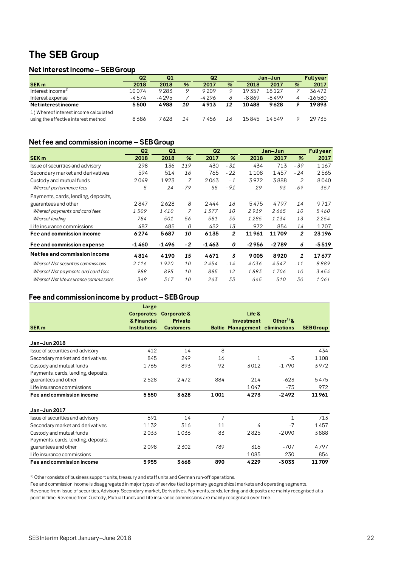# **The SEB Group**

# **Net interest income – SEB Group**

|                                       | Q2      | Q1      |    | Q <sub>2</sub> |    |       | Jan-Jun |   | <b>Full year</b> |
|---------------------------------------|---------|---------|----|----------------|----|-------|---------|---|------------------|
| <b>SEK m</b>                          | 2018    | 2018    | %  | 2017           | %  | 2018  | 2017    | % | 2017             |
| Interest income <sup>1)</sup>         | 10074   | 9283    | ο  | 9209           | Q  | 19357 | 18127   |   | 36472            |
| Interest expense                      | $-4574$ | $-4295$ |    | -4296          | 6  | -8869 | -8499   |   | $-16580$         |
| <b>Netinterestincome</b>              | 5500    | 4988    | 10 | 4913           | 12 | 10488 | 9628    |   | 19893            |
| 1) Whereof interest income calculated |         |         |    |                |    |       |         |   |                  |
| using the effective interest method   | 8686    | 7 628   | 14 | 7 456          | 16 | 15845 | 14549   |   | 29735            |

# **Net fee and commission income – SEB Group**

|                                        | Q <sub>2</sub> | Q <sub>1</sub><br>Q2 |               | Jan-Jun | <b>Full year</b> |         |         |               |         |
|----------------------------------------|----------------|----------------------|---------------|---------|------------------|---------|---------|---------------|---------|
| <b>SEK m</b>                           | 2018           | 2018                 | $\frac{9}{6}$ | 2017    | $\frac{9}{6}$    | 2018    | 2017    | $\frac{9}{6}$ | 2017    |
| Issue of securities and advisory       | 298            | 136                  | 119           | 430     | $-31$            | 434     | 713     | $-39$         | 1167    |
| Secondary market and derivatives       | 594            | 514                  | 16            | 765     | $-22$            | 1108    | 1457    | $-24$         | 2565    |
| Custody and mutual funds               | 2049           | 1923                 | 7             | 2063    | $-1$             | 3972    | 3888    | 2             | 8040    |
| Whereof performance fees               | 5              | 24                   | $-79$         | 55      | - 91             | 29      | 93      | $-69$         | 357     |
| Payments, cards, lending, deposits,    |                |                      |               |         |                  |         |         |               |         |
| guarantees and other                   | 2847           | 2628                 | 8             | 2444    | 16               | 5475    | 4797    | 14            | 9717    |
| Whereof payments and card fees         | 1509           | 1410                 | 7             | 1377    | 10               | 2919    | 2665    | 10            | 5460    |
| Whereof lending                        | 784            | 501                  | 56            | 581     | 35               | 1285    | 1134    | 13            | 2254    |
| Life insurance commissions             | 487            | 485                  | 0             | 432     | 13               | 972     | 854     | 14            | 1707    |
| Fee and commission income              | 6274           | 5687                 | 10            | 6135    | $\overline{2}$   | 11961   | 11709   | 2             | 23196   |
| Fee and commission expense             | $-1460$        | $-1496$              | $-2$          | $-1463$ | 0                | $-2956$ | $-2789$ | 6             | $-5519$ |
| Net fee and commission income          | 4814           | 4190                 | 15            | 4671    | 3                | 9005    | 8920    | 1             | 17677   |
| Whereof Net securities commissions     | 2116           | 1920                 | <i>10</i>     | 2454    | $-14$            | 4036    | 4547    | $-11$         | 8889    |
| Whereof Net payments and card fees     | 988            | 895                  | <i>10</i>     | 885     | 12               | 1883    | 1706    | 10            | 3454    |
| Whereof Net life insurance commissions | 349            | 317                  | <i>10</i>     | 263     | 33               | 665     | 510     | 30            | 1061    |

# **Fee and commission income by product –SEB Group**

|                                     | Large               |                        |      |                                       |                              |                 |
|-------------------------------------|---------------------|------------------------|------|---------------------------------------|------------------------------|-----------------|
|                                     | <b>Corporates</b>   | <b>Corporate &amp;</b> |      | Life &                                |                              |                 |
|                                     | & Financial         | Private                |      | Investment                            | Other <sup>1)</sup> $\delta$ |                 |
| <b>SEK m</b>                        | <b>Institutions</b> | <b>Customers</b>       |      | <b>Baltic Management eliminations</b> |                              | <b>SEBGroup</b> |
| Jan-Jun 2018                        |                     |                        |      |                                       |                              |                 |
| Issue of securities and advisory    | 412                 | 14                     | 8    |                                       |                              | 434             |
| Secondary market and derivatives    | 845                 | 249                    | 16   | 1                                     | $-3\overline{5}$             | 1108            |
| Custody and mutual funds            | 1765                | 893                    | 92   | 3012                                  | $-1790$                      | 3972            |
| Payments, cards, lending, deposits, |                     |                        |      |                                       |                              |                 |
| guarantees and other                | 2528                | 2472                   | 884  | 214                                   | $-623$                       | 5475            |
| Life insurance commissions          |                     |                        |      | 1047                                  | $-75$                        | 972             |
| Fee and commission income           | 5550                | 3628                   | 1001 | 4273                                  | $-2492$                      | 11961           |
| Jan-Jun 2017                        |                     |                        |      |                                       |                              |                 |
| Issue of securities and advisory    | 691                 | 14                     | 7    |                                       | $\mathbf{1}$                 | 713             |
| Secondary market and derivatives    | 1132                | 316                    | 11   | 4                                     | $-7$                         | 1457            |
| Custody and mutual funds            | 2033                | 1036                   | 83   | 2825                                  | $-2090$                      | 3888            |
| Payments, cards, lending, deposits, |                     |                        |      |                                       |                              |                 |
| guarantees and other                | 2098                | 2302                   | 789  | 316                                   | $-707$                       | 4797            |
| Life insurance commissions          |                     |                        |      | 1085                                  | $-230$                       | 854             |
| Fee and commission income           | 5955                | 3668                   | 890  | 4229                                  | $-3033$                      | 11709           |

 $^{\rm 1)}$  Other consists of business support units, treasury and staff units and German run-off operations.

Fee and commission income is disaggregated in major types of service tied to primary geographical markets and operating segments.

Revenue from Issue of securities, Advisory, Secondary market, Derivatives, Payments, cards, lending and deposits are mainly recognised at a point in time. Revenue from Custody, Mutual funds and Life insurance commissions are mainly recognised over time.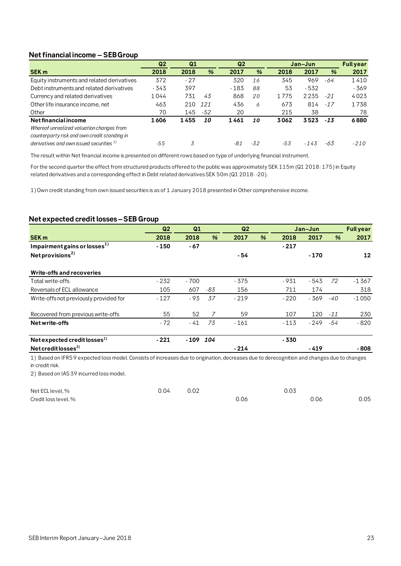# **Net financial income – SEB Group**

|                                               | Q <sub>2</sub> | Q <sub>2</sub><br>Q <sub>1</sub> |     | Jan-Jun |               |       | <b>Fullyear</b> |       |        |
|-----------------------------------------------|----------------|----------------------------------|-----|---------|---------------|-------|-----------------|-------|--------|
| <b>SEK m</b>                                  | 2018           | 2018                             | %   | 2017    | $\frac{9}{6}$ | 2018  | 2017            | %     | 2017   |
| Equity instruments and related derivatives    | 372            | $-27$                            |     | 320     | 16            | 345   | 969             | -64   | 1410   |
| Debt instruments and related derivatives      | $-343$         | 397                              |     | $-183$  | 88            | 53    | $-532$          |       | - 369  |
| Currency and related derivatives              | 1044           | 731                              | 43  | 868     | 20            | 1775  | 2235            | $-21$ | 4023   |
| Other life insurance income, net              | 463            | 210                              | 121 | 436     | 6             | 673   | 814             | $-17$ | 1738   |
| Other                                         | 70             | 145                              | -52 | 20      |               | 215   | 38              |       | 78     |
| Net financial income                          | 1606           | 1455                             | 10  | 1461    | 10            | 3062  | 3523            | $-13$ | 6880   |
| Whereof unrealized valuation changes from     |                |                                  |     |         |               |       |                 |       |        |
| counterparty risk and own credit standing in  |                |                                  |     |         |               |       |                 |       |        |
| derivatives and own issued securities $^{1)}$ | $-55$          | 3                                |     | -81     | $-32$         | $-53$ | $-143$          | -63   | $-210$ |

The result within Net financial income is presented on different rows based on type of underlying financial instrument.

For the second quarter the effect from structured products offered to the public was approximately SEK 115m (Q1 2018: 175) in Equity related derivatives and a corresponding effect in Debt related derivatives SEK 50m (Q1 2018: -20).

1) Own credit standing from own issued securities is as of 1 January 2018 presented in Other comprehensive income.

# **Net expected credit losses –SEB Group**

|                                          | Q <sub>2</sub> | Q1           |     | Q <sub>2</sub> |   |        | Jan-Jun |       | <b>Fullyear</b> |
|------------------------------------------|----------------|--------------|-----|----------------|---|--------|---------|-------|-----------------|
| <b>SEK m</b>                             | 2018           | 2018         | %   | 2017           | % | 2018   | 2017    | %     | 2017            |
| Impairment gains or losses <sup>1)</sup> | $-150$         | $-67$        |     |                |   | $-217$ |         |       |                 |
| Net provisions <sup>2)</sup>             |                |              |     | - 54           |   |        | $-170$  |       | 12              |
| Write-offs and recoveries                |                |              |     |                |   |        |         |       |                 |
| Total write-offs                         | $-232$         | - 700        |     | $-375$         |   | - 931  | - 543   | 72    | -1367           |
| Reversals of ECL allowance               | 105            | 607          | -83 | 156            |   | 711    | 174     |       | 318             |
| Write-offs not previously provided for   | $-127$         | $-93$        | 37  | $-219$         |   | $-220$ | $-369$  | -40   | $-1050$         |
| Recovered from previous write-offs       | 55             | 52           | 7   | 59             |   | 107    | 120     | $-11$ | 230             |
| Net write-offs                           | $-72$          | - 41         | 73  | $-161$         |   | $-113$ | - 249   | -54   | $-820$          |
| Net expected credit losses $^{1)}$       | $-221$         | $-109$ $104$ |     |                |   | $-330$ |         |       |                 |
| Net credit losses <sup>2)</sup>          |                |              |     | $-214$         |   |        | $-419$  |       | - 808           |

1) Based on IFRS 9 expected loss model. Consists of increases due to origination, decreases due to derecognition and changes due to changes in credit risk.

2) Based on IAS 39 incurred loss model.

| Net ECL level, %     | 0.04 | 0.02 |      | 0.03 |      |
|----------------------|------|------|------|------|------|
| Credit loss level, % |      |      | 0.06 | 0.06 | 0.05 |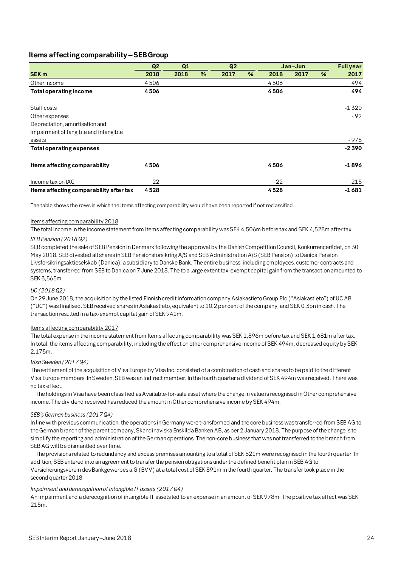# **Items affecting comparability –SEB Group**

|                                         | Q <sub>2</sub> | Q1   |   | Q <sub>2</sub> |               |      | Jan-Jun |   | <b>Full year</b> |
|-----------------------------------------|----------------|------|---|----------------|---------------|------|---------|---|------------------|
| <b>SEK m</b>                            | 2018           | 2018 | % | 2017           | $\frac{9}{6}$ | 2018 | 2017    | % | 2017             |
| Other income                            | 4506           |      |   |                |               | 4506 |         |   | 494              |
| <b>Total operating income</b>           | 4506           |      |   |                |               | 4506 |         |   | 494              |
| Staff costs                             |                |      |   |                |               |      |         |   | $-1320$          |
| Other expenses                          |                |      |   |                |               |      |         |   | $-92$            |
| Depreciation, amortisation and          |                |      |   |                |               |      |         |   |                  |
| impairment of tangible and intangible   |                |      |   |                |               |      |         |   |                  |
| assets                                  |                |      |   |                |               |      |         |   | - 978            |
| <b>Total operating expenses</b>         |                |      |   |                |               |      |         |   | $-2390$          |
| Items affecting comparability           | 4506           |      |   |                |               | 4506 |         |   | -1896            |
| Income tax on IAC                       | 22             |      |   |                |               | 22   |         |   | 215              |
| Items affecting comparability after tax | 4528           |      |   |                |               | 4528 |         |   | $-1681$          |

The table shows the rows in which the Items affecting comparability would have been reported if not reclassified.

### Items affecting comparability 2018

The total income in the income statement from Items affecting comparability was SEK 4,506m before tax and SEK 4,528m after tax.

### *SEB Pension (2018 Q2)*

SEB completed the sale of SEB Pension in Denmark following the approval by the Danish Competition Council, Konkurrencerådet, on 30 May 2018. SEB divested all shares in SEB Pensionsforsikring A/S and SEB Administration A/S (SEB Pension) to Danica Pension Livsforsikringsaktieselskab (Danica), a subsidiary to Danske Bank. The entire business, including employees, customer contracts and systems, transferred from SEB to Danica on 7 June 2018. The to a large extent tax-exempt capital gain from the transaction amounted to SEK 3,565m.

## *UC (2018 Q2)*

On 29 June 2018, the acquisition by the listed Finnish credit information company Asiakastieto Group Plc ("Asiakastieto") of UC AB ("UC") was finalised. SEB received shares in Asiakastieto, equivalent to 10.2 per cent of the company, and SEK 0.3bn in cash. The transaction resulted in a tax-exempt capital gain of SEK 941m.

### Items affecting comparability 2017

The total expense in the income statement from Items affecting comparability was SEK 1,896m before tax and SEK 1,681m after tax. In total, the items affecting comparability, including the effect on other comprehensive income of SEK 494m, decreased equity by SEK 2,175m.

### *Visa Sweden (2017 Q4)*

The settlement of the acquisition of Visa Europe by Visa Inc. consisted of a combination of cash and shares to be paid to the different Visa Europe members. In Sweden, SEB was an indirect member. In the fourth quarter a dividend of SEK 494m was received. There was no tax effect.

 The holdings in Visa have been classified as Available-for-sale asset where the change in value is recognised in Other comprehensive income. The dividend received has reduced the amount in Other comprehensive income by SEK 494m.

### *SEB's German business (2017 Q4)*

In line with previous communication, the operations in Germany were transformed and the core business was transferred from SEB AG to the German branch of the parent company, Skandinaviska Enskilda Banken AB, as per 2 January 2018. The purpose of the change is to simplify the reporting and administration of the German operations. The non-core business that was not transferred to the branch from SEB AG will be dismantled over time.

 The provisions related to redundancy and excess premises amounting to a total of SEK 521m were recognised in the fourth quarter. In addition, SEB entered into an agreement to transfer the pension obligations under the defined benefit plan in SEB AG to Versicherungsverein des Bankgewerbes a.G (BVV) at a total cost of SEK 891m in the fourth quarter. The transfer took place in the second quarter 2018.

# *Impairment and derecognition of intangible IT assets (2017 Q4)*

An impairment and a derecognition of intangible IT assets led to an expense in an amount of SEK 978m. The positive tax effect was SEK 215m.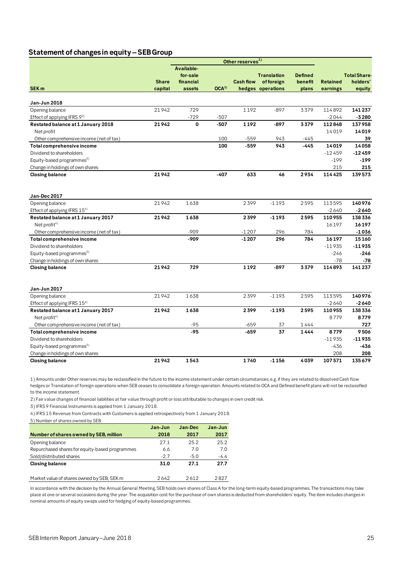# **Statement of changes in equity –SEB Group**

|                                         |              |             |                  | Other reserves <sup>1)</sup> |                    |                |                 |              |
|-----------------------------------------|--------------|-------------|------------------|------------------------------|--------------------|----------------|-----------------|--------------|
|                                         |              | Available-  |                  |                              |                    |                |                 |              |
|                                         |              | for-sale    |                  |                              | <b>Translation</b> | <b>Defined</b> |                 | Total Share- |
|                                         | <b>Share</b> | financial   |                  | <b>Cash flow</b>             | offoreign          | benefit        | <b>Retained</b> | holders'     |
| SEK <sub>m</sub>                        | capital      | assets      | OCA <sup>2</sup> |                              | hedges operations  | plans          | earnings        | equity       |
|                                         |              |             |                  |                              |                    |                |                 |              |
| Jan-Jun 2018                            |              |             |                  |                              |                    |                |                 |              |
| Opening balance                         | 21942        | 729         |                  | 1192                         | $-897$             | 3379           | 114892          | 141237       |
| Effect of applying IFRS $9^{3}$         |              | $-729$      | $-507$           |                              |                    |                | $-2044$         | $-3280$      |
| Restated balance at 1 January 2018      | 21942        | $\mathbf 0$ | $-507$           | 1192                         | -897               | 3379           | 112848          | 137958       |
| Net profit                              |              |             |                  |                              |                    |                | 14019           | 14019        |
| Other comprehensive income (net of tax) |              |             | 100              | $-559$                       | 943                | $-445$         |                 | 39           |
| Total comprehensive income              |              |             | 100              | -559                         | 943                | $-445$         | 14019           | 14058        |
| Dividend to shareholders                |              |             |                  |                              |                    |                | $-12459$        | $-12459$     |
| Equity-based programmes <sup>5)</sup>   |              |             |                  |                              |                    |                | $-199$          | -199         |
| Change in holdings of own shares        |              |             |                  |                              |                    |                | 215             | 215          |
| <b>Closing balance</b>                  | 21942        |             | $-407$           | 633                          | 46                 | 2934           | 114425          | 139573       |
|                                         |              |             |                  |                              |                    |                |                 |              |
|                                         |              |             |                  |                              |                    |                |                 |              |
| Jan-Dec 2017                            |              |             |                  |                              |                    |                |                 |              |
| Opening balance                         | 21942        | 1638        |                  | 2399                         | $-1193$            | 2595           | 113595          | 140976       |
| Effect of applying IFRS $15^{4}$        |              |             |                  |                              |                    |                | $-2640$         | $-2640$      |
| Restated balance at 1 January 2017      | 21942        | 1638        |                  | 2399                         | $-1193$            | 2595           | 110955          | 138336       |
| Net profit <sup>4)</sup>                |              |             |                  |                              |                    |                | 16197           | 16197        |
| Other comprehensive income (net of tax) |              | $-909$      |                  | $-1207$                      | 296                | 784            |                 | $-1036$      |
| Total comprehensive income              |              | -909        |                  | $-1207$                      | 296                | 784            | 16197           | 15160        |
| Dividend to shareholders                |              |             |                  |                              |                    |                | $-11935$        | $-11935$     |
| Equity-based programmes <sup>5)</sup>   |              |             |                  |                              |                    |                | $-246$          | $-246$       |
| Change in holdings of own shares        |              |             |                  |                              |                    |                | $-78$           | $-78$        |
| <b>Closing balance</b>                  | 21942        | 729         |                  | 1192                         | -897               | 3379           | 114893          | 141237       |
|                                         |              |             |                  |                              |                    |                |                 |              |
| Jan-Jun 2017                            |              |             |                  |                              |                    |                |                 |              |
| Opening balance                         | 21942        | 1638        |                  | 2399                         | $-1193$            | 2595           | 113595          | 140976       |
| Effect of applying IFRS 154)            |              |             |                  |                              |                    |                | $-2640$         | $-2640$      |
| Restated balance at 1 January 2017      | 21942        | 1638        |                  | 2399                         | $-1193$            | 2595           | 110955          | 138336       |
| Net profit $4$ )                        |              |             |                  |                              |                    |                | 8779            | 8779         |
| Other comprehensive income (net of tax) |              | $-95$       |                  | $-659$                       | 37                 | 1444           |                 | 727          |
| Total comprehensive income              |              | $-95$       |                  | -659                         | 37                 | 1444           | 8779            | 9506         |
| Dividend to shareholders                |              |             |                  |                              |                    |                | $-11935$        | $-11935$     |
|                                         |              |             |                  |                              |                    |                |                 |              |
| Equity-based programmes <sup>5)</sup>   |              |             |                  |                              |                    |                | $-436$          | -436         |
| Change in holdings of own shares        |              |             |                  |                              |                    |                | 208             | 208          |
| <b>Closing balance</b>                  | 21942        | 1543        |                  | 1740                         | $-1156$            | 4039           | 107571          | 135679       |

1) Amounts under Other reserves may be reclassified in the future to the income statement under certain circumstances, e.g. if they are related to dissolved Cash flow hedges or Translation of foreign operations when SEB ceases to consolidate a foreign operation. Amounts related to OCA and Defined benefit plans will not be reclassified to the income statement.

2) Fair value changes of financial liabilities at fair value through profit or loss attributable to changes in own credit risk.

3) IFRS 9 Financial Instruments is applied from 1 January 2018.

4) IFRS 15 Revenue from Contracts with Customers is applied retrospectively from 1 January 2018.

| 5) Number of shares owned by SEB:              |         |         |         |
|------------------------------------------------|---------|---------|---------|
|                                                | Jan-Jun | Jan-Dec | Jan-Jun |
| Number of shares owned by SEB, million         | 2018    | 2017    | 2017    |
| Opening balance                                | 271     | 25.2    | 25.2    |
| Repurchased shares for equity-based programmes | 6.6     | 70      | 7 O     |
| Sold/distributed shares                        | $-27$   | $-5.0$  | $-4.4$  |
| <b>Closing balance</b>                         | 31.0    | 27.1    | 27.7    |
| Market value of shares owned by SEB, SEK m     | 2642    | 2612    | 2827    |

In accordance with the decision by the Annual General Meeting, SEB holds own shares of Class A for the long-term equity-based programmes. The transactions may take place at one or several occasions during the year. The acquisition cost for the purchase of own shares is deducted from shareholders' equity. The item includes changes in nominal amounts of equity swaps used for hedging of equity-based programmes.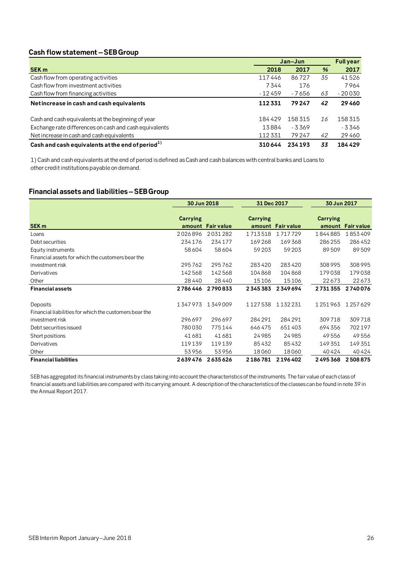# **Cash flow statement –SEBGroup**

|                                                        |          | Jan-Jun |               | <b>Full year</b> |
|--------------------------------------------------------|----------|---------|---------------|------------------|
| <b>SEK m</b>                                           | 2018     | 2017    | $\frac{9}{6}$ | 2017             |
| Cash flow from operating activities                    | 117446   | 86727   | 35            | 41526            |
| Cash flow from investment activities                   | 7344     | 176     |               | 7964             |
| Cash flow from financing activities                    | $-12459$ | - 7656  | 63            | $-20030$         |
| Net increase in cash and cash equivalents              | 112331   | 79247   | 42            | 29460            |
| Cash and cash equivalents at the beginning of year     | 184429   | 158315  | 16            | 158315           |
| Exchange rate differences on cash and cash equivalents | 13884    | - 3369  |               | - 3 346          |
| Net increase in cash and cash equivalents              | 112331   | 79247   | 42            | 29460            |
| Cash and cash equivalents at the end of period $^{1)}$ | 310644   | 234193  | 33            | 184429           |

1) Cash and cash equivalents at the end of period is defined as Cash and cash balances with central banks and Loans to other credit institutions payable on demand.

# **Financial assets and liabilities –SEB Group**

|                                                        | 30 Jun 2018 |                   | 31 Dec 2017     |                   | 30 Jun 2017               |                   |
|--------------------------------------------------------|-------------|-------------------|-----------------|-------------------|---------------------------|-------------------|
| SEK <sub>m</sub>                                       | Carrying    | amount Fair value | <b>Carrying</b> | amount Fair value | <b>Carrying</b><br>amount | <b>Fair value</b> |
| Loans                                                  | 2026896     | 2031282           | 1713518         | 1717729           | 1844885                   | 1853409           |
| Debt securities                                        | 234176      | 234177            | 169268          | 169368            | 286255                    | 286452            |
| Equity instruments                                     | 58604       | 58604             | 59 203          | 59 203            | 89509                     | 89509             |
| Financial assets for which the customers bear the      |             |                   |                 |                   |                           |                   |
| investment risk                                        | 295762      | 295762            | 283420          | 283420            | 308995                    | 308995            |
| Derivatives                                            | 142568      | 142568            | 104868          | 104868            | 179038                    | 179038            |
| Other                                                  | 28440       | 28440             | 15106           | 15106             | 22673                     | 22673             |
| <b>Financial assets</b>                                | 2786446     | 2790833           | 2345383         | 2349694           | 2731355                   | 2740076           |
| Deposits                                               | 1347973     | 1349009           | 1127538         | 1132231           | 1251963                   | 1257629           |
| Financial liabilities for which the customers bear the |             |                   |                 |                   |                           |                   |
| investment risk                                        | 296697      | 296697            | 284 291         | 284 291           | 309718                    | 309718            |
| Debt securities issued                                 | 780030      | 775144            | 646475          | 651403            | 694356                    | 702197            |
| Short positions                                        | 41681       | 41681             | 24985           | 24985             | 49556                     | 49556             |
| Derivatives                                            | 119139      | 119139            | 85432           | 85432             | 149351                    | 149351            |
| Other                                                  | 53956       | 53956             | 18060           | 18060             | 40424                     | 40424             |
| <b>Financial liabilities</b>                           | 2639476     | 2635626           | 2186781         | 2196402           | 2495368                   | 2508875           |

SEB has aggregated its financial instruments by class taking into account the characteristics of the instruments. The fair value of each class of financial assets and liabilities are compared with its carrying amount. A description of the characteristics of the classes can be found in note 39 in the Annual Report 2017.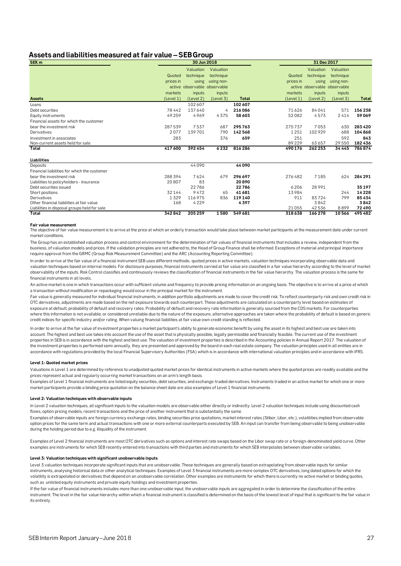# **Assets and liabilities measured at fair value –SEB Group**

| SEK <sub>m</sub>                             |           | 30 Jun 2018                  |                  |              |           | 31 Dec 2017                  |            |              |
|----------------------------------------------|-----------|------------------------------|------------------|--------------|-----------|------------------------------|------------|--------------|
|                                              |           | Valuation                    | Valuation        |              |           | Valuation                    | Valuation  |              |
|                                              | Quoted    | technique                    | technique        |              | Quoted    | technique                    | technique  |              |
|                                              | prices in |                              | using using non- |              | prices in | using                        | using non- |              |
|                                              |           | active observable observable |                  |              |           | active observable observable |            |              |
|                                              | markets   | inputs                       | inputs           |              | markets   | inputs                       | inputs     |              |
| <b>Assets</b>                                | (Level 1) | (Level 2)                    | (Level 3)        | <b>Total</b> | (Level 1) | (Level 2)                    | (Level 3)  | <b>Total</b> |
| Loans                                        |           | 102607                       |                  | 102607       |           |                              |            |              |
| Debt securities                              | 78442     | 137640                       | $\overline{4}$   | 216086       | 71626     | 84041                        | 571        | 156238       |
| Equity instruments                           | 49 259    | 4969                         | 4375             | 58 603       | 52082     | 4573                         | 2414       | 59069        |
| Financial assets for which the customer      |           |                              |                  |              |           |                              |            |              |
| bear the investment risk                     | 287539    | 7537                         | 687              | 295763       | 275737    | 7053                         | 630        | 283420       |
| Derivatives                                  | 2077      | 139701                       | 790              | 142568       | 1251      | 102929                       | 688        | 104868       |
| Investment in associates                     | 283       |                              | 376              | 659          | 251       |                              | 592        | 843          |
| Non-current assets held for sale             |           |                              |                  |              | 89 229    | 63 657                       | 29 5 50    | 182436       |
| Total                                        | 417600    | 392454                       | 6232             | 816286       | 490 176   | 262 253                      | 34 4 45    | 786874       |
| Liabilities                                  |           |                              |                  |              |           |                              |            |              |
| Deposits                                     |           | 44090                        |                  | 44090        |           |                              |            |              |
| Financial liabilities for which the customer |           |                              |                  |              |           |                              |            |              |
| bear the investment risk                     | 288394    | 7624                         | 679              | 296 697      | 276482    | 7185                         | 624        | 284 291      |
| Liabilities to policyholders - insurance     | 20807     | 83                           |                  | 20890        |           |                              |            |              |
| Debt securities issued                       |           | 22786                        |                  | 22786        | 6 206     | 28991                        |            | 35 197       |
| Short positions                              | 32144     | 9472                         | 65               | 41681        | 13984     |                              | 244        | 14228        |
| Derivatives                                  | 1329      | 116975                       | 836              | 119140       | 911       | 83724                        | 799        | 85434        |
| Other financial liabilities at fair value    | 168       | 4229                         |                  | 4397         |           | 3842                         |            | 3842         |
| Liabilities in disposal groups held for sale |           |                              |                  |              | 21055     | 42536                        | 8899       | 72490        |
| Total                                        | 342842    | 205 259                      | 1580             | 549681       | 318638    | 166 278                      | 10566      | 495482       |

#### **Fair value measurement**

The objective of fair value measurement is to arrive at the price at which an orderly transaction would take place between market participants at the measurement date under current market conditions.

The Group has an established valuation process and control environment for the determination of fair values of financial instruments that includes a review, independent from the business, of valuation models and prices. If the validation principles are not adhered to, the Head of Group Finance shall be informed. Exceptions of material and principal importance require approval from the GRMC (Group Risk Measurement Committee) and the ARC (Accounting Reporting Committee).

In order to arrive at the fair value of a financial instrument SEB uses different methods; quoted prices in active markets, valuation techniques incorporating observable data and valuation techniques based on internal models. For disclosure purposes, financial instruments carried at fair value are classified in a fair value hierarchy according to the level of market observability of the inputs. Risk Control classifies and continuously reviews the classification of financial instruments in the fair value hierarchy. The valuation process is the same for financial instruments in all levels.

An active market is one in which transactions occur with sufficient volume and frequency to provide pricing information on an ongoing basis. The objective is to arrive at a price at which a transaction without modification or repackaging would occur in the principal market for the instrument.

Fair value is generally measured for individual financial instruments, in addition portfolio adjustments are made to cover the credit risk. To reflect counterparty risk and own credit risk in OTC derivatives, adjustments are made based on the net exposure towards each counterpart. These adjustments are calculated on a counterparty level based on estimates of exposure at default, probability of default and recovery rates. Probability of default and recovery rate information is generally sourced from the CDS markets. For counterparties where this information is not available, or considered unreliable due to the nature of the exposure, alternative approaches are taken where the probability of default is based on generic credit indices for specific industry and/or rating. When valuing financial liabilities at fair value own credit standing is reflected.

In order to arrive at the fair value of investment properties a market participant's ability to generate economic benefit by using the asset in its highest and best use are taken into account. The highest and best use takes into account the use of the asset that is physically possible, legally permissible and financially feasible. The current use of the investment properties in SEB is in accordance with the highest and best use. The valuation of investment properties is described in the Accounting policies in Annual Report 2017. The valuation of the investment properties is performed semi-annually, they are presented and approved by the board in each real estate company. The valuation principles used in all entities are in accordance with regulations provided by the local Financial Supervisory Authorities (FSA) which is in accordance with international valuation principles and in accordance with IFRS.

#### **Level 1: Quoted market prices**

Valuations in Level 1 are determined by reference to unadjusted quoted market prices for identical instruments in active markets where the quoted prices are readily available and the prices represent actual and regularly occurring market transactions on an arm's length basis.

Examples of Level 1 financial instruments are listed equity securities, debt securities, and exchange-traded derivatives. Instruments traded in an active market for which one or more market participants provide a binding price quotation on the balance sheet date are also examples of Level 1 financial instruments.

#### **Level 2: Valuation techniques with observable inputs**

In Level 2 valuation techniques, all significant inputs to the valuation models are observable either directly or indirectly. Level 2 valuation techniques include using discounted cash flows, option pricing models, recent transactions and the price of another instrument that is substantially the same.

Examples of observable inputs are foreign currency exchange rates, binding securities price quotations, market interest rates (Stibor, Libor, etc.), volatilities implied from observable option prices for the same term and actual transactions with one or more external counterparts executed by SEB. An input can transfer from being observable to being unobservable during the holding period due to e.g. illiquidity of the instrument.

Examples of Level 2 financial instruments are most OTC derivatives such as options and interest rate swaps based on the Libor swap rate or a foreign-denominated yield curve. Other examples are instruments for which SEB recently entered into transactions with third parties and instruments for which SEB interpolates between observable variables.

#### **Level 3: Valuation techniques with significant unobservable inputs**

Level 3 valuation techniques incorporate significant inputs that are unobservable. These techniques are generally based on extrapolating from observable inputs for similar instruments, analysing historical data or other analytical techniques. Examples of Level 3 financial instruments are more complex OTC derivatives, long dated options for which the volatility is extrapolated or derivatives that depend on an unobservable correlation. Other examples are instruments for which there is currently no active market or binding quotes, such as unlisted equity instruments and private equity holdings and investment properties.

If the fair value of financial instruments includes more than one unobservable input, the unobservable inputs are aggregated in order to determine the classification of the entire instrument. The level in the fair value hierarchy within which a financial instrument is classified is determined on the basis of the lowest level of input that is significant to the fair value in its entirety.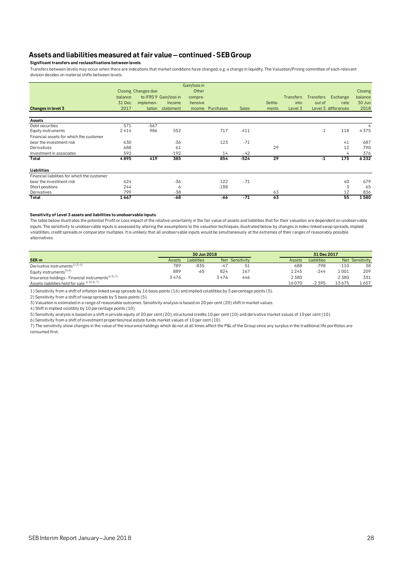# **Assets and liabilities measured at fair value –continued - SEB Group**

**Significant transfers and reclassifications between levels**

Transfers between levels may occur when there are indications that market conditions have changed, e.g. a change in liquidity. The Valuation/Pricing committee of each relevant division decides on material shifts between levels.

|                                              |         | <b>Closing Changes due</b> |                        | Gain/loss in<br>Other |           |              |         |                  |           |                     | Closing |
|----------------------------------------------|---------|----------------------------|------------------------|-----------------------|-----------|--------------|---------|------------------|-----------|---------------------|---------|
|                                              | balance |                            | to IFRS 9 Gain/loss in | compre-               |           |              |         | <b>Transfers</b> | Transfers | Exchange            | balance |
|                                              | 31 Dec  | implemen-                  | Income                 | hensive               |           |              | Settle- | into             | out of    | rate                | 30 Jun  |
| Changes in level 3                           | 2017    | tation                     | statement              | <i>income</i>         | Purchases | <b>Sales</b> | ments   | Level 3          |           | Level 3 differences | 2018    |
| Assets                                       |         |                            |                        |                       |           |              |         |                  |           |                     |         |
| Debt securities                              | 571     | $-567$                     |                        |                       |           |              |         |                  |           |                     | 4       |
| Equity instruments                           | 2414    | 986                        | 552                    |                       | 717       | $-411$       |         |                  | $-1$      | 118                 | 4375    |
| Financial assets for which the customer      |         |                            |                        |                       |           |              |         |                  |           |                     |         |
| bear the investment risk                     | 630     |                            | -36                    |                       | 123       | $-71$        |         |                  |           | 41                  | 687     |
| Derivatives                                  | 688     |                            | 61                     |                       |           |              | 29      |                  |           | 12                  | 790     |
| Investment in associates                     | 592     |                            | $-192$                 |                       | 14        | $-42$        |         |                  |           | 4                   | 376     |
| Total                                        | 4895    | 419                        | 385                    |                       | 854       | $-524$       | 29      |                  | $-1$      | 175                 | 6232    |
| Liabilities                                  |         |                            |                        |                       |           |              |         |                  |           |                     |         |
| Financial liabilities for which the customer |         |                            |                        |                       |           |              |         |                  |           |                     |         |
| bear the investment risk                     | 624     |                            | $-36$                  |                       | 122       | $-71$        |         |                  |           | 40                  | 679     |
| Short positions                              | 244     |                            | 6                      |                       | $-188$    |              |         |                  |           | 3                   | 65      |
| Derivatives                                  | 799     |                            | $-38$                  |                       |           |              | 63      |                  |           | 12                  | 836     |
| Total                                        | 1667    |                            | $-68$                  |                       | -66       | $-71$        | 63      |                  |           | 55                  | 1580    |

#### **Sensitivity of Level 3 assets and liabilities to unobservable inputs**

The table below illustrates the potential Profit or Loss impact of the relative uncertainty in the fair value of assets and liabilities that for their valuation are dependent on unobservable inputs. The sensitivity to unobservable inputs is assessed by altering the assumptions to the valuation techniques, illustrated below by changes in index-linked swap spreads, implied volatilities, credit spreads or comparator multiples. It is unlikely that all unobservable inputs would be simultaneously at the extremes of their ranges of reasonably possible alternatives.

|                                                                |               | 30 Jun 2018        |       |                 |               | 31 Dec 2017 |        |                 |
|----------------------------------------------------------------|---------------|--------------------|-------|-----------------|---------------|-------------|--------|-----------------|
| SEK <sub>m</sub>                                               | <b>Assets</b> | <b>Liabilities</b> |       | Net Sensitivity | <b>Assets</b> | Liabilities |        | Net Sensitivity |
| Derivative instruments <sup>1) 2) 4)</sup>                     | 789           | -835               | $-47$ | 51              | 688           | $-798$      | $-110$ | 38              |
| Equity instruments <sup>3) 6)</sup>                            | 889           | $-65$              | 824   | 167             | 1245          | $-244$      | 1 001  | 209             |
| Insurance holdings - Financial instruments <sup>4) 5) 7)</sup> | 3476          |                    | 3476  | 446             | 2380          |             | 2380   | 331             |
| Assets-liabilities held for sale 4) 5) 6) 7)                   |               |                    |       |                 | 16070         | $-2.395$    | 13675  | . 657           |

1) Sensitivity from a shift of inflation linked swap spreads by 16 basis points (16) and implied volatilities by 5 percentage points (5).

2) Sensitivity from a shift of swap spreads by 5 basis points (5).

3) Valuation is estimated in a range of reasonable outcomes. Sensitivity analysis is based on 20 per cent (20) shift in market values.

4) Shift in implied volatility by 10 percentage points (10).

5) Sensitivity analysis is based on a shift in private equity of 20 per cent (20), structured credits 10 per cent (10) and derivative market values of 10 per cent (10).

6) Sensitivity from a shift of investment properties/real estate funds market values of 10 per cent (10).

7) The sensitivity show changes in the value of the insurance holdings which do not at all times affect the P&L of the Group since any surplus in the traditional life portfolios are consumed first.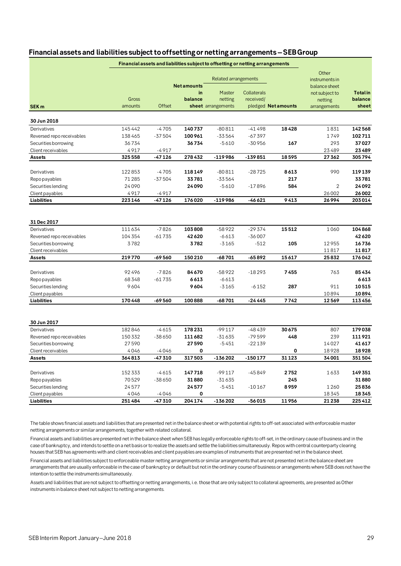| Other<br><b>Related arrangements</b><br>instruments in<br><b>Net amounts</b><br>balance sheet<br><b>Total</b> in<br>in<br>Master<br>Collaterals<br>not subject to<br>Gross<br>balance<br>balance<br>netting<br>received/<br>netting<br>amounts<br>Offset<br>sheet arrangements<br>pledged Net amounts<br>sheet<br>arrangements<br>SEK <sub>m</sub><br>30 Jun 2018<br>145442<br>$-4705$<br>$-80811$<br>18428<br>142568<br>140737<br>$-41498$<br>1831<br>Derivatives<br>$-37504$<br>100961<br>$-33564$<br>$-67397$<br>1749<br>102711<br>Reversed repo receivables<br>138465<br>36734<br>$-30956$<br>293<br>37027<br>36734<br>$-5610$<br>167<br>Securities borrowing<br>4917<br>23489<br>-4917<br>23489<br>Client receivables<br>$-119986$<br>325558<br>$-47126$<br>278432<br>-139851<br>18595<br>27362<br>305794<br>Assets<br>122853<br>$-4705$<br>118149<br>$-80811$<br>$-28725$<br>8613<br>990<br>119139<br>Derivatives<br>71285<br>$-37504$<br>33781<br>-33564<br>217<br>33781<br>Repo payables<br>24090<br>24090<br>$-5610$<br>584<br>$\overline{2}$<br>24092<br>Securities lending<br>$-17896$<br>4917<br>$-4917$<br>26002<br>Client payables<br>26002<br><b>Liabilities</b><br>223146<br>$-47126$<br>176020<br>-119986<br>9413<br>26994<br>203014<br>-46621<br>31 Dec 2017<br>111634<br>$-7826$<br>103808<br>$-58922$<br>$-29374$<br>15512<br>1060<br>104868<br>Derivatives<br>42620<br>104 354<br>$-61735$<br>42620<br>$-6613$<br>$-36007$<br>Reversed repo receivables<br>3782<br>3782<br>$-512$<br>105<br>12955<br>16736<br>Securities borrowing<br>$-3165$<br>11817<br>Client receivables<br>11817<br>219770<br>$-69560$<br>150210<br>$-65892$<br>15617<br>25832<br>176042<br>-68701<br>Assets<br>92496<br>$-7826$<br>84670<br>$-58922$<br>85434<br>Derivatives<br>$-18293$<br>7455<br>763<br>68348<br>$-61735$<br>6613<br>$-6613$<br>6613<br>Repo payables<br>9604<br>Securities lending<br>9604<br>$-3165$<br>$-6152$<br>287<br>911<br>10515<br>Client payables<br>10894<br>10894<br>170448<br>$-69560$<br>100888<br>7742<br>Liabilities<br>$-68701$<br>$-24445$<br>12569<br>113456<br>30 Jun 2017<br>$-4615$<br>179038<br>182846<br>178231<br>$-99117$<br>$-48439$<br>30675<br>807<br>Derivatives<br>239<br>111921<br>150 332<br>-38650<br>111682<br>$-31635$<br>-79599<br>448<br>Reversed repo receivables<br>27590<br>27590<br>41617<br>$-5451$<br>$-22139$<br>14027<br>Securities borrowing<br>18928<br>4046<br>$-4046$<br>0<br>18928<br>Client receivables<br>0<br>364813<br>317503<br>$-136202$<br>31123<br>34001<br>$-47310$<br>-150 177<br>351504<br>Assets<br>152333<br>147718<br>$-99117$<br>2752<br>149351<br>Derivatives<br>$-4615$<br>-45849<br>1633<br>70529<br>245<br>31880<br>Repo payables<br>-38 650<br>31880<br>$-31635$<br>8959<br>25836<br>Securities lending<br>24577<br>24577<br>$-5451$<br>$-10167$<br>1260<br>4046<br>18345<br>Client payables<br>$-4046$<br>$\mathbf 0$<br>18345<br>204 174<br>-136 202<br>11956<br>21238<br>225412<br>Liabilities<br>251484<br>-47310<br>-56015 |  |  | Financial assets and liabilities subject to offsetting or netting arrangements |  |  |
|----------------------------------------------------------------------------------------------------------------------------------------------------------------------------------------------------------------------------------------------------------------------------------------------------------------------------------------------------------------------------------------------------------------------------------------------------------------------------------------------------------------------------------------------------------------------------------------------------------------------------------------------------------------------------------------------------------------------------------------------------------------------------------------------------------------------------------------------------------------------------------------------------------------------------------------------------------------------------------------------------------------------------------------------------------------------------------------------------------------------------------------------------------------------------------------------------------------------------------------------------------------------------------------------------------------------------------------------------------------------------------------------------------------------------------------------------------------------------------------------------------------------------------------------------------------------------------------------------------------------------------------------------------------------------------------------------------------------------------------------------------------------------------------------------------------------------------------------------------------------------------------------------------------------------------------------------------------------------------------------------------------------------------------------------------------------------------------------------------------------------------------------------------------------------------------------------------------------------------------------------------------------------------------------------------------------------------------------------------------------------------------------------------------------------------------------------------------------------------------------------------------------------------------------------------------------------------------------------------------------------------------------------------------------------------------------------------------------------------------------------------------------------------------------------------------------------------------------------------------------------------------------------------------------------------------------------------------------------------------------------------------------|--|--|--------------------------------------------------------------------------------|--|--|
|                                                                                                                                                                                                                                                                                                                                                                                                                                                                                                                                                                                                                                                                                                                                                                                                                                                                                                                                                                                                                                                                                                                                                                                                                                                                                                                                                                                                                                                                                                                                                                                                                                                                                                                                                                                                                                                                                                                                                                                                                                                                                                                                                                                                                                                                                                                                                                                                                                                                                                                                                                                                                                                                                                                                                                                                                                                                                                                                                                                                                      |  |  |                                                                                |  |  |
|                                                                                                                                                                                                                                                                                                                                                                                                                                                                                                                                                                                                                                                                                                                                                                                                                                                                                                                                                                                                                                                                                                                                                                                                                                                                                                                                                                                                                                                                                                                                                                                                                                                                                                                                                                                                                                                                                                                                                                                                                                                                                                                                                                                                                                                                                                                                                                                                                                                                                                                                                                                                                                                                                                                                                                                                                                                                                                                                                                                                                      |  |  |                                                                                |  |  |
|                                                                                                                                                                                                                                                                                                                                                                                                                                                                                                                                                                                                                                                                                                                                                                                                                                                                                                                                                                                                                                                                                                                                                                                                                                                                                                                                                                                                                                                                                                                                                                                                                                                                                                                                                                                                                                                                                                                                                                                                                                                                                                                                                                                                                                                                                                                                                                                                                                                                                                                                                                                                                                                                                                                                                                                                                                                                                                                                                                                                                      |  |  |                                                                                |  |  |
|                                                                                                                                                                                                                                                                                                                                                                                                                                                                                                                                                                                                                                                                                                                                                                                                                                                                                                                                                                                                                                                                                                                                                                                                                                                                                                                                                                                                                                                                                                                                                                                                                                                                                                                                                                                                                                                                                                                                                                                                                                                                                                                                                                                                                                                                                                                                                                                                                                                                                                                                                                                                                                                                                                                                                                                                                                                                                                                                                                                                                      |  |  |                                                                                |  |  |
|                                                                                                                                                                                                                                                                                                                                                                                                                                                                                                                                                                                                                                                                                                                                                                                                                                                                                                                                                                                                                                                                                                                                                                                                                                                                                                                                                                                                                                                                                                                                                                                                                                                                                                                                                                                                                                                                                                                                                                                                                                                                                                                                                                                                                                                                                                                                                                                                                                                                                                                                                                                                                                                                                                                                                                                                                                                                                                                                                                                                                      |  |  |                                                                                |  |  |
|                                                                                                                                                                                                                                                                                                                                                                                                                                                                                                                                                                                                                                                                                                                                                                                                                                                                                                                                                                                                                                                                                                                                                                                                                                                                                                                                                                                                                                                                                                                                                                                                                                                                                                                                                                                                                                                                                                                                                                                                                                                                                                                                                                                                                                                                                                                                                                                                                                                                                                                                                                                                                                                                                                                                                                                                                                                                                                                                                                                                                      |  |  |                                                                                |  |  |
|                                                                                                                                                                                                                                                                                                                                                                                                                                                                                                                                                                                                                                                                                                                                                                                                                                                                                                                                                                                                                                                                                                                                                                                                                                                                                                                                                                                                                                                                                                                                                                                                                                                                                                                                                                                                                                                                                                                                                                                                                                                                                                                                                                                                                                                                                                                                                                                                                                                                                                                                                                                                                                                                                                                                                                                                                                                                                                                                                                                                                      |  |  |                                                                                |  |  |
|                                                                                                                                                                                                                                                                                                                                                                                                                                                                                                                                                                                                                                                                                                                                                                                                                                                                                                                                                                                                                                                                                                                                                                                                                                                                                                                                                                                                                                                                                                                                                                                                                                                                                                                                                                                                                                                                                                                                                                                                                                                                                                                                                                                                                                                                                                                                                                                                                                                                                                                                                                                                                                                                                                                                                                                                                                                                                                                                                                                                                      |  |  |                                                                                |  |  |
|                                                                                                                                                                                                                                                                                                                                                                                                                                                                                                                                                                                                                                                                                                                                                                                                                                                                                                                                                                                                                                                                                                                                                                                                                                                                                                                                                                                                                                                                                                                                                                                                                                                                                                                                                                                                                                                                                                                                                                                                                                                                                                                                                                                                                                                                                                                                                                                                                                                                                                                                                                                                                                                                                                                                                                                                                                                                                                                                                                                                                      |  |  |                                                                                |  |  |
|                                                                                                                                                                                                                                                                                                                                                                                                                                                                                                                                                                                                                                                                                                                                                                                                                                                                                                                                                                                                                                                                                                                                                                                                                                                                                                                                                                                                                                                                                                                                                                                                                                                                                                                                                                                                                                                                                                                                                                                                                                                                                                                                                                                                                                                                                                                                                                                                                                                                                                                                                                                                                                                                                                                                                                                                                                                                                                                                                                                                                      |  |  |                                                                                |  |  |
|                                                                                                                                                                                                                                                                                                                                                                                                                                                                                                                                                                                                                                                                                                                                                                                                                                                                                                                                                                                                                                                                                                                                                                                                                                                                                                                                                                                                                                                                                                                                                                                                                                                                                                                                                                                                                                                                                                                                                                                                                                                                                                                                                                                                                                                                                                                                                                                                                                                                                                                                                                                                                                                                                                                                                                                                                                                                                                                                                                                                                      |  |  |                                                                                |  |  |
|                                                                                                                                                                                                                                                                                                                                                                                                                                                                                                                                                                                                                                                                                                                                                                                                                                                                                                                                                                                                                                                                                                                                                                                                                                                                                                                                                                                                                                                                                                                                                                                                                                                                                                                                                                                                                                                                                                                                                                                                                                                                                                                                                                                                                                                                                                                                                                                                                                                                                                                                                                                                                                                                                                                                                                                                                                                                                                                                                                                                                      |  |  |                                                                                |  |  |
|                                                                                                                                                                                                                                                                                                                                                                                                                                                                                                                                                                                                                                                                                                                                                                                                                                                                                                                                                                                                                                                                                                                                                                                                                                                                                                                                                                                                                                                                                                                                                                                                                                                                                                                                                                                                                                                                                                                                                                                                                                                                                                                                                                                                                                                                                                                                                                                                                                                                                                                                                                                                                                                                                                                                                                                                                                                                                                                                                                                                                      |  |  |                                                                                |  |  |
|                                                                                                                                                                                                                                                                                                                                                                                                                                                                                                                                                                                                                                                                                                                                                                                                                                                                                                                                                                                                                                                                                                                                                                                                                                                                                                                                                                                                                                                                                                                                                                                                                                                                                                                                                                                                                                                                                                                                                                                                                                                                                                                                                                                                                                                                                                                                                                                                                                                                                                                                                                                                                                                                                                                                                                                                                                                                                                                                                                                                                      |  |  |                                                                                |  |  |
|                                                                                                                                                                                                                                                                                                                                                                                                                                                                                                                                                                                                                                                                                                                                                                                                                                                                                                                                                                                                                                                                                                                                                                                                                                                                                                                                                                                                                                                                                                                                                                                                                                                                                                                                                                                                                                                                                                                                                                                                                                                                                                                                                                                                                                                                                                                                                                                                                                                                                                                                                                                                                                                                                                                                                                                                                                                                                                                                                                                                                      |  |  |                                                                                |  |  |
|                                                                                                                                                                                                                                                                                                                                                                                                                                                                                                                                                                                                                                                                                                                                                                                                                                                                                                                                                                                                                                                                                                                                                                                                                                                                                                                                                                                                                                                                                                                                                                                                                                                                                                                                                                                                                                                                                                                                                                                                                                                                                                                                                                                                                                                                                                                                                                                                                                                                                                                                                                                                                                                                                                                                                                                                                                                                                                                                                                                                                      |  |  |                                                                                |  |  |
|                                                                                                                                                                                                                                                                                                                                                                                                                                                                                                                                                                                                                                                                                                                                                                                                                                                                                                                                                                                                                                                                                                                                                                                                                                                                                                                                                                                                                                                                                                                                                                                                                                                                                                                                                                                                                                                                                                                                                                                                                                                                                                                                                                                                                                                                                                                                                                                                                                                                                                                                                                                                                                                                                                                                                                                                                                                                                                                                                                                                                      |  |  |                                                                                |  |  |
|                                                                                                                                                                                                                                                                                                                                                                                                                                                                                                                                                                                                                                                                                                                                                                                                                                                                                                                                                                                                                                                                                                                                                                                                                                                                                                                                                                                                                                                                                                                                                                                                                                                                                                                                                                                                                                                                                                                                                                                                                                                                                                                                                                                                                                                                                                                                                                                                                                                                                                                                                                                                                                                                                                                                                                                                                                                                                                                                                                                                                      |  |  |                                                                                |  |  |
|                                                                                                                                                                                                                                                                                                                                                                                                                                                                                                                                                                                                                                                                                                                                                                                                                                                                                                                                                                                                                                                                                                                                                                                                                                                                                                                                                                                                                                                                                                                                                                                                                                                                                                                                                                                                                                                                                                                                                                                                                                                                                                                                                                                                                                                                                                                                                                                                                                                                                                                                                                                                                                                                                                                                                                                                                                                                                                                                                                                                                      |  |  |                                                                                |  |  |
|                                                                                                                                                                                                                                                                                                                                                                                                                                                                                                                                                                                                                                                                                                                                                                                                                                                                                                                                                                                                                                                                                                                                                                                                                                                                                                                                                                                                                                                                                                                                                                                                                                                                                                                                                                                                                                                                                                                                                                                                                                                                                                                                                                                                                                                                                                                                                                                                                                                                                                                                                                                                                                                                                                                                                                                                                                                                                                                                                                                                                      |  |  |                                                                                |  |  |
|                                                                                                                                                                                                                                                                                                                                                                                                                                                                                                                                                                                                                                                                                                                                                                                                                                                                                                                                                                                                                                                                                                                                                                                                                                                                                                                                                                                                                                                                                                                                                                                                                                                                                                                                                                                                                                                                                                                                                                                                                                                                                                                                                                                                                                                                                                                                                                                                                                                                                                                                                                                                                                                                                                                                                                                                                                                                                                                                                                                                                      |  |  |                                                                                |  |  |
|                                                                                                                                                                                                                                                                                                                                                                                                                                                                                                                                                                                                                                                                                                                                                                                                                                                                                                                                                                                                                                                                                                                                                                                                                                                                                                                                                                                                                                                                                                                                                                                                                                                                                                                                                                                                                                                                                                                                                                                                                                                                                                                                                                                                                                                                                                                                                                                                                                                                                                                                                                                                                                                                                                                                                                                                                                                                                                                                                                                                                      |  |  |                                                                                |  |  |
|                                                                                                                                                                                                                                                                                                                                                                                                                                                                                                                                                                                                                                                                                                                                                                                                                                                                                                                                                                                                                                                                                                                                                                                                                                                                                                                                                                                                                                                                                                                                                                                                                                                                                                                                                                                                                                                                                                                                                                                                                                                                                                                                                                                                                                                                                                                                                                                                                                                                                                                                                                                                                                                                                                                                                                                                                                                                                                                                                                                                                      |  |  |                                                                                |  |  |
|                                                                                                                                                                                                                                                                                                                                                                                                                                                                                                                                                                                                                                                                                                                                                                                                                                                                                                                                                                                                                                                                                                                                                                                                                                                                                                                                                                                                                                                                                                                                                                                                                                                                                                                                                                                                                                                                                                                                                                                                                                                                                                                                                                                                                                                                                                                                                                                                                                                                                                                                                                                                                                                                                                                                                                                                                                                                                                                                                                                                                      |  |  |                                                                                |  |  |
|                                                                                                                                                                                                                                                                                                                                                                                                                                                                                                                                                                                                                                                                                                                                                                                                                                                                                                                                                                                                                                                                                                                                                                                                                                                                                                                                                                                                                                                                                                                                                                                                                                                                                                                                                                                                                                                                                                                                                                                                                                                                                                                                                                                                                                                                                                                                                                                                                                                                                                                                                                                                                                                                                                                                                                                                                                                                                                                                                                                                                      |  |  |                                                                                |  |  |
|                                                                                                                                                                                                                                                                                                                                                                                                                                                                                                                                                                                                                                                                                                                                                                                                                                                                                                                                                                                                                                                                                                                                                                                                                                                                                                                                                                                                                                                                                                                                                                                                                                                                                                                                                                                                                                                                                                                                                                                                                                                                                                                                                                                                                                                                                                                                                                                                                                                                                                                                                                                                                                                                                                                                                                                                                                                                                                                                                                                                                      |  |  |                                                                                |  |  |
|                                                                                                                                                                                                                                                                                                                                                                                                                                                                                                                                                                                                                                                                                                                                                                                                                                                                                                                                                                                                                                                                                                                                                                                                                                                                                                                                                                                                                                                                                                                                                                                                                                                                                                                                                                                                                                                                                                                                                                                                                                                                                                                                                                                                                                                                                                                                                                                                                                                                                                                                                                                                                                                                                                                                                                                                                                                                                                                                                                                                                      |  |  |                                                                                |  |  |
|                                                                                                                                                                                                                                                                                                                                                                                                                                                                                                                                                                                                                                                                                                                                                                                                                                                                                                                                                                                                                                                                                                                                                                                                                                                                                                                                                                                                                                                                                                                                                                                                                                                                                                                                                                                                                                                                                                                                                                                                                                                                                                                                                                                                                                                                                                                                                                                                                                                                                                                                                                                                                                                                                                                                                                                                                                                                                                                                                                                                                      |  |  |                                                                                |  |  |
|                                                                                                                                                                                                                                                                                                                                                                                                                                                                                                                                                                                                                                                                                                                                                                                                                                                                                                                                                                                                                                                                                                                                                                                                                                                                                                                                                                                                                                                                                                                                                                                                                                                                                                                                                                                                                                                                                                                                                                                                                                                                                                                                                                                                                                                                                                                                                                                                                                                                                                                                                                                                                                                                                                                                                                                                                                                                                                                                                                                                                      |  |  |                                                                                |  |  |
|                                                                                                                                                                                                                                                                                                                                                                                                                                                                                                                                                                                                                                                                                                                                                                                                                                                                                                                                                                                                                                                                                                                                                                                                                                                                                                                                                                                                                                                                                                                                                                                                                                                                                                                                                                                                                                                                                                                                                                                                                                                                                                                                                                                                                                                                                                                                                                                                                                                                                                                                                                                                                                                                                                                                                                                                                                                                                                                                                                                                                      |  |  |                                                                                |  |  |
|                                                                                                                                                                                                                                                                                                                                                                                                                                                                                                                                                                                                                                                                                                                                                                                                                                                                                                                                                                                                                                                                                                                                                                                                                                                                                                                                                                                                                                                                                                                                                                                                                                                                                                                                                                                                                                                                                                                                                                                                                                                                                                                                                                                                                                                                                                                                                                                                                                                                                                                                                                                                                                                                                                                                                                                                                                                                                                                                                                                                                      |  |  |                                                                                |  |  |
|                                                                                                                                                                                                                                                                                                                                                                                                                                                                                                                                                                                                                                                                                                                                                                                                                                                                                                                                                                                                                                                                                                                                                                                                                                                                                                                                                                                                                                                                                                                                                                                                                                                                                                                                                                                                                                                                                                                                                                                                                                                                                                                                                                                                                                                                                                                                                                                                                                                                                                                                                                                                                                                                                                                                                                                                                                                                                                                                                                                                                      |  |  |                                                                                |  |  |
|                                                                                                                                                                                                                                                                                                                                                                                                                                                                                                                                                                                                                                                                                                                                                                                                                                                                                                                                                                                                                                                                                                                                                                                                                                                                                                                                                                                                                                                                                                                                                                                                                                                                                                                                                                                                                                                                                                                                                                                                                                                                                                                                                                                                                                                                                                                                                                                                                                                                                                                                                                                                                                                                                                                                                                                                                                                                                                                                                                                                                      |  |  |                                                                                |  |  |
|                                                                                                                                                                                                                                                                                                                                                                                                                                                                                                                                                                                                                                                                                                                                                                                                                                                                                                                                                                                                                                                                                                                                                                                                                                                                                                                                                                                                                                                                                                                                                                                                                                                                                                                                                                                                                                                                                                                                                                                                                                                                                                                                                                                                                                                                                                                                                                                                                                                                                                                                                                                                                                                                                                                                                                                                                                                                                                                                                                                                                      |  |  |                                                                                |  |  |
|                                                                                                                                                                                                                                                                                                                                                                                                                                                                                                                                                                                                                                                                                                                                                                                                                                                                                                                                                                                                                                                                                                                                                                                                                                                                                                                                                                                                                                                                                                                                                                                                                                                                                                                                                                                                                                                                                                                                                                                                                                                                                                                                                                                                                                                                                                                                                                                                                                                                                                                                                                                                                                                                                                                                                                                                                                                                                                                                                                                                                      |  |  |                                                                                |  |  |
|                                                                                                                                                                                                                                                                                                                                                                                                                                                                                                                                                                                                                                                                                                                                                                                                                                                                                                                                                                                                                                                                                                                                                                                                                                                                                                                                                                                                                                                                                                                                                                                                                                                                                                                                                                                                                                                                                                                                                                                                                                                                                                                                                                                                                                                                                                                                                                                                                                                                                                                                                                                                                                                                                                                                                                                                                                                                                                                                                                                                                      |  |  |                                                                                |  |  |
|                                                                                                                                                                                                                                                                                                                                                                                                                                                                                                                                                                                                                                                                                                                                                                                                                                                                                                                                                                                                                                                                                                                                                                                                                                                                                                                                                                                                                                                                                                                                                                                                                                                                                                                                                                                                                                                                                                                                                                                                                                                                                                                                                                                                                                                                                                                                                                                                                                                                                                                                                                                                                                                                                                                                                                                                                                                                                                                                                                                                                      |  |  |                                                                                |  |  |
|                                                                                                                                                                                                                                                                                                                                                                                                                                                                                                                                                                                                                                                                                                                                                                                                                                                                                                                                                                                                                                                                                                                                                                                                                                                                                                                                                                                                                                                                                                                                                                                                                                                                                                                                                                                                                                                                                                                                                                                                                                                                                                                                                                                                                                                                                                                                                                                                                                                                                                                                                                                                                                                                                                                                                                                                                                                                                                                                                                                                                      |  |  |                                                                                |  |  |
|                                                                                                                                                                                                                                                                                                                                                                                                                                                                                                                                                                                                                                                                                                                                                                                                                                                                                                                                                                                                                                                                                                                                                                                                                                                                                                                                                                                                                                                                                                                                                                                                                                                                                                                                                                                                                                                                                                                                                                                                                                                                                                                                                                                                                                                                                                                                                                                                                                                                                                                                                                                                                                                                                                                                                                                                                                                                                                                                                                                                                      |  |  |                                                                                |  |  |
|                                                                                                                                                                                                                                                                                                                                                                                                                                                                                                                                                                                                                                                                                                                                                                                                                                                                                                                                                                                                                                                                                                                                                                                                                                                                                                                                                                                                                                                                                                                                                                                                                                                                                                                                                                                                                                                                                                                                                                                                                                                                                                                                                                                                                                                                                                                                                                                                                                                                                                                                                                                                                                                                                                                                                                                                                                                                                                                                                                                                                      |  |  |                                                                                |  |  |

# **Financial assets and liabilities subject to offsetting or netting arrangements –SEB Group**

The table shows financial assets and liabilities that are presented net in the balance sheet or with potential rights to off-set associated with enforceable master netting arrangements or similar arrangements, together with related collateral.

Financial assets and liabilities are presented net in the balance sheet when SEB has legally enforceable rights to off-set, in the ordinary cause of business and in the case of bankruptcy, and intends to settle on a net basis or to realize the assets and settle the liabilities simultaneously. Repos with central counterparty clearing houses that SEB has agreements with and client receivables and client payables are examples of instruments that are presented net in the balance sheet.

Financial assets and liabilities subject to enforceable master netting arrangements or similar arrangements that are not presented net in the balance sheet are arrangements that are usually enforceable in the case of bankruptcy or default but not in the ordinary course of business or arrangements where SEB does not have the intention to settle the instruments simultaneously.

Assets and liabilities that are not subject to offsetting or netting arrangements, i.e. those that are only subject to collateral agreements, are presented as Other instruments in balance sheet not subject to netting arrangements.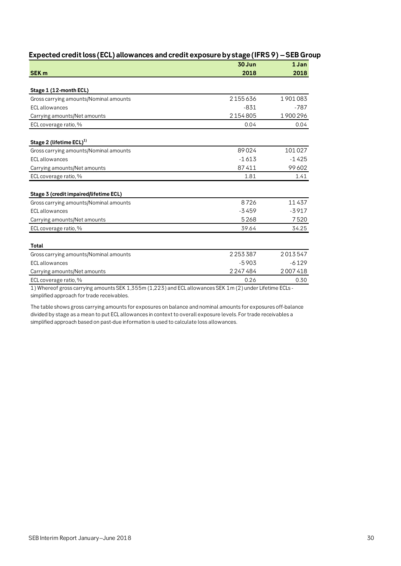|                                                                                                          | 30 Jun  | 1 Jan   |
|----------------------------------------------------------------------------------------------------------|---------|---------|
| <b>SEK m</b>                                                                                             | 2018    | 2018    |
|                                                                                                          |         |         |
| Stage 1 (12-month ECL)                                                                                   |         |         |
| Gross carrying amounts/Nominal amounts                                                                   | 2155636 | 1901083 |
| <b>ECL</b> allowances                                                                                    | $-831$  | $-787$  |
| Carrying amounts/Net amounts                                                                             | 2154805 | 1900296 |
| ECL coverage ratio, %                                                                                    | 0.04    | 0.04    |
| Stage 2 (lifetime ECL) <sup>1)</sup>                                                                     |         |         |
| Gross carrying amounts/Nominal amounts                                                                   | 89024   | 101027  |
| <b>ECL</b> allowances                                                                                    | $-1613$ | $-1425$ |
| Carrying amounts/Net amounts                                                                             | 87411   | 99602   |
| ECL coverage ratio, %                                                                                    | 1.81    | 1.41    |
|                                                                                                          |         |         |
| Stage 3 (credit impaired/lifetime ECL)                                                                   |         |         |
| Gross carrying amounts/Nominal amounts                                                                   | 8726    | 11437   |
| <b>ECL</b> allowances                                                                                    | $-3459$ | $-3917$ |
| Carrying amounts/Net amounts                                                                             | 5268    | 7520    |
| ECL coverage ratio, %                                                                                    | 39.64   | 34.25   |
|                                                                                                          |         |         |
| Total                                                                                                    |         |         |
| Gross carrying amounts/Nominal amounts                                                                   | 2253387 | 2013547 |
| <b>ECL</b> allowances                                                                                    | $-5903$ | $-6129$ |
| Carrying amounts/Net amounts                                                                             | 2247484 | 2007418 |
| ECL coverage ratio, %                                                                                    | 0.26    | 0.30    |
| 1) Whereof gross carrying amounts SEK 1,355m (1,223) and ECL allowances SEK 1m (2) under Lifetime ECLs - |         |         |
| simplified approach for trade receivables.                                                               |         |         |

# **Expected credit loss (ECL) allowances and credit exposure by stage (IFRS 9) –SEB Group**

The table shows gross carrying amounts for exposures on balance and nominal amounts for exposures off-balance divided by stage as a mean to put ECL allowances in context to overall exposure levels. For trade receivables a simplified approach based on past-due information is used to calculate loss allowances.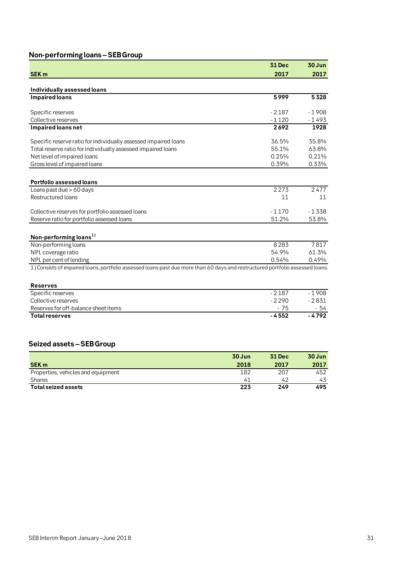# **Non-performing loans –SEB Group**

|                                                                                                                               | <b>31 Dec</b> | 30 Jun    |
|-------------------------------------------------------------------------------------------------------------------------------|---------------|-----------|
| <b>SEK m</b>                                                                                                                  | 2017          | 2017      |
|                                                                                                                               |               |           |
| Individually assessed loans                                                                                                   |               |           |
| <b>Impaired loans</b>                                                                                                         | 5999          | 5328      |
| Specific reserves                                                                                                             | $-2187$       | $-1908$   |
| Collective reserves                                                                                                           | $-1120$       | - 1 4 9 3 |
| Impaired loans net                                                                                                            | 2692          | 1928      |
|                                                                                                                               |               |           |
| Specific reserve ratio for individually assessed impaired loans                                                               | 36.5%         | 35.8%     |
| Total reserve ratio for individually assessed impaired loans                                                                  | 55.1%         | 63.8%     |
| Net level of impaired loans                                                                                                   | 0.25%         | 0.21%     |
| Gross level of impaired loans                                                                                                 | 0.39%         | 0.33%     |
| <b>Portfolio assessed loans</b>                                                                                               |               |           |
| Loans past due > 60 days                                                                                                      | 2273          | 2477      |
| <b>Restructured loans</b>                                                                                                     | 11            | 11        |
| Collective reserves for portfolio assessed loans                                                                              | $-1170$       | $-1338$   |
| Reserve ratio for portfolio assessed loans                                                                                    | 51.2%         | 53.8%     |
|                                                                                                                               |               |           |
| Non-performing loans <sup>1)</sup>                                                                                            |               |           |
| Non-performing loans                                                                                                          | 8283          | 7817      |
| NPL coverage ratio                                                                                                            | 54.9%         | 61.3%     |
| NPL per cent of lending                                                                                                       | 0.54%         | 0.49%     |
| 1) Consists of impaired loans, portfolio assessed loans past due more than 60 days and restructured portfolio assessed loans. |               |           |
| <b>Reserves</b>                                                                                                               |               |           |
| Specific reserves                                                                                                             | $-2187$       | $-1908$   |
| Collective reserves                                                                                                           | $-2290$       | $-2831$   |
| Reserves for off-balance sheet items                                                                                          | $-75$         | - 54      |
| <b>Total reserves</b>                                                                                                         | $-4552$       | $-4792$   |
|                                                                                                                               |               |           |
|                                                                                                                               |               |           |
| Seized assets – SEB Group                                                                                                     |               |           |
|                                                                                                                               |               |           |

|                                    | 30 Jun | <b>31 Dec</b> | 30 Jun |
|------------------------------------|--------|---------------|--------|
| <b>SEK m</b>                       | 2018   | 2017          | 2017   |
| Properties, vehicles and equipment | 182    | 207           | 452    |
| <b>Shares</b>                      | 41     | 42            | 43     |
| Total seized assets                | 223    | 249           | 495    |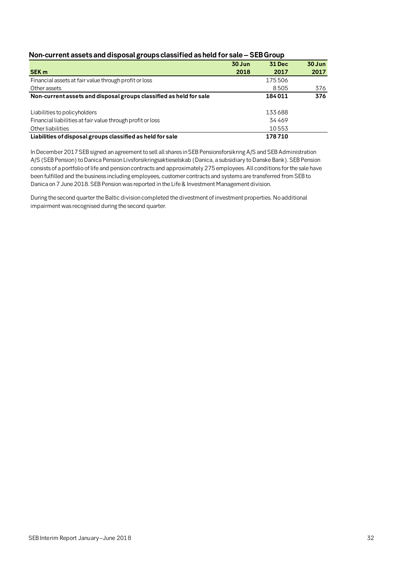| Non-current assets and disposal groups classified as held for sale - SEB Group |
|--------------------------------------------------------------------------------|
|--------------------------------------------------------------------------------|

|                                                                    | $30$ Jun | <b>31 Dec</b> | $30$ Jun |
|--------------------------------------------------------------------|----------|---------------|----------|
| <b>SEK m</b>                                                       | 2018     | 2017          | 2017     |
| Financial assets at fair value through profit or loss              |          | 175506        |          |
| Other assets                                                       |          | 8505          | 376      |
| Non-current assets and disposal groups classified as held for sale |          | 184011        | 376      |
| Liabilities to policy holders                                      |          | 133688        |          |
| Financial liabilities at fair value through profit or loss         |          | 34469         |          |
| Other liabilities                                                  |          | 10553         |          |
| Liabilities of disposal groups classified as held for sale         |          | 178710        |          |

In December 2017 SEB signed an agreement to sell all shares in SEB Pensionsforsikring A/S and SEB Administration A/S (SEB Pension) to Danica Pension Livsforsikringsaktieselskab (Danica, a subsidiary to Danske Bank). SEB Pension consists of a portfolio of life and pension contracts and approximately 275 employees. All conditions for the sale have been fulfilled and the business including employees, customer contracts and systems are transferred from SEB to Danica on 7 June 2018. SEB Pension was reported in the Life & Investment Management division.

During the second quarter the Baltic division completed the divestment of investment properties. No additional impairment was recognised during the second quarter.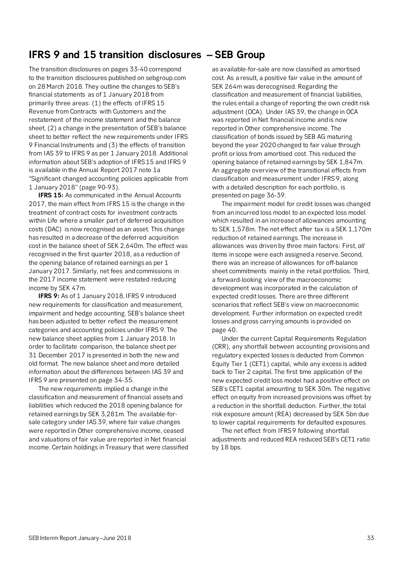# **IFRS 9 and 15 transition disclosures – SEB Group**

The transition disclosures on pages 33-40 correspond to the transition disclosures published on sebgroup.com on 28 March 2018. They outline the changes to SEB's financial statements as of 1 January 2018 from primarily three areas: (1) the effects of IFRS 15 Revenue from Contracts with Customers and the restatement of the income statement and the balance sheet, (2) a change in the presentation of SEB's balance sheet to better reflect the new requirements under IFRS 9 Financial Instruments and (3) the effects of transition from IAS 39 to IFRS 9 as per 1 January 2018. Additional information about SEB's adoption of IFRS 15 and IFRS 9 is available in the Annual Report 2017 note 1a "Significant changed accounting policies applicable from 1 January 2018" (page 90-93).

**IFRS 15:** As communicated in the Annual Accounts 2017, the main effect from IFRS 15 is the change in the treatment of contract costs for investment contracts within Life where a smaller part of deferred acquisition costs (DAC) is now recognised as an asset. This change has resulted in a decrease of the deferred acquisition cost in the balance sheet of SEK 2,640m. The effect was recognised in the first quarter 2018, as a reduction of the opening balance of retained earnings as per 1 January 2017. Similarly, net fees and commissions in the 2017 income statement were restated reducing income by SEK 47m.

**IFRS 9:** As of 1 January 2018, IFRS 9 introduced new requirements for classification and measurement, impairment and hedge accounting. SEB's balance sheet has been adjusted to better reflect the measurement categories and accounting policies under IFRS 9. The new balance sheet applies from 1 January 2018. In order to facilitate comparison, the balance sheet per 31 December 2017 is presented in both the new and old format. The new balance sheet and more detailed information about the differences between IAS 39 and IFRS 9 are presented on page 34-35.

The new requirements implied a change in the classification and measurement of financial assets and liabilities which reduced the 2018 opening balance for retained earnings by SEK 3,281m. The available-forsale category under IAS 39, where fair value changes were reported in Other comprehensive income, ceased and valuations of fair value are reported in Net financial income. Certain holdings in Treasury that were classified

as available-for-sale are now classified as amortised cost. As a result, a positive fair value in the amount of SEK 264m was derecognised. Regarding the classification and measurement of financial liabilities, the rules entail a change of reporting the own credit risk adjustment (OCA). Under IAS 39, the change in OCA was reported in Net financial income and is now reported in Other comprehensive income. The classification of bonds issued by SEB AG maturing beyond the year 2020 changed to fair value through profit or loss from amortised cost. This reduced the opening balance of retained earnings by SEK 1,847m. An aggregate overview of the transitional effects from classification and measurement under IFRS 9, along with a detailed description for each portfolio, is presented on page 36-39.

The impairment model for credit losses was changed from an incurred loss model to an expected loss model which resulted in an increase of allowances amounting to SEK 1,578m. The net effect after tax is a SEK 1,170m reduction of retained earnings. The increase in allowances was driven by three main factors: First, *all* items in scope were each assigned a reserve. Second, there was an increase of allowances for off-balance sheet commitments mainly in the retail portfolios. Third, a forward-looking view of the macroeconomic development was incorporated in the calculation of expected credit losses. There are three different scenarios that reflect SEB's view on macroeconomic development. Further information on expected credit losses and gross carrying amounts is provided on page 40.

Under the current Capital Requirements Regulation (CRR), any shortfall between accounting provisions and regulatory expected losses is deducted from Common Equity Tier 1 (CET1) capital, while any excess is added back to Tier 2 capital. The first time application of the new expected credit loss model had a positive effect on SEB's CET1 capital amounting to SEK 30m. The negative effect on equity from increased provisions was offset by a reduction in the shortfall deduction. Further, the total risk exposure amount (REA) decreased by SEK 5bn due to lower capital requirements for defaulted exposures.

The net effect from IFRS 9 following shortfall adjustments and reduced REA reduced SEB's CET1 ratio by 18 bps.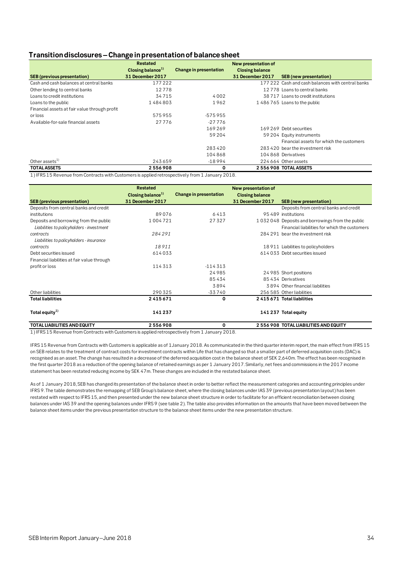# **Transition disclosures –Change in presentation of balance sheet**

|                                               | <b>Restated</b>               |                               | New presentation of    |                                                   |
|-----------------------------------------------|-------------------------------|-------------------------------|------------------------|---------------------------------------------------|
|                                               | Closing balance <sup>1)</sup> | <b>Change in presentation</b> | <b>Closing balance</b> |                                                   |
| <b>SEB</b> (previous presentation)            | 31 December 2017              |                               | 31 December 2017       | <b>SEB</b> (new presentation)                     |
| Cash and cash balances at central banks       | 177222                        |                               |                        | 177 222 Cash and cash balances with central banks |
| Other lending to central banks                | 12778                         |                               |                        | 12778 Loans to central banks                      |
| Loans to credit institutions                  | 34715                         | 4002                          |                        | 38 717 Loans to credit institutions               |
| Loans to the public                           | 1484803                       | 1962                          |                        | 1486765 Loans to the public                       |
| Financial assets at fair value through profit |                               |                               |                        |                                                   |
| or loss                                       | 575955                        | -575955                       |                        |                                                   |
| Available-for-sale financial assets           | 27776                         | $-27776$                      |                        |                                                   |
|                                               |                               | 169269                        |                        | 169 269 Debt securities                           |
|                                               |                               | 59 204                        |                        | 59 204 Equity instruments                         |
|                                               |                               |                               |                        | Financial assets for which the customers          |
|                                               |                               | 283420                        |                        | 283 420 bear the investment risk                  |
|                                               |                               | 104868                        |                        | 104 868 Derivatives                               |
| Other assets $^{1)}$                          | 243659                        | $-18994$                      |                        | 224 664 Other assets                              |
| <b>TOTAL ASSETS</b>                           | 2556908                       | 0                             |                        | 2 556 908 TOTAL ASSETS                            |

1) IFRS 15 Revenue from Contracts with Customers is applied retrospectively from 1 January 2018.

|                                             | <b>Restated</b>               |                        | New presentation of    |                                                 |
|---------------------------------------------|-------------------------------|------------------------|------------------------|-------------------------------------------------|
|                                             | Closing balance <sup>1)</sup> | Change in presentation | <b>Closing balance</b> |                                                 |
| <b>SEB</b> (previous presentation)          | 31 December 2017              |                        | 31 December 2017       | <b>SEB</b> (new presentation)                   |
| Deposits from central banks and credit      |                               |                        |                        | Deposits from central banks and credit          |
| institutions                                | 89076                         | 6413                   |                        | 95 489 institutions                             |
| Deposits and borrowing from the public      | 1004721                       | 27327                  |                        | 1032048 Deposits and borrowings from the public |
| Liabilities to policyholders - investment   |                               |                        |                        | Financial liabilities for which the customers   |
| contracts                                   | 284291                        |                        |                        | 284 291 bear the investment risk                |
| Liabilities to policyholders - insurance    |                               |                        |                        |                                                 |
| contracts                                   | 18911                         |                        |                        | 18 911 Liabilities to policyholders             |
| Debt securities issued                      | 614033                        |                        |                        | 614033 Debt securities issued                   |
| Financial liabilities at fair value through |                               |                        |                        |                                                 |
| profit or loss                              | 114313                        | $-114313$              |                        |                                                 |
|                                             |                               | 24985                  |                        | 24 985 Short positions                          |
|                                             |                               | 85434                  |                        | 85434 Derivatives                               |
|                                             |                               | 3894                   |                        | 3894 Other financial liabilities                |
| Other liabilities                           | 290325                        | -33740                 |                        | 256 585 Other liabilities                       |
| <b>Total liabilities</b>                    | 2415671                       | 0                      |                        | 2415671 Total liabilities                       |
| Total equity $^{1)}$                        | 141237                        |                        |                        | 141 237 Total equity                            |
| <b>TOTAL LIABILITIES AND EQUITY</b>         | 2556908                       | 0                      |                        | 2 556 908 TOTAL LIABILITIES AND EQUITY          |

1) IFRS 15 Revenue from Contracts with Customers is applied retrospectively from 1 January 2018.

IFRS 15 Revenue from Contracts with Customers is applicable as of 1January 2018. As communicated in the third quarter interim report, the main effect from IFRS 15 on SEB relates to the treatment of contract costs for investment contracts within Life that has changed so that a smaller part of deferred acquisition costs (DAC) is recognised as an asset. The change has resulted in a decrease of the deferred acquisition cost in the balance sheet of SEK 2,640m. The effect has been recognised in the first quarter 2018 as a reduction of the opening balance of retained earnings as per 1 January 2017. Similarly, net fees and commissions in the 2017 income statement has been restated reducing income by SEK 47m. These changes are included in the restated balance sheet.

As of 1 January 2018, SEB has changed its presentation of the balance sheet in order to better reflect the measurement categories and accounting principles under IFRS 9. The table demonstrates the remapping of SEB Group's balance sheet, where the closing balances under IAS 39 (previous presentation layout) has been restated with respect to IFRS 15, and then presented under the new balance sheet structure in order to facilitate for an efficient reconciliation between closing balances under IAS 39 and the opening balances under IFRS 9 (see table 2). The table also provides information on the amounts that have been moved between the balance sheet items under the previous presentation structure to the balance sheet items under the new presentation structure.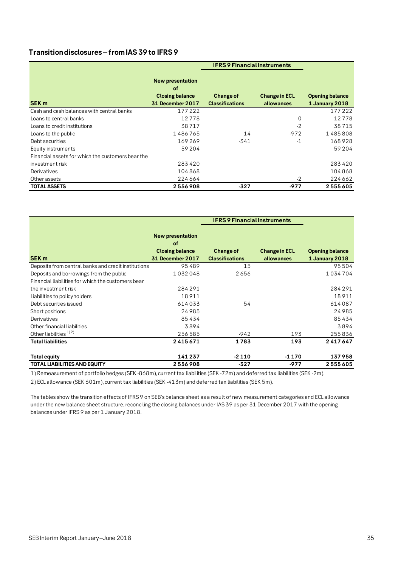# **Transition disclosures –from IAS 39 to IFRS 9**

|                                                   |                               | <b>IFRS 9 Financial instruments</b> |                      |                        |
|---------------------------------------------------|-------------------------------|-------------------------------------|----------------------|------------------------|
|                                                   | <b>New presentation</b><br>οf |                                     |                      |                        |
|                                                   | <b>Closing balance</b>        | Change of                           | <b>Change in ECL</b> | <b>Opening balance</b> |
| <b>SEK m</b>                                      | 31 December 2017              | <b>Classifications</b>              | allowances           | 1 January 2018         |
| Cash and cash balances with central banks         | 177222                        |                                     |                      | 177222                 |
| Loans to central banks                            | 12778                         |                                     | 0                    | 12778                  |
| Loans to credit institutions                      | 38717                         |                                     | $-2$                 | 38715                  |
| Loans to the public                               | 1486765                       | 14                                  | $-972$               | 1485808                |
| Debt securities                                   | 169269                        | $-341$                              | $-1$                 | 168928                 |
| Equity instruments                                | 59204                         |                                     |                      | 59 204                 |
| Financial assets for which the customers bear the |                               |                                     |                      |                        |
| investment risk                                   | 283420                        |                                     |                      | 283420                 |
| Derivatives                                       | 104868                        |                                     |                      | 104868                 |
| Other assets                                      | 224 664                       |                                     | $-2$                 | 224 662                |
| <b>TOTAL ASSETS</b>                               | 2556908                       | -327                                | -977                 | 2555605                |

|                                                     |                               | <b>IFRS 9 Financial instruments</b> |                      |                        |
|-----------------------------------------------------|-------------------------------|-------------------------------------|----------------------|------------------------|
|                                                     | <b>New presentation</b><br>of |                                     |                      |                        |
|                                                     | <b>Closing balance</b>        | <b>Change of</b>                    | <b>Change in ECL</b> | <b>Opening balance</b> |
| <b>SEK m</b>                                        | <b>31 December 2017</b>       | <b>Classifications</b>              | allowances           | 1 January 2018         |
| Deposits from central banks and credit institutions | 95489                         | 15                                  |                      | 95504                  |
| Deposits and borrowings from the public             | 1032048                       | 2656                                |                      | 1034704                |
| Financial liabilities for which the customers bear  |                               |                                     |                      |                        |
| the investment risk                                 | 284291                        |                                     |                      | 284291                 |
| Liabilities to policyholders                        | 18911                         |                                     |                      | 18911                  |
| Debt securities issued                              | 614033                        | 54                                  |                      | 614087                 |
| Short positions                                     | 24985                         |                                     |                      | 24985                  |
| Derivatives                                         | 85434                         |                                     |                      | 85434                  |
| Other financial liabilities                         | 3894                          |                                     |                      | 3894                   |
| Other liabilities <sup>1)2)</sup>                   | 256585                        | $-942$                              | 193                  | 255836                 |
| <b>Total liabilities</b>                            | 2415671                       | 1783                                | 193                  | 2417647                |
| Total equity                                        | 141237                        | $-2110$                             | -1 1 7 0             | 137958                 |
| <b>TOTAL LIABILITIES AND EQUITY</b>                 | 2556908                       | $-327$                              | -977                 | 2555605                |

1) Remeasurement of portfolio hedges (SEK -868m), current tax liabilities (SEK -72m) and deferred tax liabilities (SEK -2m).

2) ECL allowance (SEK 601m), current tax liabilities (SEK -413m) and deferred tax liabilities (SEK 5m).

The tables show the transition effects of IFRS 9 on SEB's balance sheet as a result of new measurement categories and ECL allowance under the new balance sheet structure, reconciling the closing balances under IAS 39 as per 31 December 2017 with the opening balances under IFRS 9 as per 1 January 2018.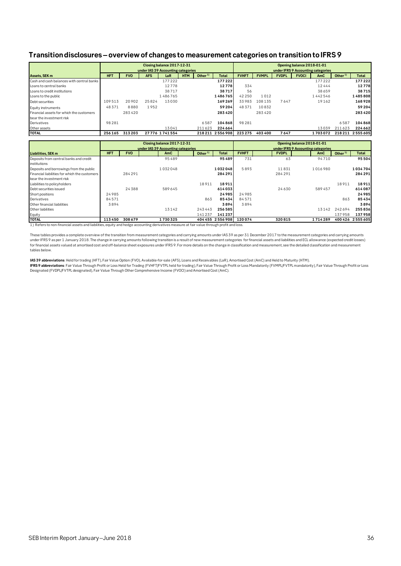# **Transition disclosures–overview of changes to measurement categories on transition to IFRS 9**

|                                               | Closing balance 2017-12-31<br>under IAS 39 Accounting categories |            |                                    |                            |            |                     |                   | Opening balance 2018-01-01<br>under IFRS 9 Accounting categories |              |              |              |                                    |           |                   |
|-----------------------------------------------|------------------------------------------------------------------|------------|------------------------------------|----------------------------|------------|---------------------|-------------------|------------------------------------------------------------------|--------------|--------------|--------------|------------------------------------|-----------|-------------------|
| Assets, SEK m                                 | <b>HFT</b>                                                       | <b>FVO</b> | <b>AFS</b>                         | LaR                        | <b>HTM</b> | Other <sup>1)</sup> | <b>Total</b>      | <b>FVHFT</b>                                                     | <b>FVMPL</b> | <b>FVDPL</b> | <b>FVOCI</b> | AmC                                | Other $1$ | <b>Total</b>      |
| Cash and cash balances with central banks     |                                                                  |            |                                    | 177222                     |            |                     | 177222            |                                                                  |              |              |              | 177222                             |           | 177222            |
| Loans to central banks                        |                                                                  |            |                                    | 12778                      |            |                     | 12778             | 334                                                              |              |              |              | 12444                              |           | 12778             |
| Loans to credit institutions                  |                                                                  |            |                                    | 38717                      |            |                     | 38717             | 56                                                               |              |              |              | 38659                              |           | 38715             |
| Loans to the public                           |                                                                  |            |                                    | 1486765                    |            |                     | 1486765           | 42 2 5 0                                                         | 1012         |              |              | 1442546                            |           | 1485808           |
| Debt securities                               | 109513                                                           | 20902      | 25824                              | 13030                      |            |                     | 169269            | 33983                                                            | 108135       | 7647         |              | 19162                              |           | 168928            |
| Equity instruments                            | 48371                                                            | 8880       | 1952                               |                            |            |                     | 59204             | 48371                                                            | 10832        |              |              |                                    |           | 59 204            |
| Financial assets for which the customers      |                                                                  | 283420     |                                    |                            |            |                     | 283420            |                                                                  | 283420       |              |              |                                    |           | 283420            |
| bear the investment risk                      |                                                                  |            |                                    |                            |            |                     |                   |                                                                  |              |              |              |                                    |           |                   |
| Derivatives                                   | 98 28 1                                                          |            |                                    |                            |            | 6587                | 104868            | 98281                                                            |              |              |              |                                    | 6587      | 104868            |
| Other assets                                  |                                                                  |            |                                    | 13041                      |            | 211623              | 224 664           |                                                                  |              |              |              | 13039                              | 211623    | 224662            |
| <b>TOTAL</b>                                  | 256 165                                                          | 313203     |                                    | 27776 1741554              |            |                     | 218 211 2 556 908 | 223 275                                                          | 403 400      | 7647         |              | 1703072                            |           | 218 211 2 555 605 |
|                                               |                                                                  |            |                                    |                            |            |                     |                   |                                                                  |              |              |              |                                    |           |                   |
|                                               |                                                                  |            |                                    | Closing balance 2017-12-31 |            |                     |                   | Opening balance 2018-01-01                                       |              |              |              |                                    |           |                   |
|                                               |                                                                  |            | under IAS 39 Accounting categories |                            |            |                     |                   |                                                                  |              |              |              | under IFRS 9 Accounting categories |           |                   |
| Liabilities, SEK m                            | <b>HFT</b>                                                       | <b>FVO</b> |                                    | AmC                        |            | Other $1$           | <b>Total</b>      | <b>FVHFT</b>                                                     |              | <b>FVDPL</b> |              | AmC                                | Other $1$ | <b>Total</b>      |
| Deposits from central banks and credit        |                                                                  |            |                                    | 95489                      |            |                     | 95489             | 731                                                              |              | 63           |              | 94710                              |           | 95504             |
| institutions                                  |                                                                  |            |                                    |                            |            |                     |                   |                                                                  |              |              |              |                                    |           |                   |
| Deposits and borrowings from the public       |                                                                  |            |                                    | 1032048                    |            |                     | 1032048           | 5893                                                             |              | 11831        |              | 1016980                            |           | 1034704           |
| Financial liabilities for which the customers |                                                                  | 284 291    |                                    |                            |            |                     | 284291            |                                                                  |              | 284 291      |              |                                    |           | 284 291           |
| bear the investment risk                      |                                                                  |            |                                    |                            |            |                     |                   |                                                                  |              |              |              |                                    |           |                   |
| Liabilities to policyholders                  |                                                                  |            |                                    |                            |            | 18911               | 18911             |                                                                  |              |              |              |                                    | 18911     | 18911             |
| Debt securities issued                        |                                                                  | 24 3 8 8   |                                    | 589645                     |            |                     | 614033            |                                                                  |              | 24630        |              | 589457                             |           | 614087            |
| Short positions                               | 24985                                                            |            |                                    |                            |            |                     | 24985             | 24985                                                            |              |              |              |                                    |           | 24985             |
| Derivatives                                   | 84571                                                            |            |                                    |                            |            | 863                 | 85434             | 84571                                                            |              |              |              |                                    | 863       | 85434             |
| Other financial liabilities                   | 3894                                                             |            |                                    |                            |            |                     | 3894              | 3894                                                             |              |              |              |                                    |           | 3894              |
| Other liabilities                             |                                                                  |            |                                    |                            |            |                     |                   |                                                                  |              |              |              |                                    |           | 255836            |
|                                               |                                                                  |            |                                    | 13142                      |            | 243443              | 256585            |                                                                  |              |              |              | 13142                              | 242694    |                   |

**TOTAL 113 450 308 679 1 730 325 404 455 2 556 908 120 074 320 815 1 714 289 400 426 2 555 605** 1) Refers to non-financial assets and liabilities, equity and hedge accounting derivatives measure at fair value through profit and loss.

These tables provides a complete overview of the transition from measurement categories and carrying amounts under IAS 39 as per 31 December 2017 to the measurement categories and carrying amounts<br>under IFRS 9 as per 1 Jan for financial assets valued at amortised cost and off-balance sheet exposures under IFRS 9. For more details on the change in classification and measurement, see the detailed classification and measurement tables below.

**IAS 39 abbreviations**: Held for trading (HFT), Fair Value Option (FVO), Available-for-sale (AFS), Loans and Receivables (LaR), Amortised Cost (AmC) and Held to Maturity (HTM). **IFRS 9 abbreviations**: Fair Value Through Profit or Loss Held for Trading (FVHFT/FVTPL held for trading), Fair Value Through Profit or Loss Mandatorily (FVMPL/FVTPL mandatorily), Fair Value Through Profit or Loss Designated (FVDPL/FVTPL designated), Fair Value Through Other Comprehensive Income (FVOCI) and Amortised Cost (AmC).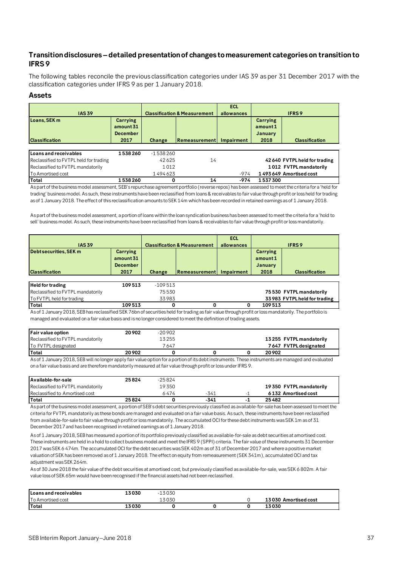# **Transition disclosures –detailed presentation of changes to measurement categories on transition to IFRS 9**

The following tables reconcile the previous classification categories under IAS 39 as per 31 December 2017 with the classification categories under IFRS 9 as per 1 January 2018.

## **Assets**

| <b>IAS 39</b>                          |                                                  |            | <b>Classification &amp; Measurement</b> | <b>ECL</b><br>allowances |                                                      | <b>IFRS9</b>                  |
|----------------------------------------|--------------------------------------------------|------------|-----------------------------------------|--------------------------|------------------------------------------------------|-------------------------------|
| Loans, SEK m<br><b>Classification</b>  | Carrying<br>amount 31<br><b>December</b><br>2017 | Change     | Remeasurement                           | <b>Impairment</b>        | <b>Carrying</b><br>amount1<br><b>January</b><br>2018 | <b>Classification</b>         |
|                                        |                                                  |            |                                         |                          |                                                      |                               |
| Loans and receivables                  | 1538260                                          | $-1538260$ |                                         |                          |                                                      |                               |
| Reclassified to FVTPL held for trading |                                                  | 42625      | 14                                      |                          |                                                      | 42 640 FVTPL held for trading |
| Reclassified to FVTPL mandatorily      |                                                  | 1012       |                                         |                          |                                                      | 1012 FVTPL mandatorily        |
| <b>To Amortised cost</b>               |                                                  | 1494623    |                                         | $-974$                   |                                                      | 1493649 Amortised cost        |
| Total                                  | 1538260                                          | 0          | 14                                      | $-974$                   | 1537300                                              |                               |

As part of the business model assessment, SEB's repurchase agreement portfolio (reverse repos) has been assessed to meet the criteria for a 'held for trading' business model. As such, these instruments have been reclassified from loans & receivables to fair value through profit or loss held for trading as of 1 January 2018. The effect of this reclassification amounts to SEK 14m which has been recorded in retained earnings as of 1 January 2018.

As part of the business model assessment, a portion of loans within the loan syndication business has been assessed to meet the criteria for a 'hold to sell' business model. As such, these instruments have been reclassified from loans & receivables to fair value through profit or loss mandatorily.

| <b>IAS 39</b>                                   |                                                  |           | <b>Classification &amp; Measurement</b> | <b>ECL</b><br>allowances |                                                | <b>IFRS9</b>                  |
|-------------------------------------------------|--------------------------------------------------|-----------|-----------------------------------------|--------------------------|------------------------------------------------|-------------------------------|
| Debt securities, SEK m<br><b>Classification</b> | Carrying<br>amount 31<br><b>December</b><br>2017 | Change    | <b>IRemeasurement</b>                   | Impairment               | Carrying<br>amount 1<br><b>January</b><br>2018 | <b>Classification</b>         |
|                                                 |                                                  |           |                                         |                          |                                                |                               |
| <b>Held for trading</b>                         | 109513                                           | $-109513$ |                                         |                          |                                                |                               |
| Reclassified to FVTPL mandatorily               |                                                  | 75530     |                                         |                          |                                                | 75 530 FVTPL mandatorily      |
| To FVTPL held for trading                       |                                                  | 33983     |                                         |                          |                                                | 33 983 FVTPL held for trading |
| Total                                           | 109513                                           | 0         | 0                                       |                          | 109513                                         |                               |

As of 1 January 2018, SEB has reclassified SEK 76bn of securities held for trading as fair value through profit or loss mandatorily. The portfolio is managed and evaluated on a fair value basis and is no longer considered to meet the definition of trading assets.

| <b>Fair value option</b>          | 20 902 | $-20902$ |  |                         |
|-----------------------------------|--------|----------|--|-------------------------|
| Reclassified to FVTPL mandatorily |        | 13255    |  | 13255 FVTPL mandatorily |
| To FVTPL designated               |        | 7 647    |  | 7647 FVTPL designated   |
| <b>Total</b>                      | 20902  |          |  | 20 902                  |

As of 1 January 2018, SEB will no longer apply fair value option for a portion of its debt instruments. These instruments are managed and evaluated on a fair value basis and are therefore mandatorily measured at fair value through profit or loss under IFRS 9.

| Available-for-sale                | 25824 | $-25824$ |      |                         |
|-----------------------------------|-------|----------|------|-------------------------|
| Reclassified to FVTPL mandatorily |       | 19350    |      | 19350 FVTPL mandatorily |
| Reclassified to Amortised cost    |       | 6474     | -341 | 6 132 Amortised cost    |
| lTotal                            | 25824 |          | -341 | 25482                   |

As part of the business model assessment, a portion of SEB's debt securities previously classified as available-for-sale has been assessed to meet the criteria for FVTPL mandatorily as these bonds are managed and evaluated on a fair value basis. As such, these instruments have been reclassified from available-for-sale to fair value through profit or loss mandatorily. The accumulated OCI for these debt instruments was SEK 1m as of 31 December 2017 and has been recognised in retained earnings as of 1 January 2018.

As of 1 January 2018, SEB has measured a portion of its portfolio previously classified as available-for-sale as debt securities at amortised cost. These instruments are held in a hold to collect business model and meet the IFRS 9 (SPPI) criteria. The fair value of these instruments 31 December 2017 was SEK 6 474m. The accumulated OCI for the debt securities was SEK 402m as of 31 of December 2017 and where a positive market valuation of SEK has been removed as of 1 January 2018. The effect on equity from remeasurement (SEK 341m), accumulated OCI and tax adjustment was SEK 264m.

As of 30 June 2018 the fair value of the debt securities at amortised cost, but previously classified as available-for-sale, was SEK 6 802m. A fair value loss of SEK 65m would have been recognised if the financial assets had not been reclassified.

| Loans and receivables    | L3 030 | $-13030$ |  |                      |
|--------------------------|--------|----------|--|----------------------|
| <b>To Amortised cost</b> |        | 13030    |  | 13030 Amortised cost |
| <b>Total</b>             | 13030  |          |  | 13030                |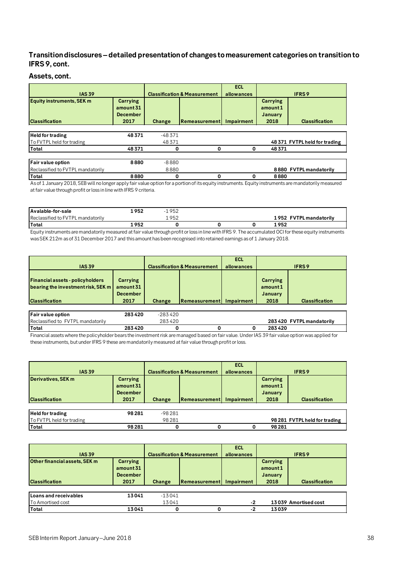# **Transition disclosures –detailed presentation of changes to measurement categories on transition to IFRS 9, cont.**

# **Assets, cont.**

| <b>IAS 39</b>                                             |                                                         |          | <b>Classification &amp; Measurement</b> | <b>ECL</b><br>allowances |                                                | <b>IFRS9</b>                  |
|-----------------------------------------------------------|---------------------------------------------------------|----------|-----------------------------------------|--------------------------|------------------------------------------------|-------------------------------|
| <b>Equity instruments, SEK m</b><br><b>Classification</b> | <b>Carrying</b><br>amount 31<br><b>December</b><br>2017 | Change   | <b>IRemeasurement</b>                   | Impairment               | <b>Carrying</b><br>amount 1<br>January<br>2018 | <b>Classification</b>         |
| <b>Held for trading</b>                                   | 48371                                                   | $-48371$ |                                         |                          |                                                |                               |
| To FVTPL held for trading                                 |                                                         | 48371    |                                         |                          |                                                | 48 371 FVTPL held for trading |
| <b>Total</b>                                              | 48371                                                   | 0        | 0                                       | 0                        | 48371                                          |                               |
| Fair value option                                         | 8880                                                    | $-8880$  |                                         |                          |                                                |                               |
| Reclassified to FVTPL mandatorily                         |                                                         | 8880     |                                         |                          |                                                | 8880 FVTPL mandatorily        |
| Total                                                     | 8880                                                    | 0        | $\Omega$                                | 0                        | 8880                                           |                               |

As of 1 January 2018, SEB will no longer apply fair value option for a portion of its equity instruments. Equity instruments are mandatorily measured at fair value through profit or loss in line with IFRS 9 criteria.

| Avalable-for-sale                 | .952  | 952                |  |                                  |
|-----------------------------------|-------|--------------------|--|----------------------------------|
| Reclassified to FVTPL mandatorily |       | $05^\circ$<br>∠ت ⊸ |  | 1952<br><b>FVTPL mandatorily</b> |
| Total                             | . 952 |                    |  | 1952                             |

Equity instruments are mandatorily measured at fair value through profit or loss in line with IFRS 9. The accumulated OCI for these equity instruments was SEK 212m as of 31 December 2017 and this amount has been recognised into retained earnings as of 1 January 2018.

| <b>IAS 39</b>                                                                                          |                                                  |        | <b>Classification &amp; Measurement</b> | <b>ECL</b><br>allowances | <b>IFRS9</b>                                   |                       |
|--------------------------------------------------------------------------------------------------------|--------------------------------------------------|--------|-----------------------------------------|--------------------------|------------------------------------------------|-----------------------|
| <b>Financial assets - policyholders</b><br>bearing the investment risk, SEK m<br><b>Classification</b> | Carrying<br>amount 31<br><b>December</b><br>2017 | Change | <b>IRemeasurement</b>                   | Impairment               | <b>Carrying</b><br>amount 1<br>January<br>2018 | <b>Classification</b> |

| Fair value option                 | 283420 | -283420       |  |                           |
|-----------------------------------|--------|---------------|--|---------------------------|
| Reclassified to FVTPL mandatorily |        | 420ء ز<br>283 |  | 283 420 FVTPL mandatorily |
| <b>Total</b>                      | 283420 |               |  | 283420                    |

Financial assets where the policyholder bears the investment risk are managed based on fair value. Under IAS 39 fair value option was applied for these instruments, but under IFRS 9 these are mandatorily measured at fair value through profit or loss.

|                           |                 |         |                                         | <b>ECL</b> |          |                               |
|---------------------------|-----------------|---------|-----------------------------------------|------------|----------|-------------------------------|
| <b>IAS 39</b>             |                 |         | <b>Classification &amp; Measurement</b> | allowances |          | <b>IFRS9</b>                  |
| Derivatives, SEK m        | Carrying        |         |                                         |            | Carrying |                               |
|                           | amount 31       |         |                                         |            | amount 1 |                               |
|                           | <b>December</b> |         |                                         |            | January  |                               |
| <b>Classification</b>     | 2017            | Change  | <b>Remeasurement</b>                    | Impairment | 2018     | <b>Classification</b>         |
|                           |                 |         |                                         |            |          |                               |
| <b>Held for trading</b>   | 98 281          | -98 281 |                                         |            |          |                               |
| To FVTPL held for trading |                 | 98281   |                                         |            |          | 98 281 FVTPL held for trading |
| Total                     | 98281           |         |                                         |            | 98281    |                               |

|                               |                 |                                         |               | <b>ECL</b> |                |                       |
|-------------------------------|-----------------|-----------------------------------------|---------------|------------|----------------|-----------------------|
| <b>IAS 39</b>                 |                 | <b>Classification &amp; Measurement</b> |               | allowances |                | <b>IFRS9</b>          |
| Other financial assets, SEK m | Carrying        |                                         |               |            | Carrying       |                       |
|                               | amount 31       |                                         |               |            | amount 1       |                       |
|                               | <b>December</b> |                                         |               |            | <b>January</b> |                       |
| <b>Classification</b>         | 2017            | Change                                  | Remeasurement | Impairment | 2018           | <b>Classification</b> |
|                               |                 |                                         |               |            |                |                       |
| Loans and receivables         | 13041           | $-13041$                                |               |            |                |                       |
| <b>To Amortised cost</b>      |                 | 13041                                   |               | -2         |                | 13039 Amortised cost  |
| Total                         | 13041           |                                         |               | -2         | 13039          |                       |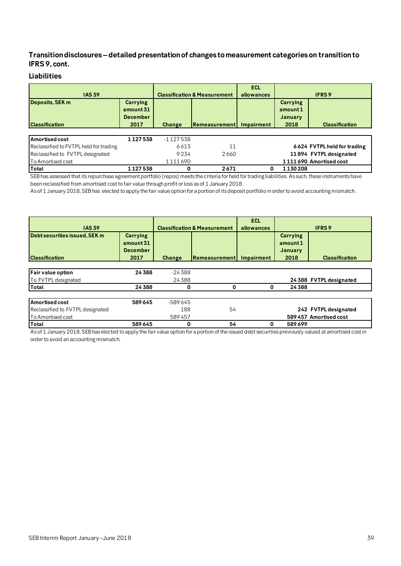# **Transition disclosures –detailed presentation of changes to measurement categories on transition to IFRS 9, cont.**

# **Liabilities**

| <b>IAS 39</b>                            |                                                  |            | <b>Classification &amp; Measurement</b> | <b>ECL</b><br>allowances | <b>IFRS9</b>                            |                             |  |
|------------------------------------------|--------------------------------------------------|------------|-----------------------------------------|--------------------------|-----------------------------------------|-----------------------------|--|
| Deposits, SEK m<br><b>Classification</b> | Carrying<br>amount 31<br><b>December</b><br>2017 | Change     | Remeasurement                           | Impairment               | Carrying<br>amount 1<br>January<br>2018 | <b>Classification</b>       |  |
| Amortised cost                           | 1127538                                          | $-1127538$ |                                         |                          |                                         |                             |  |
| Reclassified to FVTPL held for trading   |                                                  | 6613       | 11                                      |                          |                                         | 6624 FVTPL held for trading |  |
| Reclassified to FVTPL designated         |                                                  | 9234       | 2660                                    |                          |                                         | 11894 FVTPL designated      |  |
| To Amortised cost                        |                                                  | 1111690    |                                         |                          |                                         | 1111690 Amortised cost      |  |
| Total                                    | 1127538                                          | 0          | 2671                                    |                          | 1130208                                 |                             |  |

SEB has assessed that its repurchase agreement portfolio (repos) meets the criteria for held for trading liabilities. As such, these instruments have been reclassified from amortised cost to fair value through profit or loss as of 1 January 2018.

As of 1 January 2018, SEB has elected to apply the fair value option for a portion of its deposit portfolio in order to avoid accounting mismatch.

|                                  |                                          |               |                                         | <b>ECL</b> |                     |                         |  |
|----------------------------------|------------------------------------------|---------------|-----------------------------------------|------------|---------------------|-------------------------|--|
| <b>IAS 39</b>                    |                                          |               | <b>Classification &amp; Measurement</b> | allowances |                     | <b>IFRS9</b>            |  |
| Debt securities issued, SEK m    | Carrying<br>amount 31<br><b>December</b> |               |                                         |            | Carrying<br>amount1 |                         |  |
| <b>Classification</b>            | 2017                                     | <b>Change</b> | <b>Remeasurement</b>                    | Impairment | January<br>2018     | <b>Classification</b>   |  |
|                                  |                                          |               |                                         |            |                     |                         |  |
| Fair value option                | 24388                                    | $-24388$      |                                         |            |                     |                         |  |
| To FVTPL designated              |                                          | 24388         |                                         |            |                     | 24 388 FVTPL designated |  |
| Total                            | 24388                                    | 0             | 0                                       | 0          | 24 3 8 8            |                         |  |
| <b>Amortised cost</b>            | 589645                                   | -589645       |                                         |            |                     |                         |  |
| Reclassified to FVTPL designated |                                          | 188           | 54                                      |            |                     | 242 FVTPL designated    |  |
| To Amortised cost                |                                          | 589457        |                                         |            |                     | 589 457 Amortised cost  |  |
| Total                            | 589645                                   | 0             | 54                                      | 0          | 589699              |                         |  |

As of 1 January 2018, SEB has elected to apply the fair value option for a portion of the issued debt securities previously valued at amortised cost in order to avoid an accounting mismatch.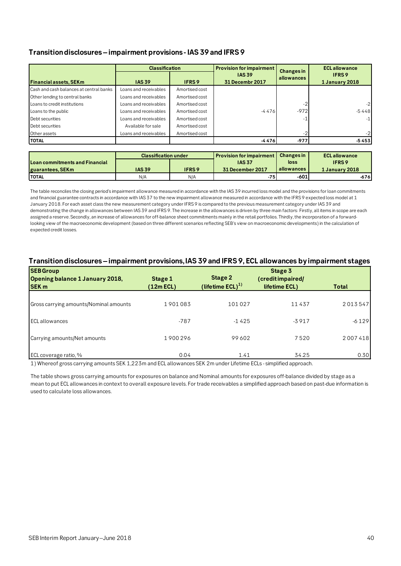# **Transition disclosures –impairment provisions - IAS 39 and IFRS 9**

|                                         | <b>Classification</b> |                | <b>Provision for impairment</b>  | <b>Changes in</b> | <b>ECL</b> allowance           |
|-----------------------------------------|-----------------------|----------------|----------------------------------|-------------------|--------------------------------|
| <b>Financial assets, SEKm</b>           | <b>IAS 39</b>         | IFRS 9         | <b>IAS 39</b><br>31 Decembr 2017 | allowances        | <b>IFRS9</b><br>1 January 2018 |
|                                         |                       |                |                                  |                   |                                |
| Cash and cash balances at central banks | Loans and receivables | Amortised cost |                                  |                   |                                |
| Other lending to central banks          | Loans and receivables | Amortised cost |                                  |                   |                                |
| Loans to credit institutions            | Loans and receivables | Amortised cost |                                  |                   | $-2$                           |
| Loans to the public                     | Loans and receivables | Amortised cost | $-4476$                          | $-972$            | $-5448$                        |
| Debt securities                         | Loans and receivables | Amortised cost |                                  |                   | $-1$                           |
| Debt securities                         | Available for sale    | Amortised cost |                                  |                   |                                |
| Other assets                            | Loans and receivables | Amortised cost |                                  |                   | $-2$                           |
| <b>TOTAL</b>                            |                       |                | -4476                            | $-977$            | $-5453$                        |

|                                       | <b>Classification under</b> |              | <b>Provision for impairment I</b> | <b>Changes in</b> | <b>ECL</b> allowance |
|---------------------------------------|-----------------------------|--------------|-----------------------------------|-------------------|----------------------|
| <b>Loan commitments and Financial</b> |                             |              | <b>IAS 37</b>                     | loss              | <b>IFRS9</b>         |
| guarantees, SEKm                      | <b>IAS 39</b>               | <b>IFRS9</b> | 31 December 2017                  | allowances        | 1 January 2018       |
| <b>ITOTAL</b>                         | N/A                         | N/A          | $-75$                             | -601              | $-676$               |

The table reconciles the closing period's impairment allowance measured in accordance with the IAS 39 incurred loss model and the provisions for loan commitments and financial guarantee contracts in accordance with IAS 37 to the new impairment allowance measured in accordance with the IFRS 9 expected loss model at 1 January 2018. For each asset class the new measurement category under IFRS 9 is compared to the previous measurement category under IAS 39 and demonstrating the change in allowances between IAS 39 and IFRS 9. The increase in the allowances is driven by three main factors: Firstly, all items in scope are each assigned a reserve. Secondly, an increase of allowances for off-balance sheet commitments mainly in the retail portfolios. Thirdly, the incorporation of a forwardlooking view of the macroeconomic development (based on three different scenarios reflecting SEB's view on macroeconomic developments) in the calculation of expected credit losses.

# **Transition disclosures –impairment provisions, IAS 39 and IFRS 9, ECL allowances by impairment stages**

| <b>SEB Group</b><br><b>Opening balance 1 January 2018,</b><br><b>SEK</b> m | Stage 1<br>$(12m$ ECL) | Stage 2<br>(lifetime $ECL)^{1}$ ) | Stage 3<br>(creditimpaired/<br>lifetime ECL) | Total   |
|----------------------------------------------------------------------------|------------------------|-----------------------------------|----------------------------------------------|---------|
| Gross carrying amounts/Nominal amounts                                     | 1901083                | 101027                            | 11437                                        | 2013547 |
| <b>ECL</b> allowances                                                      | $-787$                 | $-1425$                           | $-3917$                                      | $-6129$ |
| Carrying amounts/Net amounts                                               | 1900296                | 99602                             | 7520                                         | 2007418 |
| ECL coverage ratio, %                                                      | 0.04                   | 1.41                              | 34.25                                        | 0.30    |

1) Whereof gross carrying amounts SEK 1,223m and ECL allowances SEK 2m under Lifetime ECLs - simplified approach.

The table shows gross carrying amounts for exposures on balance and Nominal amounts for exposures off-balance divided by stage as a mean to put ECL allowances in context to overall exposure levels. For trade receivables a simplified approach based on past-due information is used to calculate loss allowances.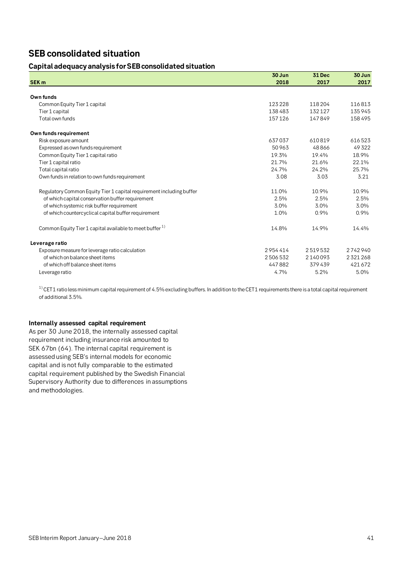# **SEB consolidated situation**

# **Capital adequacy analysis for SEB consolidated situation**

|                                                                      | 30 Jun  | 31 Dec  | 30 Jun  |
|----------------------------------------------------------------------|---------|---------|---------|
| <b>SEK m</b>                                                         | 2018    | 2017    | 2017    |
|                                                                      |         |         |         |
| Own funds                                                            |         |         |         |
| Common Equity Tier 1 capital                                         | 123228  | 118204  | 116813  |
| Tier 1 capital                                                       | 138483  | 132127  | 135945  |
| Total own funds                                                      | 157126  | 147849  | 158495  |
| Own funds requirement                                                |         |         |         |
| Risk exposure amount                                                 | 637037  | 610819  | 616523  |
| Expressed as own funds requirement                                   | 50963   | 48866   | 49322   |
| Common Equity Tier 1 capital ratio                                   | 19.3%   | 19.4%   | 18.9%   |
| Tier 1 capital ratio                                                 | 21.7%   | 21.6%   | 22.1%   |
| Total capital ratio                                                  | 24.7%   | 24.2%   | 25.7%   |
| Own funds in relation to own funds requirement                       | 3.08    | 3.03    | 3.21    |
| Regulatory Common Equity Tier 1 capital requirement including buffer | 11.0%   | 10.9%   | 10.9%   |
| of which capital conservation buffer requirement                     | 2.5%    | 2.5%    | 2.5%    |
| of which systemic risk buffer requirement                            | 3.0%    | 3.0%    | 3.0%    |
| of which countercyclical capital buffer requirement                  | 1.0%    | 0.9%    | 0.9%    |
| Common Equity Tier 1 capital available to meet buffer <sup>1)</sup>  | 14.8%   | 14.9%   | 14.4%   |
| Leverage ratio                                                       |         |         |         |
| Exposure measure for leverage ratio calculation                      | 2954414 | 2519532 | 2742940 |
| of which on balance sheet items                                      | 2506532 | 2140093 | 2321268 |
| of which off balance sheet items                                     | 447882  | 379439  | 421672  |
| Leverage ratio                                                       | 4.7%    | 5.2%    | 5.0%    |

<sup>1)</sup> CET1 ratio less minimum capital requirement of 4.5% excluding buffers. In addition to the CET1 requirements there is a total capital requirement of additional 3.5%.

# **Internally assessed capital requirement**

As per 30 June 2018, the internally assessed capital requirement including insurance risk amounted to SEK 67bn (64). The internal capital requirement is assessed using SEB's internal models for economic capital and is not fully comparable to the estimated capital requirement published by the Swedish Financial Supervisory Authority due to differences in assumptions and methodologies.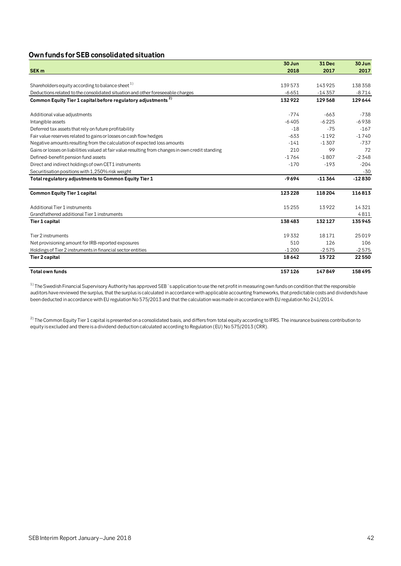# **Own funds forSEB consolidated situation**

|                                                                                                   | 30 Jun  | 31 Dec   | 30 Jun   |
|---------------------------------------------------------------------------------------------------|---------|----------|----------|
| <b>SEK</b> m                                                                                      | 2018    | 2017     | 2017     |
|                                                                                                   |         |          |          |
| Shareholders equity according to balance sheet <sup>1)</sup>                                      | 139573  | 143925   | 138358   |
| Deductions related to the consolidated situation and other foreseeable charges                    | $-6651$ | $-14357$ | $-8714$  |
| Common Equity Tier 1 capital before regulatory adjustments <sup>2)</sup>                          | 132922  | 129568   | 129644   |
| Additional value adjustments                                                                      | $-774$  | $-663$   | $-738$   |
| Intangible assets                                                                                 | $-6405$ | $-6225$  | $-6938$  |
| Deferred tax assets that rely on future profitability                                             | $-18$   | $-75$    | $-167$   |
| Fair value reserves related to gains or losses on cash flow hedges                                | $-633$  | $-1192$  | $-1740$  |
| Negative amounts resulting from the calculation of expected loss amounts                          | $-141$  | $-1307$  | $-737$   |
| Gains or losses on liabilities valued at fair value resulting from changes in own credit standing | 210     | 99       | 72       |
| Defined-benefit pension fund assets                                                               | $-1764$ | $-1807$  | $-2348$  |
| Direct and indirect holdings of own CET1 instruments                                              | $-170$  | $-193$   | $-204$   |
| Securitisation positions with 1,250% risk weight                                                  |         |          | $-30$    |
| Total regulatory adjustments to Common Equity Tier 1                                              | $-9694$ | $-11364$ | $-12830$ |
| <b>Common Equity Tier 1 capital</b>                                                               | 123228  | 118204   | 116813   |
| Additional Tier 1 instruments                                                                     | 15255   | 13922    | 14321    |
| Grandfathered additional Tier 1 instruments                                                       |         |          | 4811     |
| Tier 1 capital                                                                                    | 138483  | 132127   | 135945   |
| Tier 2 instruments                                                                                | 19332   | 18171    | 25019    |
| Net provisioning amount for IRB-reported exposures                                                | 510     | 126      | 106      |
| Holdings of Tier 2 instruments in financial sector entities                                       | $-1200$ | $-2575$  | $-2575$  |
| <b>Tier 2 capital</b>                                                                             | 18642   | 15722    | 22550    |
| <b>Total own funds</b>                                                                            | 157126  | 147849   | 158495   |

 $1)$  The Swedish Financial Supervisory Authority has approved SEB 's application to use the net profit in measuring own funds on condition that the responsible auditors have reviewed the surplus, that the surplus is calculated in accordance with applicable accounting frameworks, that predictable costs and dividends have been deducted in accordance with EU regulation No 575/2013 and that the calculation was made in accordance with EU regulation No 241/2014.

 $^{2)}$  The Common Equity Tier 1 capital is presented on a consolidated basis, and differs from total equity according to IFRS. The insurance business contribution to equity is excluded and there is a dividend deduction calculated according to Regulation (EU) No 575/2013 (CRR).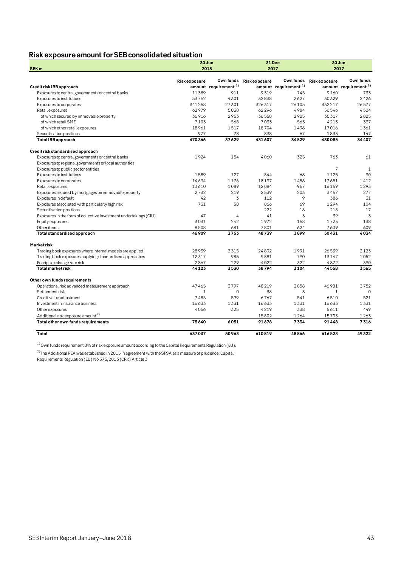# **Risk exposure amountfor SEB consolidated situation**

|                                                                   | 30 Jun              |                                  | 31 Dec              |                                  | 30 Jun              |                                  |  |
|-------------------------------------------------------------------|---------------------|----------------------------------|---------------------|----------------------------------|---------------------|----------------------------------|--|
| SEK <sub>m</sub>                                                  | 2018                |                                  |                     | 2017                             | 2017                |                                  |  |
|                                                                   | <b>Riskexposure</b> | Own funds                        | <b>Riskexposure</b> | Own funds                        | <b>Riskexposure</b> | Own funds                        |  |
| Credit risk IRB approach                                          |                     | amount requirement <sup>1)</sup> |                     | amount requirement <sup>1)</sup> |                     | amount requirement <sup>1)</sup> |  |
| Exposures to central governments or central banks                 | 11389               | 911                              | 9319                | 745                              | 9160                | 733                              |  |
| Exposures to institutions                                         | 53762               | 4301                             | 32838               | 2627                             | 30329               | 2426                             |  |
| Exposures to corporates                                           | 341258              | 27301                            | 326 317             | 26105                            | 332217              | 26577                            |  |
| Retail exposures                                                  | 62979               | 5038                             | 62296               | 4984                             | 56546               | 4524                             |  |
| of which secured by immovable property                            | 36916               | 2953                             | 36558               | 2925                             | 35317               | 2825                             |  |
| of which retail SME                                               | 7103                | 568                              | 7033                | 563                              | 4213                | 337                              |  |
| of which other retail exposures                                   | 18961               | 1517                             | 18704               | 1496                             | 17016               | 1361                             |  |
| Securitisation positions                                          | 977                 | 78                               | 838                 | 67                               | 1833                | 147                              |  |
| <b>Total IRB approach</b>                                         | 470366              | 37629                            | 431 607             | 34529                            | 430085              | 34 40 7                          |  |
| Credit risk standardised approach                                 |                     |                                  |                     |                                  |                     |                                  |  |
| Exposures to central governments or central banks                 | 1924                | 154                              | 4060                | 325                              | 763                 | 61                               |  |
| Exposures to regional governments or local authorities            |                     |                                  |                     |                                  |                     |                                  |  |
| Exposures to public sector entities                               |                     |                                  |                     |                                  | 7                   | $\mathbf{1}$                     |  |
| Exposures to institutions                                         | 1589                | 127                              | 844                 | 68                               | 1125                | 90                               |  |
| Exposures to corporates                                           | 14694               | 1176                             | 18197               | 1456                             | 17651               | 1412                             |  |
| Retail exposures                                                  | 13610               | 1089                             | 12084               | 967                              | 16159               | 1293                             |  |
| Exposures secured by mortgages on immovable property              | 2732                | 219                              | 2539                | 203                              | 3457                | 277                              |  |
| Exposures in default                                              | 42                  | 3                                | 112                 | 9                                | 386                 | 31                               |  |
| Exposures associated with particularly high risk                  | 731                 | 58                               | 866                 | 69                               | 1294                | 104                              |  |
| Securitisation positions                                          |                     |                                  | 222                 | 18                               | 218                 | 17                               |  |
| Exposures in the form of collective investment undertakings (CIU) | 47                  | 4                                | 41                  | 3                                | 39                  | 3                                |  |
| Equity exposures                                                  | 3031                | 242                              | 1972                | 158                              | 1723                | 138                              |  |
| Other items                                                       | 8508                | 681                              | 7801                | 624                              | 7609                | 609                              |  |
| Total standardised approach                                       | 46909               | 3753                             | 48739               | 3899                             | 50431               | 4034                             |  |
| Marketrisk                                                        |                     |                                  |                     |                                  |                     |                                  |  |
| Trading book exposures where internal models are applied          | 28939               | 2315                             | 24892               | 1991                             | 26539               | 2123                             |  |
| Trading book exposures applying standardised approaches           | 12317               | 985                              | 9881                | 790                              | 13147               | 1052                             |  |
| Foreign exchange rate risk                                        | 2867                | 229                              | 4022                | 322                              | 4872                | 390                              |  |
| <b>Total market risk</b>                                          | 44123               | 3530                             | 38794               | 3104                             | 44558               | 3565                             |  |
| Other own funds requirements                                      |                     |                                  |                     |                                  |                     |                                  |  |
| Operational risk advanced measurement approach                    | 47465               | 3797                             | 48219               | 3858                             | 46901               | 3752                             |  |
| Settlement risk                                                   | 1                   | $\mathbf 0$                      | 38                  | 3                                | $\mathbf{1}$        | $\mathbf 0$                      |  |
| Credit value adjustment                                           | 7485                | 599                              | 6767                | 541                              | 6510                | 521                              |  |
| Investment in insurance business                                  | 16633               | 1331                             | 16633               | 1331                             | 16633               | 1331                             |  |
| Other exposures                                                   | 4056                | 325                              | 4219                | 338                              | 5611                | 449                              |  |
| Additional risk exposure amount <sup>2)</sup>                     |                     |                                  | 15802               | 1264                             | 15793               | 1263                             |  |
| Total other own funds requirements                                | 75640               | 6051                             | 91678               | 7334                             | 91448               | 7316                             |  |
| Total                                                             | 637037              | 50963                            | 610819              | 48866                            | 616523              | 49322                            |  |

 $1)$  Own funds requirement 8% of risk exposure amount according to the Capital Requirements Regulation (EU).

 $^{2)}$ The Additional REA was established in 2015 in agreement with the SFSA as a measure of prudence. Capital Requirements Regulation (EU) No 575/2013 (CRR) Article 3.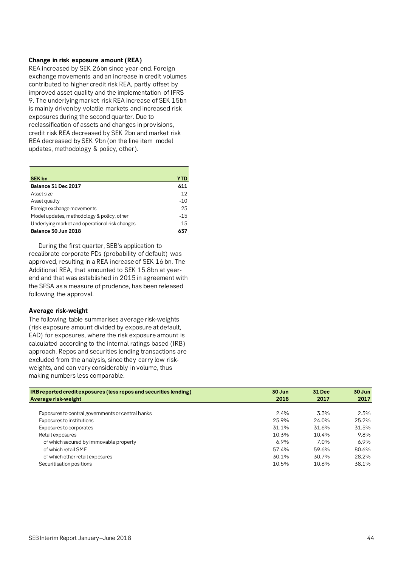## **Change in risk exposure amount (REA)**

REA increased by SEK 26bn since year-end. Foreign exchange movements and an increase in credit volumes contributed to higher credit risk REA, partly offset by improved asset quality and the implementation of IFRS 9. The underlying market risk REA increase of SEK 15bn is mainly driven by volatile markets and increased risk exposures during the second quarter. Due to reclassification of assets and changes in provisions, credit risk REA decreased by SEK 2bn and market risk REA decreased by SEK 9bn (on the line item model updates, methodology & policy, other).

| <b>SEK bn</b>                                  | YTD   |
|------------------------------------------------|-------|
| Balance 31 Dec 2017                            | 611   |
| Asset size                                     | 12    |
| Asset quality                                  | $-10$ |
| Foreign exchange movements                     | 25    |
| Model updates, methodology & policy, other     | $-15$ |
| Underlying market and operational risk changes | 15    |
| Balance 30 Jun 2018                            | 637   |

During the first quarter, SEB's application to recalibrate corporate PDs (probability of default) was approved, resulting in a REA increase of SEK 16 bn. The Additional REA, that amounted to SEK 15.8bn at yearend and that was established in 2015 in agreement with the SFSA as a measure of prudence, has been released following the approval.

### **Average risk-weight**

The following table summarises average risk-weights (risk exposure amount divided by exposure at default, EAD) for exposures, where the risk exposure amount is calculated according to the internal ratings based (IRB) approach. Repos and securities lending transactions are excluded from the analysis, since they carry low riskweights, and can vary considerably in volume, thus making numbers less comparable.

| IRB reported credit exposures (less repos and securities lending) | 30 Jun | <b>31 Dec</b> | 30 Jun  |
|-------------------------------------------------------------------|--------|---------------|---------|
| Average risk-weight                                               | 2018   | 2017          | 2017    |
|                                                                   |        |               |         |
| Exposures to central governments or central banks                 | 24%    | 3.3%          | 2.3%    |
| Exposures to institutions                                         | 25.9%  | 24.0%         | 25.2%   |
| Exposures to corporates                                           | 31.1%  | 31.6%         | 31.5%   |
| Retail exposures                                                  | 10.3%  | 10.4%         | 9.8%    |
| of which secured by immovable property                            | 6.9%   | 7.0%          | $6.9\%$ |
| of which retail SME                                               | 57.4%  | 59.6%         | 80.6%   |
| of which other retail exposures                                   | 30.1%  | 30.7%         | 28.2%   |
| Securitisation positions                                          | 10.5%  | 10.6%         | 38.1%   |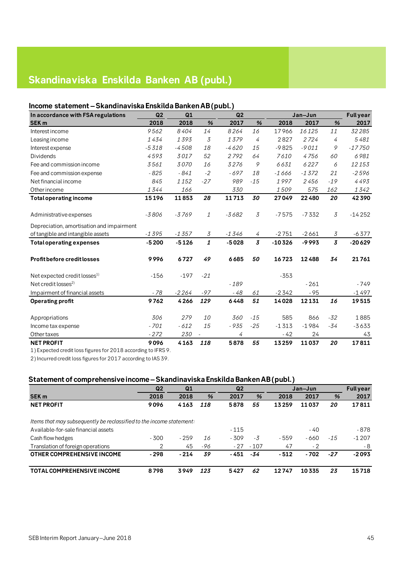# **Skandinaviska Enskilda Banken AB (publ.)**

# **Income statement –Skandinaviska Enskilda Banken AB (publ.)**

| In accordance with FSA regulations        | Q2      | Q1      |              | Q2      |                |          | Jan-Jun |                                      | <b>Full year</b> |
|-------------------------------------------|---------|---------|--------------|---------|----------------|----------|---------|--------------------------------------|------------------|
| <b>SEK m</b>                              | 2018    | 2018    | %            | 2017    | %              | 2018     | 2017    | %                                    | 2017             |
| Interest income                           | 9562    | 8404    | 14           | 8264    | 16             | 17966    | 16125   | 11                                   | 32285            |
| Leasing income                            | 1434    | 1393    | 3            | 1379    | 4              | 2827     | 2724    | 4                                    | 5481             |
| Interest expense                          | $-5318$ | $-4508$ | 18           | $-4620$ | 15             | $-9825$  | $-9011$ | 9                                    | $-17750$         |
| <b>Dividends</b>                          | 4593    | 3017    | 52           | 2792    | 64             | 7610     | 4756    | 60                                   | 6981             |
| Fee and commission income                 | 3561    | 3070    | 16           | 3276    | 9              | 6631     | 6227    | 6                                    | 12153            |
| Fee and commission expense                | $-825$  | $-841$  | $-2$         | $-697$  | 18             | $-1666$  | $-1372$ | 21                                   | $-2596$          |
| Net financial income                      | 845     | 1152    | $-27$        | 989     | $-15$          | 1997     | 2456    | $-19$                                | 4493             |
| Other income                              | 1344    | 166     |              | 330     |                | 1509     | 575     | 162                                  | 1342             |
| <b>Total operating income</b>             | 15196   | 11853   | 28           | 11713   | 30             | 27049    | 22480   | 20                                   | 42390            |
|                                           |         |         |              |         |                |          |         |                                      |                  |
| Administrative expenses                   | $-3806$ | $-3769$ | 1            | $-3682$ | $\overline{3}$ | $-7575$  | $-7332$ | $\overline{\mathcal{S}}$             | $-14252$         |
| Depreciation, amortisation and impairment |         |         |              |         |                |          |         |                                      |                  |
| of tangible and intangible assets         | $-1395$ | $-1357$ | 3            | $-1346$ | 4              | $-2751$  | $-2661$ | $\mathfrak{Z}% _{G}(\mathbb{R}^{2})$ | $-6377$          |
| <b>Total operating expenses</b>           | $-5200$ | $-5126$ | $\mathbf{1}$ | $-5028$ | $\overline{3}$ | $-10326$ | $-9993$ | $\overline{3}$                       | $-20629$         |
| <b>Profit before credit losses</b>        | 9996    | 6727    | 49           | 6685    | 50             | 16723    | 12488   | 34                                   | 21761            |
| Net expected credit losses <sup>1)</sup>  | $-156$  | $-197$  | $-21$        |         |                | $-353$   |         |                                      |                  |
| Net credit losses <sup>2)</sup>           |         |         |              | $-189$  |                |          | $-261$  |                                      | $-749$           |
| Impairment of financial assets            | - 78    | $-2264$ | $-97$        | - 48    | 61             | $-2342$  | $-95$   |                                      | $-1497$          |
| <b>Operating profit</b>                   | 9762    | 4266    | 129          | 6448    | 51             | 14028    | 12131   | 16                                   | 19515            |
| Appropriations                            | 306     | 279     | 10           | 360     | $-15$          | 585      | 866     | $-32$                                | 1885             |
| Income tax expense                        | $-701$  | $-612$  | 15           | - 935   | $-25$          | $-1313$  | $-1984$ | $-34$                                | $-3633$          |
| Other taxes                               | $-272$  | 230     |              | 4       |                | $-42$    | 24      |                                      | 43               |
| <b>NET PROFIT</b>                         | 9096    | 4163    | 118          | 5878    | 55             | 13259    | 11037   | 20                                   | 17811            |

1) Expected credit loss figures for 2018 according to IFRS 9.

2) Incurred credit loss figures for 2017 according to IAS 39.

# **Statement of comprehensive income –Skandinaviska Enskilda Banken AB (publ.)**

|                                                                      | Q <sub>2</sub> | Q1     |     | Q <sub>2</sub> |        |       | Jan-Jun |       | <b>Full year</b> |
|----------------------------------------------------------------------|----------------|--------|-----|----------------|--------|-------|---------|-------|------------------|
| SEK <sub>m</sub>                                                     | 2018           | 2018   | %   | 2017           | %      | 2018  | 2017    | %     | 2017             |
| <b>NET PROFIT</b>                                                    | 9096           | 4163   | 118 | 5878           | 55     | 13259 | 11037   | 20    | 17811            |
| Items that may subsequently be reclassified to the income statement: |                |        |     |                |        |       |         |       |                  |
| Available-for-sale financial assets                                  |                |        |     | $-115$         |        |       | - 40    |       | - 878            |
| Cash flow hedges                                                     | $-300$         | $-259$ | 16  | $-309$         | $-3$   | - 559 | - 660   | $-15$ | $-1207$          |
| Translation of foreign operations                                    | 2              | 45     | -96 | $-27$          | $-107$ | 47    | - 2     |       | - 8              |
| <b>OTHER COMPREHENSIVE INCOME</b>                                    | $-298$         | $-214$ | 39  | - 451          | -34    | - 512 | $-702$  | $-27$ | $-2093$          |
| TOTAL COMPREHENSIVE INCOME                                           | 8798           | 3949   | 123 | 5427           | 62     | 12747 | 10335   | 23    | 15718            |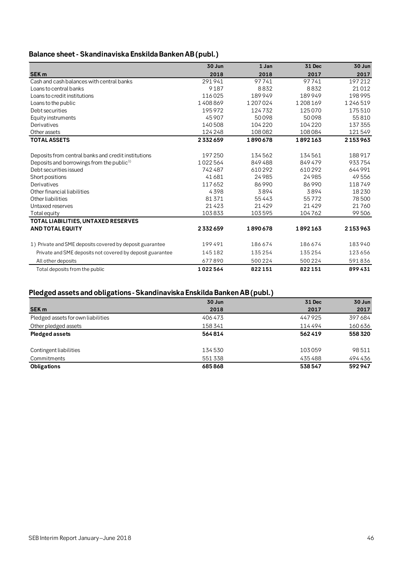# **Balance sheet - Skandinaviska Enskilda Banken AB (publ.)**

|                                                           | 30 Jun  | 1 Jan   | 31 Dec  | 30 Jun  |
|-----------------------------------------------------------|---------|---------|---------|---------|
| <b>SEK m</b>                                              | 2018    | 2018    | 2017    | 2017    |
| Cash and cash balances with central banks                 | 291941  | 97741   | 97741   | 197212  |
| Loans to central banks                                    | 9187    | 8832    | 8832    | 21012   |
| Loans to credit institutions                              | 116025  | 189949  | 189949  | 198995  |
| Loans to the public                                       | 1408869 | 1207024 | 1208169 | 1246519 |
| Debt securities                                           | 195972  | 124732  | 125070  | 175510  |
| Equity instruments                                        | 45907   | 50098   | 50098   | 55810   |
| Derivatives                                               | 140508  | 104220  | 104220  | 137 355 |
| Other assets                                              | 124248  | 108082  | 108084  | 121549  |
| <b>TOTAL ASSETS</b>                                       | 2332659 | 1890678 | 1892163 | 2153963 |
|                                                           |         |         |         |         |
| Deposits from central banks and credit institutions       | 197250  | 134562  | 134561  | 188917  |
| Deposits and borrowings from the public <sup>1)</sup>     | 1022564 | 849488  | 849479  | 933754  |
| Debt securities issued                                    | 742487  | 610292  | 610292  | 644991  |
| Short positions                                           | 41681   | 24985   | 24985   | 49556   |
| Derivatives                                               | 117652  | 86990   | 86990   | 118749  |
| Other financial liabilities                               | 4398    | 3894    | 3894    | 18230   |
| Other liabilities                                         | 81371   | 55443   | 55772   | 78500   |
| Untaxed reserves                                          | 21423   | 21429   | 21429   | 21760   |
| Total equity                                              | 103833  | 103595  | 104762  | 99506   |
| TOTAL LIABILITIES, UNTAXED RESERVES                       |         |         |         |         |
| <b>AND TOTAL EQUITY</b>                                   | 2332659 | 1890678 | 1892163 | 2153963 |
| 1) Private and SME deposits covered by deposit guarantee  | 199491  | 186674  | 186674  | 183940  |
| Private and SME deposits not covered by deposit guarantee | 145182  | 135254  | 135254  | 123656  |
| All other deposits                                        | 677890  | 500 224 | 500 224 | 591836  |
|                                                           |         |         |         |         |
| Total deposits from the public                            | 1022564 | 822151  | 822151  | 899431  |

# **Pledged assets and obligations - Skandinaviska Enskilda Banken AB (publ.)**

|                                    | 30 Jun | <b>31 Dec</b> | 30 Jun |
|------------------------------------|--------|---------------|--------|
| SEK <sub>m</sub>                   | 2018   | 2017          | 2017   |
| Pledged assets for own liabilities | 406473 | 447925        | 397684 |
| Other pledged assets               | 158341 | 114494        | 160636 |
| <b>Pledged assets</b>              | 564814 | 562419        | 558320 |
| Contingent liabilities             | 134530 | 103059        | 98511  |
| Commitments                        | 551338 | 435488        | 494436 |
| <b>Obligations</b>                 | 685868 | 538547        | 592947 |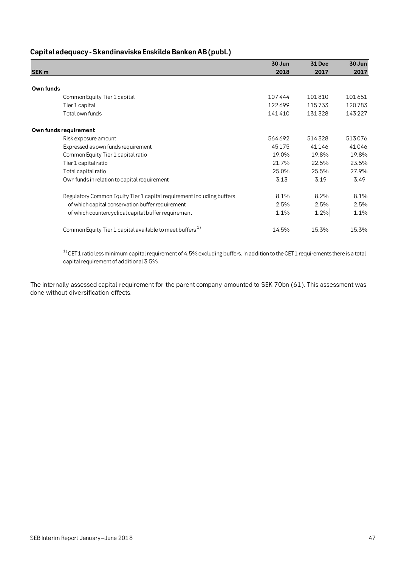# **Capital adequacy- Skandinaviska Enskilda Banken AB(publ.)**

|                                                                       | 30 Jun | 31 Dec | 30 Jun |
|-----------------------------------------------------------------------|--------|--------|--------|
| SEK <sub>m</sub>                                                      | 2018   | 2017   | 2017   |
|                                                                       |        |        |        |
| Own funds                                                             |        |        |        |
| Common Equity Tier 1 capital                                          | 107444 | 101810 | 101651 |
| Tier 1 capital                                                        | 122699 | 115733 | 120783 |
| Total own funds                                                       | 141410 | 131328 | 143227 |
| Own funds requirement                                                 |        |        |        |
| Risk exposure amount                                                  | 564692 | 514328 | 513076 |
| Expressed as own funds requirement                                    | 45175  | 41146  | 41046  |
| Common Equity Tier 1 capital ratio                                    | 19.0%  | 19.8%  | 19.8%  |
| Tier 1 capital ratio                                                  | 21.7%  | 22.5%  | 23.5%  |
| Total capital ratio                                                   | 25.0%  | 25.5%  | 27.9%  |
| Own funds in relation to capital requirement                          | 3.13   | 3.19   | 3.49   |
| Regulatory Common Equity Tier 1 capital requirement including buffers | 8.1%   | 8.2%   | 8.1%   |
| of which capital conservation buffer requirement                      | 2.5%   | 2.5%   | 2.5%   |
| of which countercyclical capital buffer requirement                   | 1.1%   | 1.2%   | 1.1%   |
| Common Equity Tier 1 capital available to meet buffers <sup>1)</sup>  | 14.5%  | 15.3%  | 15.3%  |

 $1)$  CET1 ratio less minimum capital requirement of 4.5% excluding buffers. In addition to the CET1 requirements there is a total capital requirement of additional 3.5%.

The internally assessed capital requirement for the parent company amounted to SEK 70bn (61). This assessment was done without diversification effects.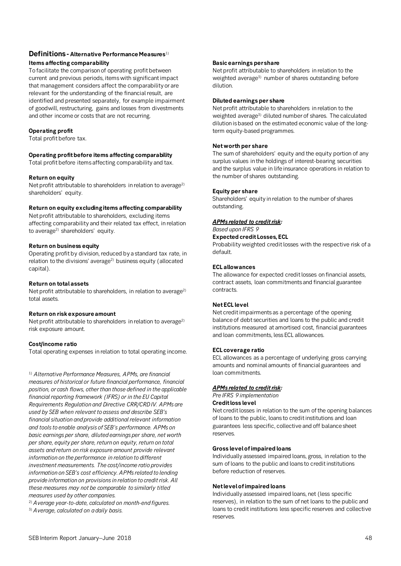# **Definitions - Alternative Performance Measures**1) **Items affecting comparability**

To facilitate the comparison of operating profit between current and previous periods, items with significant impact that management considers affect the comparability or are relevant for the understanding of the financial result, are identified and presented separately, for example impairment of goodwill, restructuring, gains and losses from divestments and other income or costs that are not recurring.

# **Operating profit**

Total profit before tax.

# **Operating profit before items affecting comparability**

Total profit before items affecting comparability and tax.

# **Return on equity**

Net profit attributable to shareholders in relation to average<sup>2)</sup> shareholders' equity.

## **Return on equity excluding items affecting comparability**

Net profit attributable to shareholders, excluding items affecting comparability and their related tax effect, in relation to average<sup>2)</sup> shareholders' equity.

# **Return on business equity**

Operating profit by division, reduced by a standard tax rate, in relation to the divisions' average<sup>2)</sup> business equity (allocated capital).

# **Return on total assets**

Net profit attributable to shareholders, in relation to average<sup>2)</sup> total assets.

# **Return on risk exposure amount**

Net profit attributable to shareholders in relation to average<sup>2)</sup> risk exposure amount.

# **Cost/income ratio**

Total operating expenses in relation to total operating income.

<sup>1)</sup> Alternative Performance Measures, APMs, are financial *measures of historical or future financial performance, financial position, or cash flows, other than those defined in the applicable financial reporting framework (IFRS) or in the EU Capital Requirements Regulation and Directive CRR/CRD IV. APMs are used by SEB when relevant to assess and describe SEB's financial situation and provide additional relevant information and tools to enable analysis of SEB's performance. APMs on basic earnings per share, diluted earnings per share, net worth per share, equity per share, return on equity, return on total assets and return on risk exposure amount provide relevant information on the performance in relation to different investment measurements. The cost/income ratio provides information on SEB's cost efficiency. APMs related to lending provide information on provisions in relation to credit risk. All these measures may not be comparable to similarly titled measures used by other companies.* 

2) *Average year-to-date, calculated on month-end figures.*

3) *Average, calculated on a daily basis.*

# **Basic earnings per share**

Net profit attributable to shareholders in relation to the weighted average<sup>3)</sup> number of shares outstanding before dilution.

## **Diluted earnings per share**

Net profit attributable to shareholders in relation to the weighted average<sup>3</sup> diluted number of shares. The calculated dilution is based on the estimated economic value of the longterm equity-based programmes.

# **Net worth per share**

The sum of shareholders' equity and the equity portion of any surplus values in the holdings of interest-bearing securities and the surplus value in life insurance operations in relation to the number of shares outstanding.

# **Equity per share**

Shareholders' equity in relation to the number of shares outstanding.

# *APMs related to credit risk:*

*Based upon IFRS 9*

# **Expected credit Losses, ECL**

Probability weighted credit losses with the respective risk of a default.

## **ECL allowances**

The allowance for expected credit losses on financial assets, contract assets, loan commitments and financial guarantee contracts.

# **Net ECL level**

Net credit impairments as a percentage of the opening balance of debt securities and loans to the public and credit institutions measured at amortised cost, financial guarantees and loan commitments, less ECL allowances.

### **ECL coverage ratio**

ECL allowances as a percentage of underlying gross carrying amounts and nominal amounts of financial guarantees and loan commitments.

# *APMs related to credit risk:*

*Pre IFRS 9 implementation*

# **Credit loss level**

Net credit losses in relation to the sum of the opening balances of loans to the public, loans to credit institutions and loan guarantees less specific, collective and off balance sheet reserves.

### **Gross level of impaired loans**

Individually assessed impaired loans, gross, in relation to the sum of loans to the public and loans to credit institutions before reduction of reserves.

## **Net level of impaired loans**

Individually assessed impaired loans, net (less specific reserves), in relation to the sum of net loans to the public and loans to credit institutions less specific reserves and collective reserves.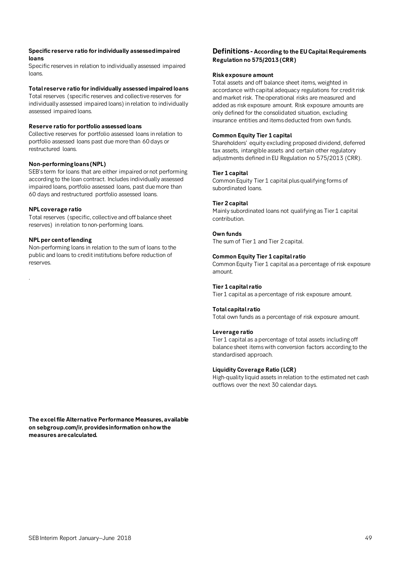## **Specific reserve ratio for individually assessed impaired loans**

Specific reserves in relation to individually assessed impaired loans.

## **Total reserve ratio for individually assessed impaired loans**

Total reserves (specific reserves and collective reserves for individually assessed impaired loans) in relation to individually assessed impaired loans.

### **Reserve ratio for portfolio assessed loans**

Collective reserves for portfolio assessed loans in relation to portfolio assessed loans past due more than 60 days or restructured loans.

## **Non-performing loans (NPL)**

SEB's term for loans that are either impaired or not performing according to the loan contract. Includes individually assessed impaired loans, portfolio assessed loans, past due more than 60 days and restructured portfolio assessed loans.

## **NPL coverage ratio**

Total reserves (specific, collective and off balance sheet reserves) in relation to non-performing loans.

## **NPL per cent of lending**

.

Non-performing loans in relation to the sum of loans to the public and loans to credit institutions before reduction of reserves.

# **Definitions - According to the EU Capital Requirements Regulation no 575/2013 (CRR)**

### **Risk exposure amount**

Total assets and off balance sheet items, weighted in accordance with capital adequacy regulations for credit risk and market risk. The operational risks are measured and added as risk exposure amount. Risk exposure amounts are only defined for the consolidated situation, excluding insurance entities and items deducted from own funds.

# **Common Equity Tier 1 capital**

Shareholders' equity excluding proposed dividend, deferred tax assets, intangible assets and certain other regulatory adjustments defined in EU Regulation no 575/2013 (CRR).

## **Tier 1 capital**

Common Equity Tier 1 capital plus qualifying forms of subordinated loans.

## **Tier 2 capital**

Mainly subordinated loans not qualifying as Tier 1 capital contribution.

## **Own funds**

The sum of Tier 1 and Tier 2 capital.

## **Common Equity Tier 1 capital ratio**

Common Equity Tier 1 capital as a percentage of risk exposure amount.

# **Tier 1 capital ratio**

Tier 1 capital as a percentage of risk exposure amount.

### **Total capital ratio**

Total own funds as a percentage of risk exposure amount.

### **Leverage ratio**

Tier 1 capital as a percentage of total assets including off balance sheet items with conversion factors according to the standardised approach.

### **Liquidity Coverage Ratio (LCR)**

High-quality liquid assets in relation to the estimated net cash outflows over the next 30 calendar days.

**The excel file Alternative Performance Measures, available on sebgroup.com/ir, provides information on how the measures are calculated.**